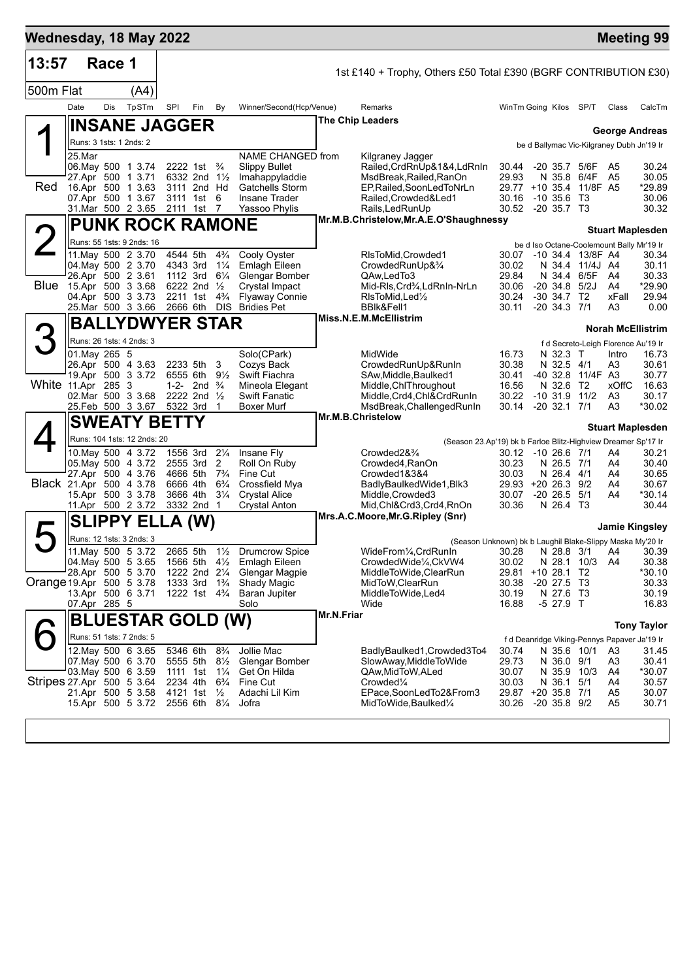| Wednesday, 18 May 2022    |               |        |                                                   |                      |                                                                                  |                                  |                                                                  |            |                                                                             |                             |                                 |            |                                |                                              | <b>Meeting 99</b>            |
|---------------------------|---------------|--------|---------------------------------------------------|----------------------|----------------------------------------------------------------------------------|----------------------------------|------------------------------------------------------------------|------------|-----------------------------------------------------------------------------|-----------------------------|---------------------------------|------------|--------------------------------|----------------------------------------------|------------------------------|
| 13:57                     |               | Race 1 |                                                   |                      |                                                                                  |                                  |                                                                  |            | 1st £140 + Trophy, Others £50 Total £390 (BGRF CONTRIBUTION £30)            |                             |                                 |            |                                |                                              |                              |
| 500m Flat                 |               |        | (A4)                                              |                      |                                                                                  |                                  |                                                                  |            |                                                                             |                             |                                 |            |                                |                                              |                              |
|                           | Date          | Dis    | TpSTm                                             | SPI                  | Fin                                                                              | By                               | Winner/Second(Hcp/Venue)                                         |            | Remarks                                                                     | WinTm Going Kilos SP/T      |                                 |            |                                | Class                                        | CalcTm                       |
|                           |               |        | ∥INSANE JAGGER                                    |                      |                                                                                  |                                  |                                                                  |            | <b>The Chip Leaders</b>                                                     |                             |                                 |            |                                |                                              | <b>George Andreas</b>        |
|                           |               |        | Runs: 3 1sts: 1 2nds: 2                           |                      |                                                                                  |                                  |                                                                  |            |                                                                             |                             |                                 |            |                                | be d Ballymac Vic-Kilgraney Dubh Jn'19 Ir    |                              |
|                           | 25.Mar        |        |                                                   |                      |                                                                                  |                                  | NAME CHANGED from                                                |            | Kilgraney Jagger                                                            |                             |                                 |            |                                |                                              |                              |
|                           |               |        | 06. May 500 1 3.74<br>27.Apr 500 1 3.71           |                      | 2222 1st $\frac{3}{4}$<br>6332 2nd 11/2                                          |                                  | <b>Slippy Bullet</b><br>Imahappyladdie                           |            | Railed, CrdRnUp&1&4, LdRnIn<br>MsdBreak, Railed, RanOn                      | 30.44<br>29.93              |                                 |            | -20 35.7 5/6F<br>N 35.8 6/4F   | A5<br>A <sub>5</sub>                         | 30.24<br>30.05               |
| Red                       |               |        | 16.Apr 500 1 3.63                                 |                      | 3111 2nd Hd                                                                      |                                  | Gatchells Storm                                                  |            | EP, Railed, SoonLedToNrLn                                                   |                             |                                 |            | 29.77 +10 35.4 11/8F A5        |                                              | *29.89                       |
|                           |               |        | 07.Apr 500 1 3.67<br>31.Mar 500 2 3.65            |                      | 3111 1st 6<br>2111 1st 7                                                         |                                  | <b>Insane Trader</b><br>Yassoo Phylis                            |            | Railed, Crowded & Led1<br>Rails, Led Run Up                                 | 30.16<br>30.52 -20 35.7 T3  | -10 35.6                        |            | T3                             |                                              | 30.06<br>30.32               |
|                           |               |        | <b>PUNK ROCK RAMONE</b>                           |                      |                                                                                  |                                  |                                                                  |            | Mr.M.B.Christelow, Mr.A.E.O'Shaughnessy                                     |                             |                                 |            |                                |                                              |                              |
| $\angle$                  |               |        | Runs: 55 1sts: 9 2nds: 16                         |                      |                                                                                  |                                  |                                                                  |            |                                                                             |                             |                                 |            |                                | be d Iso Octane-Coolemount Bally Mr'19 Ir    | <b>Stuart Maplesden</b>      |
|                           |               |        | 11. May 500 2 3.70                                | 4544 5th             |                                                                                  | $4\frac{3}{4}$                   | Cooly Oyster                                                     |            | RIsToMid, Crowded1                                                          |                             |                                 |            | 30.07 -10 34.4 13/8F A4        |                                              | 30.34                        |
|                           |               |        | 04. May 500 2 3.70<br>26.Apr 500 2 3.61           | 4343 3rd<br>1112 3rd |                                                                                  | $1\frac{1}{4}$<br>$6\frac{1}{4}$ | Emlagh Eileen<br>Glengar Bomber                                  |            | CrowdedRunUp&3/4<br>QAw,LedTo3                                              | 30.02<br>29.84              |                                 |            | N 34.4 11/4J A4<br>N 34.4 6/5F | A4                                           | 30.11<br>30.33               |
| Blue                      |               |        | 15.Apr 500 3 3.68                                 |                      | 6222 2nd 1/2                                                                     |                                  | Crystal Impact                                                   |            | Mid-RIs, Crd3⁄4, LdRnIn-NrLn                                                | 30.06                       | $-20, 34.8, 5/2J$               |            |                                | A4                                           | *29.90                       |
|                           |               |        | 04.Apr 500 3 3.73<br>25.Mar 500 3 3.66            | 2211 1st<br>2666 6th |                                                                                  | $4\frac{3}{4}$<br><b>DIS</b>     | <b>Flyaway Connie</b><br><b>Bridies Pet</b>                      |            | RIsToMid, Led <sup>1</sup> / <sub>2</sub><br>BBlk&Fell1                     | 30.24<br>30.11              | $-30, 34.7$<br>$-20$ 34.3 $7/1$ |            | T2                             | xFall<br>A <sub>3</sub>                      | 29.94<br>0.00                |
|                           |               |        | <b>BALLYDWYER STAR</b>                            |                      |                                                                                  |                                  |                                                                  |            | Miss.N.E.M.McEllistrim                                                      |                             |                                 |            |                                |                                              |                              |
|                           |               |        | Runs: 26 1sts: 4 2nds: 3                          |                      |                                                                                  |                                  |                                                                  |            |                                                                             |                             |                                 |            |                                |                                              | <b>Norah McEllistrim</b>     |
|                           | 01.May 265 5  |        |                                                   |                      |                                                                                  |                                  | Solo(CPark)                                                      |            | MidWide                                                                     | 16.73                       |                                 | N 32.3 T   |                                | f d Secreto-Leigh Florence Au'19 Ir<br>Intro | 16.73                        |
|                           |               |        | 26.Apr 500 4 3.63                                 | 2233 5th             |                                                                                  | 3                                | Cozys Back                                                       |            | CrowdedRunUp&RunIn                                                          | 30.38                       |                                 | N 32.5 4/1 |                                | A3                                           | 30.61                        |
| White 11.Apr 285 3        |               |        | 19.Apr 500 3 3.72                                 | 6555 6th             | 1-2- 2nd $\frac{3}{4}$                                                           | $9\frac{1}{2}$                   | Swift Fiachra<br>Mineola Elegant                                 |            | SAw, Middle, Baulked 1<br>Middle, ChlThroughout                             | 30.41<br>16.56              |                                 | N 32.6 T2  | -40 32.8 11/4F A3              | <b>xOffC</b>                                 | 30.77<br>16.63               |
|                           |               |        | 02. Mar 500 3 3.68                                | 2222 2nd 1/2         |                                                                                  |                                  | <b>Swift Fanatic</b>                                             |            | Middle, Crd4, Chl&CrdRunIn                                                  | 30.22                       | $-10, 31.9$                     |            | 11/2                           | A3                                           | 30.17                        |
|                           |               |        | 25. Feb 500 3 3.67                                | 5322 3rd             |                                                                                  | 1                                | <b>Boxer Murf</b>                                                |            | MsdBreak, Challenged RunIn<br>Mr.M.B.Christelow                             | 30.14                       | $-20$ 32.1 $7/1$                |            |                                | A <sub>3</sub>                               | *30.02                       |
|                           |               |        | <b>SWEATY BETTY</b>                               |                      |                                                                                  |                                  |                                                                  |            |                                                                             |                             |                                 |            |                                |                                              | <b>Stuart Maplesden</b>      |
|                           |               |        | Runs: 104 1sts: 12 2nds: 20<br>10. May 500 4 3.72 |                      | 1556 3rd                                                                         | $2\frac{1}{4}$                   | Insane Fly                                                       |            | (Season 23.Ap'19) bk b Farloe Blitz-Highview Dreamer Sp'17 Ir<br>Crowded2&% |                             | 30.12 -10 26.6 7/1              |            |                                | A4                                           | 30.21                        |
|                           |               |        | 05. May 500 4 3.72                                | 2555 3rd             |                                                                                  | 2                                | Roll On Ruby                                                     |            | Crowded4, RanOn                                                             | 30.23                       |                                 | N 26.5 7/1 |                                | A4                                           | 30.40                        |
| Black 21.Apr 500 4 3.78   |               |        | 27.Apr 500 4 3.76                                 | 4666 5th<br>6666 4th |                                                                                  | $7\frac{3}{4}$<br>$6\frac{3}{4}$ | Fine Cut<br>Crossfield Mya                                       |            | Crowded1&3&4<br>BadlyBaulkedWide1, Blk3                                     | 30.03<br>29.93 +20 26.3 9/2 |                                 | N 26.4 4/1 |                                | A4<br>A4                                     | 30.65<br>30.67               |
|                           |               |        | 15.Apr 500 3 3.78                                 | 3666 4th             |                                                                                  | $3\frac{1}{4}$                   | <b>Crystal Alice</b>                                             |            | Middle, Crowded 3                                                           | 30.07                       | $-20$ 26.5                      |            | 5/1                            | A4                                           | *30.14                       |
|                           |               |        | 11.Apr 500 2 3.72                                 |                      | 3332 2nd 1                                                                       |                                  | <b>Crystal Anton</b>                                             |            | Mid,Chl&Crd3,Crd4,RnOn<br>Mrs.A.C.Moore, Mr.G.Ripley (Snr)                  | 30.36                       |                                 | N 26.4 T3  |                                |                                              | 30.44                        |
| ト                         | <b>SLIPPY</b> |        | ЕІ                                                |                      | (W)                                                                              |                                  |                                                                  |            |                                                                             |                             |                                 |            |                                |                                              | Jamie Kingsley               |
|                           |               |        | Runs: 12 1sts: 3 2nds: 3                          |                      |                                                                                  |                                  |                                                                  |            | (Season Unknown) bk b Laughil Blake-Slippy Maska My'20 Ir                   |                             |                                 |            |                                |                                              |                              |
|                           |               |        | 11. May 500 5 3.72<br>04 May 500 5 3.65           |                      | 2665 5th                                                                         | $1\frac{1}{2}$                   | <b>Drumcrow Spice</b><br>1566 5th 41/ <sub>2</sub> Emlagh Eileen |            | WideFrom1/4, CrdRunIn<br>CrowdedWide1/4,CkVW4                               | 30.28<br>30.02              |                                 |            | N 28.1 10/3                    | A4                                           | N 28.8 3/1 A4 30.39<br>30.38 |
|                           |               |        | 28.Apr 500 5 3.70                                 |                      | 1222 2nd 21/4                                                                    |                                  | Glengar Magpie                                                   |            | MiddleToWide,ClearRun                                                       | 29.81 +10 28.1 T2           |                                 |            |                                |                                              | *30.10                       |
| Orange 19.Apr 500 5 3.78  |               |        | 13.Apr 500 6 3.71                                 |                      | 1333 3rd 1 <sup>3</sup> / <sub>4</sub><br>1222 1st 4 <sup>3</sup> / <sub>4</sub> |                                  | Shady Magic<br><b>Baran Jupiter</b>                              |            | MidToW, ClearRun<br>MiddleToWide,Led4                                       | 30.38<br>30.19              | $-20$ 27.5 T3                   | N 27.6 T3  |                                |                                              | 30.33<br>30.19               |
|                           | 07.Apr 285 5  |        |                                                   |                      |                                                                                  |                                  | Solo                                                             |            | Wide                                                                        | 16.88                       |                                 | $-527.9$ T |                                |                                              | 16.83                        |
|                           |               |        | <b>BLUESTAR GOLD (W)</b>                          |                      |                                                                                  |                                  |                                                                  | Mr.N.Friar |                                                                             |                             |                                 |            |                                |                                              | <b>Tony Taylor</b>           |
|                           |               |        | Runs: 51 1sts: 7 2nds: 5                          |                      |                                                                                  |                                  |                                                                  |            |                                                                             |                             |                                 |            |                                | f d Deanridge Viking-Pennys Papaver Ja'19 Ir |                              |
|                           |               |        | 12. May 500 6 3.65                                | 5346 6th<br>5555 5th |                                                                                  | $8\frac{3}{4}$                   | Jollie Mac                                                       |            | BadlyBaulked1, Crowded 3To 4                                                | 30.74                       |                                 |            | N 35.6 10/1                    | A3                                           | 31.45                        |
|                           |               |        | 07.May 500 6 3.70<br>03. May 500 6 3.59           | 1111 1st             |                                                                                  | $8\frac{1}{2}$<br>$1\frac{1}{4}$ | Glengar Bomber<br>Get On Hilda                                   |            | SlowAway,MiddleToWide<br>QAw,MidToW,ALed                                    | 29.73<br>30.07              |                                 | N 36.0 9/1 | N 35.9 10/3                    | A3<br>A4                                     | 30.41<br>*30.07              |
| Stripes 27 Apr 500 5 3 64 |               |        | 21.Apr 500 5 3.58                                 | 2234 4th<br>4121 1st |                                                                                  | $6\frac{3}{4}$<br>$\frac{1}{2}$  | Fine Cut                                                         |            | Crowded <sup>1/4</sup><br>EPace,SoonLedTo2&From3                            | 30.03<br>29.87 +20 35.8 7/1 |                                 | N 36.1     | 5/1                            | A4<br>A <sub>5</sub>                         | 30.57<br>30.07               |
|                           |               |        | 15.Apr 500 5 3.72                                 | 2556 6th             |                                                                                  | $8\frac{1}{4}$                   | Adachi Lil Kim<br>Jofra                                          |            | MidToWide,Baulked¼                                                          | 30.26                       | $-20$ 35.8 $9/2$                |            |                                | A <sub>5</sub>                               | 30.71                        |
|                           |               |        |                                                   |                      |                                                                                  |                                  |                                                                  |            |                                                                             |                             |                                 |            |                                |                                              |                              |
|                           |               |        |                                                   |                      |                                                                                  |                                  |                                                                  |            |                                                                             |                             |                                 |            |                                |                                              |                              |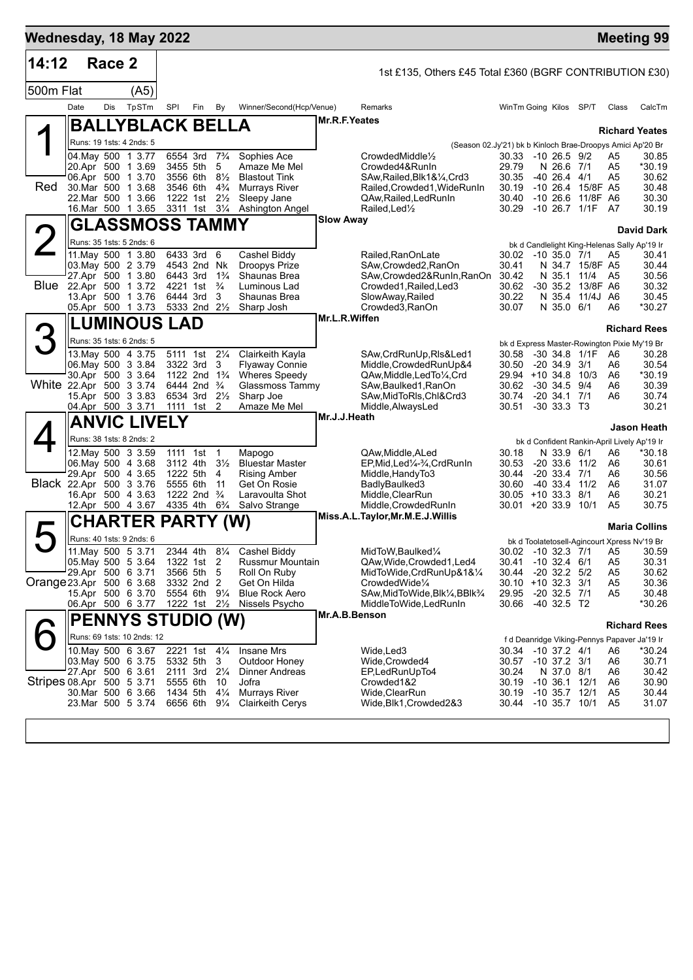| Wednesday, 18 May 2022    |                    |        |                                          |                                        |                                      |                                  |                                               |                  |                                                                   |                             |                                |                               |                                  | <b>Meeting 99</b>                                     |
|---------------------------|--------------------|--------|------------------------------------------|----------------------------------------|--------------------------------------|----------------------------------|-----------------------------------------------|------------------|-------------------------------------------------------------------|-----------------------------|--------------------------------|-------------------------------|----------------------------------|-------------------------------------------------------|
| 14:12                     |                    | Race 2 |                                          |                                        |                                      |                                  |                                               |                  | 1st £135, Others £45 Total £360 (BGRF CONTRIBUTION £30)           |                             |                                |                               |                                  |                                                       |
| 500m Flat                 |                    |        | (A5)                                     |                                        |                                      |                                  |                                               |                  |                                                                   |                             |                                |                               |                                  |                                                       |
|                           | Date               | Dis    | TpSTm                                    | SPI                                    | Fin                                  | By                               | Winner/Second(Hcp/Venue)                      |                  | Remarks                                                           | WinTm Going Kilos SP/T      |                                |                               | Class                            | CalcTm                                                |
|                           |                    |        | <b>BALLYBLACK BELLA</b>                  |                                        |                                      |                                  |                                               | Mr.R.F.Yeates    |                                                                   |                             |                                |                               |                                  | <b>Richard Yeates</b>                                 |
|                           |                    |        | Runs: 19 1sts: 4 2nds: 5                 |                                        |                                      |                                  |                                               |                  | (Season 02.Jy'21) bk b Kinloch Brae-Droopys Amici Ap'20 Br        |                             |                                |                               |                                  |                                                       |
|                           |                    |        | 04. May 500 1 3.77                       | 6554 3rd 7 <sup>3</sup> / <sub>4</sub> |                                      | 5                                | Sophies Ace<br>Amaze Me Mel                   |                  | CrowdedMiddle <sup>1</sup> / <sub>2</sub>                         | 30.33<br>29.79              | $-10, 26.5, 9/2$               |                               | A <sub>5</sub><br>A <sub>5</sub> | 30.85                                                 |
|                           |                    |        | 20.Apr 500 1 3.69<br>06.Apr 500 1 3.70   | 3455 5th<br>3556 6th                   |                                      | $8\frac{1}{2}$                   | <b>Blastout Tink</b>                          |                  | Crowded4&RunIn<br>SAw, Railed, Blk1&1/4, Crd3                     | 30.35                       | N 26.6 7/1<br>$-40$ 26.4 $4/1$ |                               | A5                               | *30.19<br>30.62                                       |
| Red                       |                    |        | 30. Mar 500 1 3.68                       | 3546 6th                               |                                      | $4\frac{3}{4}$                   | <b>Murrays River</b>                          |                  | Railed, Crowded1, WideRunIn                                       | 30.19                       | $-10, 26.4$                    | 15/8F A5                      |                                  | 30.48                                                 |
|                           |                    |        | 22.Mar 500 1 3.66<br>16.Mar 500 1 3.65   | 1222 1st<br>3311 1st 31/4              |                                      | $2\frac{1}{2}$                   | Sleepy Jane<br>Ashington Angel                |                  | QAw, Railed, Led RunIn<br>Railed, Led <sup>1</sup> / <sub>2</sub> | 30.40<br>30.29              | $-10, 26.6$                    | 11/8F A6<br>$-10$ 26.7 $1/1F$ | - A7                             | 30.30<br>30.19                                        |
|                           |                    |        | GLASSMOSS TAMMY                          |                                        |                                      |                                  |                                               | <b>Slow Away</b> |                                                                   |                             |                                |                               |                                  |                                                       |
| 2                         |                    |        | Runs: 35 1sts: 5 2nds: 6                 |                                        |                                      |                                  |                                               |                  |                                                                   |                             |                                |                               |                                  | <b>David Dark</b>                                     |
|                           |                    |        | 11. May 500 1 3.80                       | 6433 3rd 6                             |                                      |                                  | Cashel Biddy                                  |                  | Railed, RanOnLate                                                 | 30.02 -10 35.0 7/1          |                                |                               | A <sub>5</sub>                   | bk d Candlelight King-Helenas Sally Ap'19 Ir<br>30.41 |
|                           |                    |        | 03. May 500 2 3.79                       | 4543 2nd Nk                            |                                      |                                  | Droopys Prize                                 |                  | SAw,Crowded2,RanOn                                                | 30.41                       |                                | N 34.7 15/8F A5               |                                  | 30.44                                                 |
| Blue                      |                    |        | 27.Apr 500 1 3.80<br>22.Apr 500 1 3.72   | 6443 3rd<br>4221 1st                   |                                      | $1\frac{3}{4}$<br>$\frac{3}{4}$  | Shaunas Brea<br>Luminous Lad                  |                  | SAw, Crowded 2& RunIn, RanOn<br>Crowded1, Railed, Led3            | 30.42<br>30.62              | N 35.1                         | 11/4<br>-30 35.2 13/8F A6     | A5                               | 30.56<br>30.32                                        |
|                           |                    |        | 13.Apr 500 1 3.76                        | 6444 3rd                               |                                      | 3                                | Shaunas Brea                                  |                  | SlowAway, Railed                                                  | 30.22                       | N 35.4                         | 11/4J A6                      |                                  | 30.45                                                 |
|                           |                    |        | 05.Apr 500 1 3.73                        | 5333 2nd 21/2                          |                                      |                                  | Sharp Josh                                    |                  | Crowded3, RanOn                                                   | 30.07                       | N 35.0 6/1                     |                               | A6                               | *30.27                                                |
|                           |                    |        | <b>LUMINOUS LAD</b>                      |                                        |                                      |                                  |                                               | Mr.L.R.Wiffen    |                                                                   |                             |                                |                               |                                  | <b>Richard Rees</b>                                   |
| З                         |                    |        | Runs: 35 1sts: 6 2nds: 5                 |                                        |                                      |                                  |                                               |                  |                                                                   |                             |                                |                               |                                  | bk d Express Master-Rowington Pixie My'19 Br          |
|                           |                    |        | 13. May 500 4 3.75                       | 5111 1st                               |                                      | $2\frac{1}{4}$                   | Clairkeith Kayla                              |                  | SAw, CrdRunUp, RIs&Led1                                           | 30.58                       |                                | -30 34.8 1/1F                 | A6                               | 30.28                                                 |
|                           | 06. May 500 3 3.84 |        | 30.Apr 500 3 3.64                        | 3322 3rd                               | 1122 2nd $1\frac{3}{4}$              | 3                                | <b>Flyaway Connie</b><br><b>Wheres Speedy</b> |                  | Middle, Crowded RunUp&4<br>QAw, Middle, Led To 1/4, Crd           | 30.50<br>29.94 +10 34.8     | $-20, 34.9$                    | 3/1<br>10/3                   | A6<br>A6                         | 30.54<br>*30.19                                       |
| White 22.Apr 500 3 3.74   |                    |        |                                          | 6444 2nd                               |                                      | $\frac{3}{4}$                    | Glassmoss Tammy                               |                  | SAw,Baulked1,RanOn                                                | 30.62                       | $-30, 34.5$                    | 9/4                           | A6                               | 30.39                                                 |
|                           |                    |        | 15.Apr 500 3 3.83                        | 6534 3rd                               |                                      | $2\frac{1}{2}$                   | Sharp Joe                                     |                  | SAw, MidToRIs, Chl&Crd3                                           | 30.74                       | $-20, 34.1$                    | 7/1                           | A6                               | 30.74                                                 |
|                           |                    |        | 04.Apr 500 3 3.71                        | 1111                                   | 1st                                  | 2                                | Amaze Me Mel                                  | Mr.J.J.Heath     | Middle,AlwaysLed                                                  | 30.51                       | $-30$ 33.3 T <sub>3</sub>      |                               |                                  | 30.21                                                 |
|                           |                    |        | <b>ANVIC LIVELY</b>                      |                                        |                                      |                                  |                                               |                  |                                                                   |                             |                                |                               |                                  | <b>Jason Heath</b>                                    |
|                           |                    |        | Runs: 38 1sts: 8 2nds: 2                 |                                        |                                      |                                  |                                               |                  |                                                                   |                             |                                |                               |                                  | bk d Confident Rankin-April Lively Ap'19 Ir           |
|                           |                    |        | 12. May 500 3 3.59<br>06. May 500 4 3.68 | 1111 1st<br>3112 4th                   |                                      | $\overline{1}$<br>$3\frac{1}{2}$ | Mapogo<br><b>Bluestar Master</b>              |                  | QAw, Middle, ALed<br>EP,Mid,Led¼-¾,CrdRunIn                       | 30.18<br>30.53              | N 33.9 6/1<br>$-20, 33.6$      | 11/2                          | A6<br>A6                         | *30.18<br>30.61                                       |
|                           |                    |        | 29.Apr 500 4 3.65                        | 1222 5th                               |                                      | 4                                | <b>Rising Amber</b>                           |                  | Middle, HandyTo3                                                  | 30.44                       | $-20, 33.4, 7/1$               |                               | A6                               | 30.56                                                 |
| Black 22.Apr 500 3 3.76   |                    |        | 16.Apr 500 4 3.63                        | 5555 6th                               | 1222 2nd <sup>3</sup> / <sub>4</sub> | 11                               | Get On Rosie<br>Laravoulta Shot               |                  | BadlyBaulked3                                                     | 30.60<br>$30.05 + 10.33.3$  | $-4033.4$                      | 11/2<br>8/1                   | A6<br>A6                         | 31.07<br>30.21                                        |
|                           |                    |        | 12.Apr 500 4 3.67                        | 4335 4th                               |                                      | $6\frac{3}{4}$                   | Salvo Strange                                 |                  | Middle,ClearRun<br>Middle,CrowdedRunIn                            | $30.01 + 20.33.9$           |                                | 10/1                          | A <sub>5</sub>                   | 30.75                                                 |
|                           |                    |        | CHARTER PARTY (W)                        |                                        |                                      |                                  |                                               |                  | Miss.A.L.Taylor, Mr.M.E.J. Willis                                 |                             |                                |                               |                                  |                                                       |
| ト                         |                    |        | Runs: 40 1sts: 9 2nds: 6                 |                                        |                                      |                                  |                                               |                  |                                                                   |                             |                                |                               |                                  | <b>Maria Collins</b>                                  |
|                           |                    |        | 11. May 500 5 3.71                       | 2344 4th                               |                                      | $8\frac{1}{4}$                   | Cashel Biddy                                  |                  | MidToW, Baulked1/4                                                |                             |                                | 30.02 -10 32.3 7/1            | A5                               | bk d Toolatetosell-Agincourt Xpress Nv'19 Br<br>30.59 |
|                           |                    |        | 05. May 500 5 3.64                       | 1322 1st 2                             |                                      |                                  | Russmur Mountain                              |                  | QAw, Wide, Crowded 1, Led 4                                       | 30.41                       | $-10$ 32.4 $6/1$               |                               | A <sub>5</sub>                   | 30.31                                                 |
|                           | 29.Apr 500 6 3.71  |        |                                          |                                        | 3566 5th                             | 5                                | Roll On Ruby                                  |                  | MidToWide, CrdRunUp&1&1/4                                         | 30.44                       | $-20$ 32.2 $5/2$               |                               | A5                               | 30.62                                                 |
| Orange 23.Apr 500 6 3.68  |                    |        | 15.Apr 500 6 3.70                        | 3332 2nd 2<br>5554 6th 91/4            |                                      |                                  | Get On Hilda<br><b>Blue Rock Aero</b>         |                  | CrowdedWide1/4<br>SAw, MidToWide, Blk1/4, BBlk3/4                 | 30.10 +10 32.3 3/1<br>29.95 | $-20$ 32.5 $7/1$               |                               | A5<br>A5                         | 30.36<br>30.48                                        |
|                           |                    |        | 06.Apr 500 6 3.77                        | 1222 1st 21/2                          |                                      |                                  | Nissels Psycho                                |                  | MiddleToWide,LedRunIn                                             | 30.66                       | -40 32.5 T2                    |                               |                                  | *30.26                                                |
|                           |                    |        | <b>PENNYS STUDIO (W)</b>                 |                                        |                                      |                                  |                                               | Mr.A.B.Benson    |                                                                   |                             |                                |                               |                                  | <b>Richard Rees</b>                                   |
|                           |                    |        | Runs: 69 1sts: 10 2nds: 12               |                                        |                                      |                                  |                                               |                  |                                                                   |                             |                                |                               |                                  | f d Deanridge Viking-Pennys Papaver Ja'19 Ir          |
|                           |                    |        | 10. May 500 6 3.67                       | 2221 1st 41/4                          |                                      |                                  | <b>Insane Mrs</b>                             |                  | Wide, Led3                                                        | 30.34 -10 37.2 4/1          |                                |                               | A6                               | *30.24                                                |
|                           |                    |        | 03 May 500 6 3.75<br>27.Apr 500 6 3.61   | 5332 5th<br>2111 3rd                   |                                      | 3<br>$2\frac{1}{4}$              | Outdoor Honey<br>Dinner Andreas               |                  | Wide, Crowded4<br>EP,LedRunUpTo4                                  | 30.57 -10 37.2 3/1<br>30.24 | N 37.0 8/1                     |                               | A6<br>A6                         | 30.71<br>30.42                                        |
| Stripes 08 Apr 500 5 3.71 |                    |        |                                          | 5555 6th                               |                                      | 10                               | Jofra                                         |                  | Crowded1&2                                                        | 30.19                       | $-10,36.1$                     | 12/1                          | A6                               | 30.90                                                 |
|                           |                    |        | 30.Mar 500 6 3.66                        | 1434 5th                               |                                      | $4\frac{1}{4}$                   | <b>Murrays River</b>                          |                  | Wide, ClearRun                                                    | 30.19                       | -10 35.7                       | 12/1                          | A <sub>5</sub>                   | 30.44                                                 |
|                           |                    |        | 23. Mar 500 5 3.74                       | 6656 6th                               |                                      | $9\frac{1}{4}$                   | <b>Clairkeith Cerys</b>                       |                  | Wide, Blk1, Crowded 2&3                                           | 30.44                       | $-10.35.7$                     | 10/1                          | A <sub>5</sub>                   | 31.07                                                 |
|                           |                    |        |                                          |                                        |                                      |                                  |                                               |                  |                                                                   |                             |                                |                               |                                  |                                                       |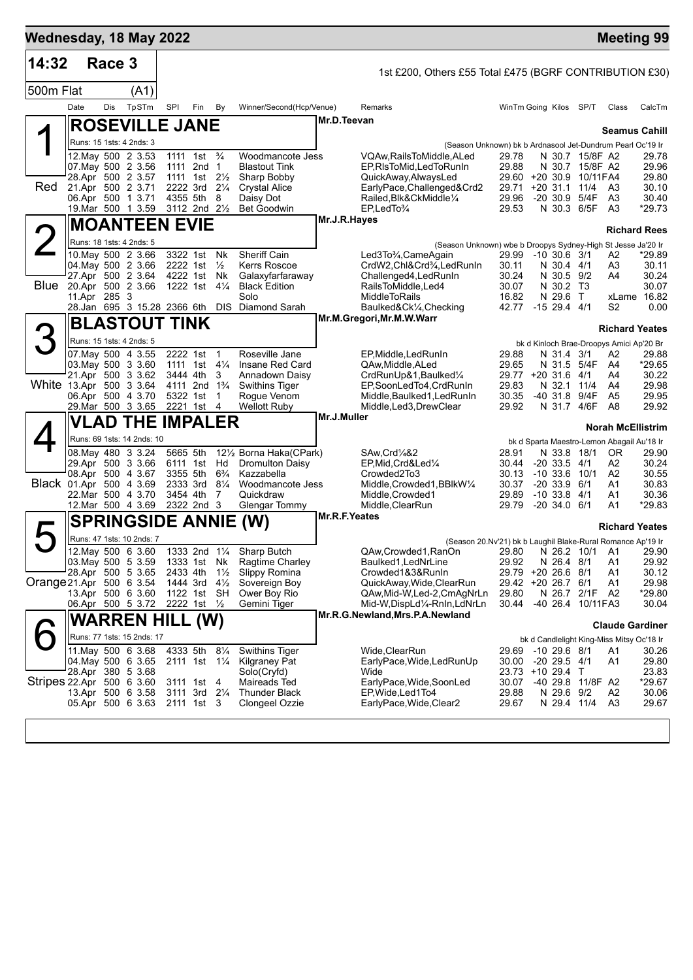| Wednesday, 18 May 2022    |              |        |                                         |            |                                        |                     |                                      |               |                                                                                   |                             |                                       |                                     |                                                 | <b>Meeting 99</b>        |
|---------------------------|--------------|--------|-----------------------------------------|------------|----------------------------------------|---------------------|--------------------------------------|---------------|-----------------------------------------------------------------------------------|-----------------------------|---------------------------------------|-------------------------------------|-------------------------------------------------|--------------------------|
| 14:32                     |              | Race 3 |                                         |            |                                        |                     |                                      |               | 1st £200, Others £55 Total £475 (BGRF CONTRIBUTION £30)                           |                             |                                       |                                     |                                                 |                          |
| 500m Flat                 |              |        | (A1)                                    |            |                                        |                     |                                      |               |                                                                                   |                             |                                       |                                     |                                                 |                          |
|                           | Date         | Dis    | TpSTm                                   | <b>SPI</b> | Fin                                    | By                  | Winner/Second(Hcp/Venue)             |               | Remarks                                                                           | WinTm Going Kilos SP/T      |                                       |                                     | Class                                           | CalcTm                   |
|                           |              |        | <b>ROSEVILLE JANE</b>                   |            |                                        |                     |                                      | Mr.D.Teevan   |                                                                                   |                             |                                       |                                     |                                                 | <b>Seamus Cahill</b>     |
|                           |              |        | Runs: 15 1sts: 4 2nds: 3                |            |                                        |                     |                                      |               | (Season Unknown) bk b Ardnasool Jet-Dundrum Pearl Oc'19 Ir                        |                             |                                       |                                     |                                                 |                          |
|                           |              |        | 12. May 500 2 3.53                      |            | 1111 1st <sup>3</sup> / <sub>4</sub>   |                     | Woodmancote Jess                     |               | VQAw,RailsToMiddle,ALed                                                           | 29.78                       |                                       | N 30.7 15/8F A2<br>N 30.7 15/8F A2  |                                                 | 29.78                    |
|                           |              |        | 07 May 500 2 3.56<br>28.Apr 500 2 3.57  |            | 1111 2nd 1<br>1111 1st $2\frac{1}{2}$  |                     | <b>Blastout Tink</b><br>Sharp Bobby  |               | EP, RIsToMid, Led To Run In<br>QuickAway,AlwaysLed                                | 29.88<br>29.60 +20 30.9     |                                       | 10/11FA4                            |                                                 | 29.96<br>29.80           |
| Red                       |              |        | 21.Apr 500 2 3.71                       |            | 2222 3rd 21/4<br>4355 5th              | 8                   | <b>Crystal Alice</b>                 |               | EarlyPace, Challenged&Crd2<br>Railed, Blk&CkMiddle1/4                             | 29.71                       | $+20$ 31.1 11/4                       |                                     | A3<br>A <sub>3</sub>                            | 30.10                    |
|                           |              |        | 06.Apr 500 1 3.71<br>19. Mar 500 1 3.59 |            | 3112 2nd 21/2                          |                     | Daisy Dot<br><b>Bet Goodwin</b>      |               | $EP$ , Led To $\frac{3}{4}$                                                       | 29.96<br>29.53              | -20 30.9 5/4F                         | N 30.3 6/5F                         | A3                                              | 30.40<br>*29.73          |
|                           |              |        | <b>MOANTEEN EVIE</b>                    |            |                                        |                     |                                      | Mr.J.R.Hayes  |                                                                                   |                             |                                       |                                     |                                                 | <b>Richard Rees</b>      |
| <b>2</b>                  |              |        | Runs: 18 1sts: 4 2nds: 5                |            |                                        |                     |                                      |               | (Season Unknown) wbe b Droopys Sydney-High St Jesse Ja'20 Ir                      |                             |                                       |                                     |                                                 |                          |
|                           |              |        | 10 May 500 2 3.66                       |            | 3322 1st<br>2222 1st                   | Nk                  | Sheriff Cain<br><b>Kerrs Roscoe</b>  |               | Led3To¼,CameAgain                                                                 | 29.99 -10 30.6 3/1          |                                       |                                     | A2                                              | *29.89                   |
|                           |              |        | 04. May 500 2 3.66<br>27.Apr 500 2 3.64 |            | 4222 1st                               | $\frac{1}{2}$<br>Nk | Galaxyfarfaraway                     |               | CrdW2,Chl&Crd <sup>3</sup> / <sub>4</sub> ,LedRunIn<br>Challenged4, LedRunIn      | 30.11<br>30.24              | N 30.4 4/1<br>N 30.5 9/2              |                                     | A3<br>A4                                        | 30.11<br>30.24           |
| Blue                      | 11.Apr 285 3 |        | 20.Apr 500 2 3.66                       |            | 1222 1st                               | $4\frac{1}{4}$      | <b>Black Edition</b><br>Solo         |               | RailsToMiddle.Led4                                                                | 30.07<br>16.82              | N 30.2 T3                             |                                     |                                                 | 30.07                    |
|                           |              |        | 28.Jan 695 3 15.28 2366 6th             |            |                                        | <b>DIS</b>          | Diamond Sarah                        |               | <b>MiddleToRails</b><br>Baulked&Ck1/4, Checking                                   | 42.77 -15 29.4 4/1          | N 29.6 T                              |                                     | S <sub>2</sub>                                  | xLame 16.82<br>0.00      |
|                           |              |        | <b>BLASTOUT TINK</b>                    |            |                                        |                     |                                      |               | Mr.M.Gregori, Mr.M.W.Warr                                                         |                             |                                       |                                     |                                                 | <b>Richard Yeates</b>    |
| З                         |              |        | Runs: 15 1sts: 4 2nds: 5                |            |                                        |                     |                                      |               |                                                                                   |                             |                                       |                                     | bk d Kinloch Brae-Droopys Amici Ap'20 Br        |                          |
|                           |              |        | 07. May 500 4 3.55                      |            | 2222 1st                               | $\overline{1}$      | Roseville Jane                       |               | EP, Middle, Led Run In                                                            | 29.88                       | N 31.4 3/1                            |                                     | A2                                              | 29.88                    |
|                           |              |        | 03. May 500 3 3.60<br>21.Apr 500 3 3.62 |            | 1111 1st<br>3444 4th                   | $4\frac{1}{4}$<br>3 | Insane Red Card<br>Annadown Daisy    |               | QAw, Middle, ALed<br>CrdRunUp&1, Baulked1/4                                       | 29.65<br>29.77 +20 31.6 4/1 | N 31.5 5/4F                           |                                     | A4<br>A4                                        | *29.65<br>30.22          |
| White 13.Apr 500 3 3.64   |              |        |                                         |            | 4111 2nd 1 <sup>3</sup> / <sub>4</sub> |                     | <b>Swithins Tiger</b>                |               | EP,SoonLedTo4,CrdRunIn                                                            | 29.83                       | N 32.1                                | 11/4                                | A4                                              | 29.98                    |
|                           |              |        | 06.Apr 500 4 3.70<br>29. Mar 500 3 3.65 |            | 5322 1st<br>2221 1st                   | $\mathbf 1$<br>4    | Rogue Venom<br><b>Wellott Ruby</b>   |               | Middle, Baulked 1, Led Run In<br>Middle,Led3,DrewClear                            | 30.35<br>29.92              | $-40$ 31.8<br>N 31.7                  | 9/4F<br>4/6F                        | A5<br>A8                                        | 29.95<br>29.92           |
|                           |              |        | <b>VLAD THE IMPALER</b>                 |            |                                        |                     |                                      | Mr.J.Muller   |                                                                                   |                             |                                       |                                     |                                                 | <b>Norah McEllistrim</b> |
|                           |              |        | Runs: 69 1sts: 14 2nds: 10              |            |                                        |                     |                                      |               |                                                                                   |                             |                                       |                                     | bk d Sparta Maestro-Lemon Abagail Au'18 Ir      |                          |
|                           |              |        | 08. May 480 3 3.24                      |            | 5665 5th                               |                     | 121/ <sub>2</sub> Borna Haka(CPark)  |               | SAw, Crd <sup>1</sup> / <sub>4</sub> &2                                           | 28.91                       | N 33.8 18/1                           |                                     | 0R                                              | 29.90                    |
|                           |              |        | 29.Apr 500 3 3.66<br>08.Apr 500 4 3.67  |            | 6111 1st Hd<br>3355 5th                | $6\frac{3}{4}$      | <b>Dromulton Daisy</b><br>Kazzabella |               | EP, Mid, Crd&Led1/4<br>Crowded2To3                                                | 30.44<br>30.13              | $-20$ 33.5 $4/1$<br>$-10$ 33.6 $10/1$ |                                     | A2<br>A2                                        | 30.24<br>30.55           |
| Black 01.Apr 500 4 3.69   |              |        |                                         |            | 2333 3rd                               | $8\frac{1}{4}$      | Woodmancote Jess                     |               | Middle,Crowded1,BBlkW1/4                                                          | 30.37                       | $-20, 33.9, 6/1$                      |                                     | A1                                              | 30.83                    |
|                           |              |        | 22.Mar 500 4 3.70<br>12.Mar 500 4 3.69  |            | 3454 4th<br>2322 2nd 3                 | 7                   | Quickdraw<br>Glengar Tommy           |               | Middle, Crowded1<br>Middle, ClearRun                                              | 29.89<br>29.79              | $-10$ 33.8 $4/1$<br>$-20, 34.0, 6/1$  |                                     | A1<br>A1                                        | 30.36<br>*29.83          |
|                           |              |        | <b>SPRINGSIDE ANNIE</b>                 |            |                                        |                     | (W)                                  | Mr.R.F.Yeates |                                                                                   |                             |                                       |                                     |                                                 |                          |
| ト                         |              |        | Runs: 47 1sts: 10 2nds: 7               |            |                                        |                     |                                      |               |                                                                                   |                             |                                       |                                     |                                                 | <b>Richard Yeates</b>    |
|                           |              |        | 12. May 500 6 3.60                      |            |                                        |                     | 1333 2nd 11/4 Sharp Butch            |               | (Season 20.Nv'21) bk b Laughil Blake-Rural Romance Ap'19 Ir<br>QAw,Crowded1,RanOn | 29.80                       |                                       | N 26.2 10/1 A1                      |                                                 | 29.90                    |
|                           |              |        | 03 May 500 5 3.59<br>28.Apr 500 5 3.65  |            | 1333 1st Nk<br>2433 4th                | $1\frac{1}{2}$      | Ragtime Charley<br>Slippy Romina     |               | Baulked1, LedNrLine<br>Crowded1&3&RunIn                                           | 29.92<br>29.79              | N 26.4 8/1<br>$+2026.68/1$            |                                     | A <sub>1</sub><br>A1                            | 29.92<br>30.12           |
| Orange 21.Apr 500 6 3.54  |              |        |                                         |            | 1444 3rd                               | $4\frac{1}{2}$      | Sovereign Boy                        |               | QuickAway,Wide,ClearRun                                                           | 29.42 +20 26.7 6/1          |                                       |                                     | A1                                              | 29.98                    |
|                           |              |        | 13.Apr 500 6 3.60<br>06.Apr 500 5 3.72  |            | 1122 1st SH<br>2222 1st 1/2            |                     | Ower Boy Rio<br>Gemini Tiger         |               | QAw,Mid-W,Led-2,CmAgNrLn<br>Mid-W,DispLd1/4-RnIn,LdNrLn                           | 29.80<br>30.44              |                                       | N 26.7 2/1F A2<br>-40 26.4 10/11FA3 |                                                 | *29.80<br>30.04          |
|                           |              |        | <b>WARREN HILL (W)</b>                  |            |                                        |                     |                                      |               | Mr.R.G.Newland, Mrs.P.A.Newland                                                   |                             |                                       |                                     |                                                 |                          |
|                           |              |        | Runs: 77 1sts: 15 2nds: 17              |            |                                        |                     |                                      |               |                                                                                   |                             |                                       |                                     |                                                 | <b>Claude Gardiner</b>   |
|                           |              |        | 11. May 500 6 3.68                      |            | 4333 5th                               | $8\frac{1}{4}$      | <b>Swithins Tiger</b>                |               | Wide, ClearRun                                                                    | 29.69                       | $-10$ 29.6 $8/1$                      |                                     | bk d Candlelight King-Miss Mitsy Oc'18 Ir<br>A1 | 30.26                    |
|                           |              |        | 04. May 500 6 3.65                      |            | 2111 1st 11/4                          |                     | Kilgraney Pat                        |               | EarlyPace, Wide, Led Run Up                                                       | 30.00                       | $-20$ 29.5 $4/1$                      |                                     | A1                                              | 29.80                    |
| Stripes 22.Apr 500 6 3.60 |              |        | 28.Apr 380 5 3.68                       |            | 3111 1st                               | 4                   | Solo(Cryfd)<br>Maireads Ted          |               | Wide<br>EarlyPace, Wide, SoonLed                                                  | 23.73<br>30.07              | $+10$ 29.4 T                          | -40 29.8 11/8F A2                   |                                                 | 23.83<br>*29.67          |
|                           |              |        | 13.Apr 500 6 3.58                       |            | 3111 3rd 21/4                          |                     | <b>Thunder Black</b>                 |               | EP, Wide, Led 1 To 4                                                              | 29.88                       | N 29.6 9/2                            |                                     | A2                                              | 30.06                    |
|                           |              |        | 05.Apr 500 6 3.63                       |            | 2111 1st 3                             |                     | Clongeel Ozzie                       |               | EarlyPace, Wide, Clear2                                                           | 29.67                       | N 29.4 11/4                           |                                     | A <sub>3</sub>                                  | 29.67                    |
|                           |              |        |                                         |            |                                        |                     |                                      |               |                                                                                   |                             |                                       |                                     |                                                 |                          |
|                           |              |        |                                         |            |                                        |                     |                                      |               |                                                                                   |                             |                                       |                                     |                                                 |                          |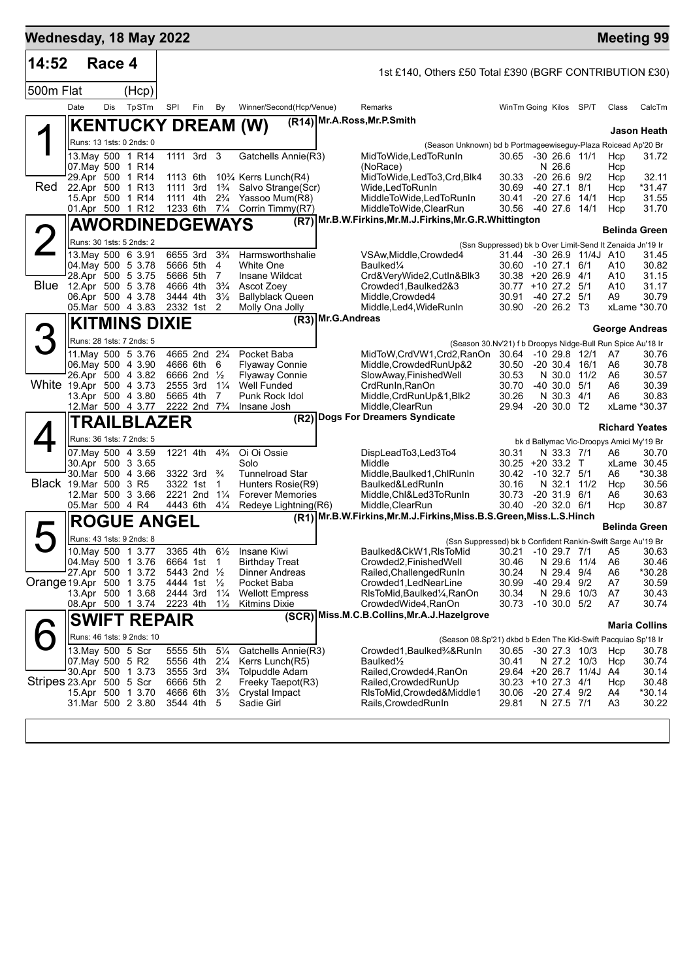| Wednesday, 18 May 2022   |                   |        |                                          |     |                                                    |                                  |                                                |                   |                                                                                              |                                                             |                                  |                          |                      | <b>Meeting 99</b>                                                 |
|--------------------------|-------------------|--------|------------------------------------------|-----|----------------------------------------------------|----------------------------------|------------------------------------------------|-------------------|----------------------------------------------------------------------------------------------|-------------------------------------------------------------|----------------------------------|--------------------------|----------------------|-------------------------------------------------------------------|
| 14:52                    |                   | Race 4 |                                          |     |                                                    |                                  |                                                |                   | 1st £140, Others £50 Total £390 (BGRF CONTRIBUTION £30)                                      |                                                             |                                  |                          |                      |                                                                   |
| 500m Flat                |                   |        | (Hcp)                                    |     |                                                    |                                  |                                                |                   |                                                                                              |                                                             |                                  |                          |                      |                                                                   |
|                          | Date              | Dis    | TpSTm                                    | SPI | Fin                                                | By                               | Winner/Second(Hcp/Venue)                       |                   | Remarks                                                                                      | WinTm Going Kilos SP/T                                      |                                  |                          | Class                | CalcTm                                                            |
|                          |                   |        | <b>KENTUCKY DREAM (W)</b>                |     |                                                    |                                  |                                                |                   | (R14) Mr.A.Ross, Mr.P.Smith                                                                  |                                                             |                                  |                          |                      | Jason Heath                                                       |
|                          |                   |        | Runs: 13 1sts: 0 2nds: 0                 |     |                                                    |                                  |                                                |                   | (Season Unknown) bd b Portmageewiseguy-Plaza Roicead Ap'20 Br                                |                                                             |                                  |                          |                      |                                                                   |
|                          |                   |        | 13. May 500 1 R14<br>07. May 500 1 R14   |     | 1111 3rd 3                                         |                                  | Gatchells Annie(R3)                            |                   | MidToWide,LedToRunIn<br>(NoRace)                                                             | 30.65 -30 26.6 11/1                                         | N 26.6                           |                          | Hcp<br>Hcp           | 31.72                                                             |
|                          |                   |        | 29.Apr 500 1 R14                         |     | 1113 6th                                           |                                  | 10% Kerrs Lunch(R4)                            |                   | MidToWide,LedTo3,Crd,Blk4                                                                    | 30.33                                                       | $-20, 26.6, 9/2$                 |                          | Hcp                  | 32.11                                                             |
| Red                      |                   |        | 22.Apr 500 1 R13                         |     | 1111 3rd 1 <sup>3</sup> / <sub>4</sub>             |                                  | Salvo Strange(Scr)                             |                   | Wide,LedToRunIn                                                                              | 30.69                                                       | -40 27.1 8/1                     |                          | Hcp                  | *31.47                                                            |
|                          |                   |        | 15.Apr 500 1 R14<br>01.Apr 500 1 R12     |     | 1111 4th<br>1233 6th 71/4                          | $2\frac{3}{4}$                   | Yassoo Mum(R8)<br>Corrin Timmy(R7)             |                   | MiddleToWide,LedToRunIn<br>MiddleToWide,ClearRun                                             | 30.41<br>30.56 -40 27.6 14/1                                | $-20\,27.6$                      | 14/1                     | Hcp<br>Hcp           | 31.55<br>31.70                                                    |
|                          |                   |        | <b>AWORDINEDGEWAYS</b>                   |     |                                                    |                                  |                                                |                   | (R7) Mr.B.W.Firkins, Mr.M.J.Firkins, Mr.G.R.Whittington                                      |                                                             |                                  |                          |                      | <b>Belinda Green</b>                                              |
|                          |                   |        | Runs: 30 1sts: 5 2nds: 2                 |     |                                                    |                                  |                                                |                   |                                                                                              | (Ssn Suppressed) bk b Over Limit-Send It Zenaida Jn'19 Ir   |                                  |                          |                      |                                                                   |
|                          |                   |        | 13. May 500 6 3.91                       |     | 6655 3rd 33/4                                      |                                  | Harmsworthshalie                               |                   | VSAw, Middle, Crowded4                                                                       |                                                             |                                  | 31.44 -30 26.9 11/4J A10 |                      | 31.45                                                             |
|                          |                   |        | 04. May 500 5 3.78                       |     | 5666 5th                                           | 4                                | <b>White One</b>                               |                   | Baulked <sup>1/4</sup>                                                                       | 30.60                                                       | -10 27.1 6/1                     |                          | A10                  | 30.82                                                             |
| Blue 12.Apr 500 5 3.78   |                   |        | 28.Apr 500 5 3.75                        |     | 5666 5th<br>4666 4th                               | -7<br>$3\frac{3}{4}$             | Insane Wildcat<br>Ascot Zoey                   |                   | Crd&VeryWide2,CutIn&Blk3<br>Crowded1, Baulked 2&3                                            | 30.38 +20 26.9 4/1<br>30.77 +10 27.2 5/1                    |                                  |                          | A10<br>A10           | 31.15<br>31.17                                                    |
|                          |                   |        | 06.Apr 500 4 3.78                        |     | 3444 4th                                           | $3\frac{1}{2}$                   | <b>Ballyblack Queen</b>                        |                   | Middle, Crowded4                                                                             | 30.91                                                       | $-40$ 27.2 $5/1$                 |                          | A9                   | 30.79                                                             |
|                          |                   |        | 05. Mar 500 4 3.83                       |     | 2332 1st                                           | 2                                | Molly Ona Jolly                                | (R3) Mr.G.Andreas | Middle, Led4, WideRunIn                                                                      | 30.90                                                       | -20 26.2 T3                      |                          |                      | xLame *30.70                                                      |
|                          |                   |        | <b>KITMINS DIXIE</b>                     |     |                                                    |                                  |                                                |                   |                                                                                              |                                                             |                                  |                          |                      | <b>George Andreas</b>                                             |
|                          |                   |        | Runs: 28 1sts: 7 2nds: 5                 |     |                                                    |                                  |                                                |                   |                                                                                              | (Season 30.Nv'21) f b Droopys Nidge-Bull Run Spice Au'18 Ir |                                  |                          |                      |                                                                   |
|                          |                   |        | 11. May 500 5 3.76<br>06. May 500 4 3.90 |     | 4665 2nd 2 <sup>3</sup> / <sub>4</sub><br>4666 6th | 6                                | Pocket Baba                                    |                   | MidToW,CrdVW1,Crd2,RanOn<br>Middle, Crowded RunUp&2                                          | 30.64<br>30.50                                              | -10 29.8 12/1<br>$-20$ 30.4 16/1 |                          | A7                   | 30.76<br>30.78                                                    |
|                          |                   |        | 26.Apr 500 4 3.82                        |     | 6666 2nd 1/2                                       |                                  | <b>Flyaway Connie</b><br><b>Flyaway Connie</b> |                   | SlowAway,FinishedWell                                                                        | 30.53                                                       | N 30.0 11/2                      |                          | A6<br>A6             | 30.57                                                             |
| White 19.Apr 500 4 3.73  |                   |        |                                          |     | 2555 3rd                                           | $1\frac{1}{4}$                   | <b>Well Funded</b>                             |                   | CrdRunIn, RanOn                                                                              | 30.70                                                       | $-40$ 30.0 $5/1$                 |                          | A6                   | 30.39                                                             |
|                          |                   |        | 13.Apr 500 4 3.80<br>12. Mar 500 4 3.77  |     | 5665 4th<br>2222 2nd 7 <sup>3</sup> / <sub>4</sub> | 7                                | Punk Rock Idol<br>Insane Josh                  |                   | Middle,CrdRunUp&1,Blk2<br>Middle, ClearRun                                                   | 30.26<br>29.94                                              | N 30.3 4/1<br>$-20$ 30.0 T2      |                          | A6                   | 30.83<br>xLame *30.37                                             |
|                          |                   |        | TRAILBLAZER                              |     |                                                    |                                  |                                                |                   | (R2) Dogs For Dreamers Syndicate                                                             |                                                             |                                  |                          |                      |                                                                   |
|                          |                   |        | Runs: 36 1sts: 7 2nds: 5                 |     |                                                    |                                  |                                                |                   |                                                                                              |                                                             |                                  |                          |                      | <b>Richard Yeates</b><br>bk d Ballymac Vic-Droopys Amici My'19 Br |
|                          |                   |        | 07 May 500 4 3.59                        |     | 1221 4th                                           | $4\frac{3}{4}$                   | Oi Oi Ossie                                    |                   | DispLeadTo3,Led3To4                                                                          | 30.31                                                       | N 33.3 7/1                       |                          | A6                   | 30.70                                                             |
|                          |                   |        | 30.Apr 500 3 3.65                        |     |                                                    |                                  | Solo                                           |                   | Middle                                                                                       | $30.25 + 20.33.2$ T                                         |                                  |                          |                      | xLame 30.45                                                       |
| Black 19.Mar 500 3 R5    |                   |        | 30. Mar 500 4 3.66                       |     | 3322 3rd<br>3322 1st                               | $\frac{3}{4}$<br>$\mathbf{1}$    | <b>Tunnelroad Star</b><br>Hunters Rosie(R9)    |                   | Middle, Baulked1, ChlRunIn<br>Baulked&LedRunIn                                               | 30.42<br>30.16                                              | $-10$ 32.7 $5/1$<br>N 32.1 11/2  |                          | A6<br>Hcp            | *30.38<br>30.56                                                   |
|                          |                   |        | 12.Mar 500 3 3.66                        |     | 2221 2nd 11/4                                      |                                  | <b>Forever Memories</b>                        |                   | Middle, Chl&Led3ToRunIn                                                                      | 30.73                                                       | $-20$ 31.9 $6/1$                 |                          | A6                   | 30.63                                                             |
|                          | 05.Mar 500 4 R4   |        |                                          |     | 4443 6th                                           | $4\frac{1}{4}$                   | Redeye Lightning(R6)                           |                   | Middle, ClearRun                                                                             | 30.40                                                       | $-20$ 32.0 $6/1$                 |                          | Hcp                  | 30.87                                                             |
|                          |                   |        | <b>ROGUE ANGEL</b>                       |     |                                                    |                                  |                                                |                   | (R1) Mr.B.W.Firkins, Mr.M.J.Firkins, Miss.B.S.Green, Miss.L.S.Hinch                          |                                                             |                                  |                          |                      | Belinda Green                                                     |
|                          |                   |        | Runs: 43 1sts: 9 2nds: 8                 |     |                                                    |                                  |                                                |                   |                                                                                              | (Ssn Suppressed) bk b Confident Rankin-Swift Sarge Au'19 Br |                                  |                          |                      |                                                                   |
|                          |                   |        | 10. May 500 1 3.77<br>04. May 500 1 3.76 |     | 3365 4th<br>6664 1st                               | $6\frac{1}{2}$<br>$\overline{1}$ | Insane Kiwi<br><b>Birthday Treat</b>           |                   | Baulked&CkW1,RIsToMid<br>Crowded2, Finished Well                                             | 30.21 -10 29.7 7/1<br>30.46                                 | N 29.6                           | 11/4                     | A5<br>A <sub>6</sub> | 30.63<br>30.46                                                    |
|                          | 27.Apr 500        |        | 1 3.72                                   |     | 5443 2nd 1/2                                       |                                  | Dinner Andreas                                 |                   | Railed, Challenged RunIn                                                                     | 30.24                                                       | N 29.4                           | 9/4                      | A6                   | *30.28                                                            |
| Orange 19.Apr 500        |                   |        | 1 3.75                                   |     | 4444 1st                                           | $\frac{1}{2}$                    | Pocket Baba                                    |                   | Crowded1, LedNearLine                                                                        | 30.99                                                       | $-4029.4$                        | 9/2                      | A7                   | 30.59                                                             |
|                          |                   |        | 13.Apr 500 1 3.68<br>08.Apr 500 1 3.74   |     | 2444 3rd<br>2223 4th                               | $1\frac{1}{4}$<br>$1\frac{1}{2}$ | <b>Wellott Empress</b><br><b>Kitmins Dixie</b> |                   | RIsToMid, Baulked <sup>1</sup> / <sub>4</sub> , RanOn<br>CrowdedWide4, RanOn                 | 30.34<br>30.73                                              | N 29.6 10/3<br>$-10$ 30.0 $5/2$  |                          | A7<br>A7             | 30.43<br>30.74                                                    |
|                          |                   |        | <b>SWIFT REPAIR</b>                      |     |                                                    |                                  |                                                |                   | (SCR) Miss.M.C.B.Collins, Mr.A.J.Hazelgrove                                                  |                                                             |                                  |                          |                      |                                                                   |
|                          |                   |        |                                          |     |                                                    |                                  |                                                |                   |                                                                                              |                                                             |                                  |                          |                      | <b>Maria Collins</b>                                              |
|                          | 13. May 500 5 Scr |        | Runs: 46 1sts: 9 2nds: 10                |     | 5555 5th                                           | $5\frac{1}{4}$                   | Gatchells Annie(R3)                            |                   | (Season 08.Sp'21) dkbd b Eden The Kid-Swift Pacquiao Sp'18 Ir<br>Crowded1, Baulked3⁄4& Runln | 30.65                                                       | $-30$ 27.3 $10/3$                |                          | Hcp                  | 30.78                                                             |
|                          | 07. May 500 5 R2  |        |                                          |     | 5556 4th                                           | $2\frac{1}{4}$                   | Kerrs Lunch(R5)                                |                   | Baulked <sup>1</sup> / <sub>2</sub>                                                          | 30.41                                                       | N 27.2 10/3                      |                          | Hcp                  | 30.74                                                             |
|                          |                   |        | 30.Apr 500 1 3.73                        |     | 3555 3rd                                           | $3\frac{3}{4}$                   | <b>Tolpuddle Adam</b>                          |                   | Railed, Crowded4, RanOn                                                                      |                                                             |                                  | 29.64 +20 26.7 11/4J     | A4                   | 30.14                                                             |
| Stripes 23.Apr 500 5 Scr |                   |        | 15.Apr 500 1 3.70                        |     | 6666 5th<br>4666 6th                               | 2<br>$3\frac{1}{2}$              | Freeky Taepot(R3)<br>Crystal Impact            |                   | Railed, Crowded RunUp<br>RIsToMid, Crowded&Middle1                                           | 30.23 +10 27.3 4/1<br>30.06                                 | $-20$ 27.4 $9/2$                 |                          | Hcp<br>A4            | 30.48<br>$*30.14$                                                 |
|                          |                   |        | 31.Mar 500 2 3.80                        |     | 3544 4th                                           | 5                                | Sadie Girl                                     |                   | Rails, Crowded Run In                                                                        | 29.81                                                       | N 27.5 7/1                       |                          | A <sub>3</sub>       | 30.22                                                             |
|                          |                   |        |                                          |     |                                                    |                                  |                                                |                   |                                                                                              |                                                             |                                  |                          |                      |                                                                   |
|                          |                   |        |                                          |     |                                                    |                                  |                                                |                   |                                                                                              |                                                             |                                  |                          |                      |                                                                   |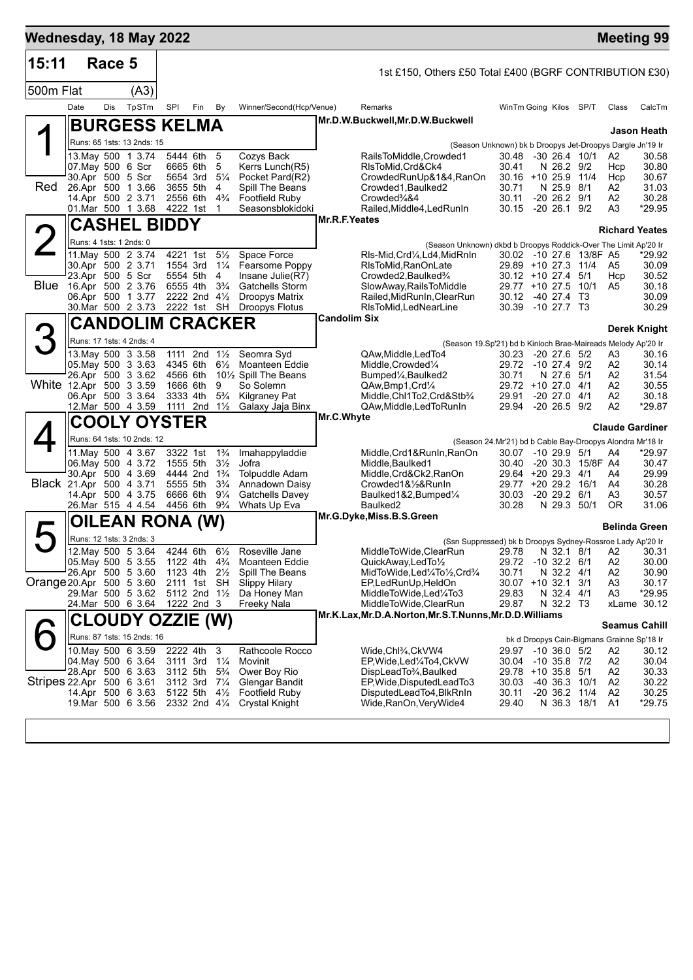| Wednesday, 18 May 2022    |                         |        |                                                |                      |                                                    |                                  |                                                |                     |                                                                                     |                                                           |                                 |                         |                                  | <b>Meeting 99</b>                          |
|---------------------------|-------------------------|--------|------------------------------------------------|----------------------|----------------------------------------------------|----------------------------------|------------------------------------------------|---------------------|-------------------------------------------------------------------------------------|-----------------------------------------------------------|---------------------------------|-------------------------|----------------------------------|--------------------------------------------|
| 15:11                     |                         | Race 5 |                                                |                      |                                                    |                                  |                                                |                     | 1st £150, Others £50 Total £400 (BGRF CONTRIBUTION £30)                             |                                                           |                                 |                         |                                  |                                            |
| 500m Flat                 |                         |        | (A3)                                           |                      |                                                    |                                  |                                                |                     |                                                                                     |                                                           |                                 |                         |                                  |                                            |
|                           | Date                    | Dis    | TpSTm                                          | SPI                  | Fin                                                | By                               | Winner/Second(Hcp/Venue)                       |                     | Remarks                                                                             | WinTm Going Kilos SP/T                                    |                                 |                         | Class                            | CalcTm                                     |
|                           |                         |        | <b>BURGESS KELMA</b>                           |                      |                                                    |                                  |                                                |                     | Mr.D.W.Buckwell, Mr.D.W.Buckwell                                                    |                                                           |                                 |                         |                                  | Jason Heath                                |
|                           |                         |        | Runs: 65 1sts: 13 2nds: 15                     |                      |                                                    |                                  |                                                |                     | (Season Unknown) bk b Droopys Jet-Droopys Dargle Jn'19 Ir                           |                                                           |                                 |                         |                                  |                                            |
|                           |                         |        | 13. May 500 1 3.74                             |                      | 5444 6th                                           | 5                                | Cozys Back                                     |                     | RailsToMiddle,Crowded1                                                              | 30.48 -30 26.4 10/1                                       |                                 |                         | A2                               | 30.58                                      |
|                           |                         |        | 07. May 500 6 Scr                              |                      | 6665 6th                                           | 5                                | Kerrs Lunch(R5)                                |                     | RIsToMid, Crd&Ck4                                                                   | 30.41                                                     | N 26.2 9/2                      |                         | Hcp                              | 30.80                                      |
| Red                       |                         |        | 30.Apr 500 5 Scr<br>26.Apr 500 1 3.66          | 3655 5th             | 5654 3rd                                           | $5\frac{1}{4}$<br>4              | Pocket Pard(R2)<br>Spill The Beans             |                     | CrowdedRunUp&1&4,RanOn<br>Crowded1, Baulked2                                        | $30.16 + 1025.9$<br>30.71                                 | N 25.9 8/1                      | 11/4                    | Hcp<br>A2                        | 30.67<br>31.03                             |
|                           |                         |        | 14.Apr 500 2 3.71                              | 2556 6th             |                                                    | $4\frac{3}{4}$                   | <b>Footfield Ruby</b>                          |                     | Crowded <sup>3</sup> / <sub>4</sub> &4                                              | 30.11                                                     | $-20$ 26.2 $9/1$                |                         | A2                               | 30.28                                      |
|                           |                         |        | 01.Mar 500 1 3.68                              |                      | 4222 1st                                           | -1                               | Seasonsblokidoki                               | Mr.R.F.Yeates       | Railed, Middle4, Led RunIn                                                          | 30.15 -20 26.1 9/2                                        |                                 |                         | A3                               | *29.95                                     |
|                           |                         |        | <b>CASHEL BIDDY</b>                            |                      |                                                    |                                  |                                                |                     |                                                                                     |                                                           |                                 |                         |                                  | <b>Richard Yeates</b>                      |
|                           | Runs: 4 1sts: 1 2nds: 0 |        |                                                |                      |                                                    |                                  |                                                |                     | (Season Unknown) dkbd b Droopys Roddick-Over The Limit Ap'20 Ir                     |                                                           |                                 |                         |                                  |                                            |
|                           |                         |        | 11. May 500 2 3.74<br>30.Apr 500 2 3.71        | 4221 1st<br>1554 3rd |                                                    | $5\frac{1}{2}$<br>$1\frac{1}{4}$ | Space Force<br>Fearsome Poppy                  |                     | RIs-Mid, Crd1/4, Ld4, MidRnIn<br>RIsToMid, RanOnLate                                | 29.89 +10 27.3 11/4                                       |                                 | 30.02 -10 27.6 13/8F A5 | A5                               | *29.92<br>30.09                            |
|                           |                         |        | 23.Apr 500 5 Scr                               | 5554 5th             |                                                    | 4                                | Insane Julie(R7)                               |                     | Crowded2, Baulked3/4                                                                | 30.12 +10 27.4 5/1                                        |                                 |                         | Hcp                              | 30.52                                      |
| <b>Blue</b>               |                         |        | 16.Apr 500 2 3.76                              | 6555 4th             |                                                    | $3\frac{3}{4}$                   | <b>Gatchells Storm</b>                         |                     | SlowAway, RailsToMiddle                                                             | 29.77 +10 27.5 10/1                                       |                                 |                         | A5                               | 30.18                                      |
|                           |                         |        | 06.Apr 500 1 3.77<br>30. Mar 500 2 3.73        |                      | 2222 2nd 41/2<br>2222 1st SH                       |                                  | Droopys Matrix<br><b>Droopys Flotus</b>        |                     | Railed, MidRunIn, ClearRun<br>RIsToMid, LedNearLine                                 | 30.12 -40 27.4 T3<br>30.39 - 10 27.7 T3                   |                                 |                         |                                  | 30.09<br>30.29                             |
|                           |                         |        | <b>CANDOLIM CRACKER</b>                        |                      |                                                    |                                  |                                                | <b>Candolim Six</b> |                                                                                     |                                                           |                                 |                         |                                  |                                            |
| 3                         |                         |        | Runs: 17 1sts: 4 2nds: 4                       |                      |                                                    |                                  |                                                |                     |                                                                                     |                                                           |                                 |                         |                                  | <b>Derek Knight</b>                        |
|                           |                         |        | 13. May 500 3 3.58                             |                      | 1111 2nd 11/2                                      |                                  | Seomra Syd                                     |                     | (Season 19.Sp'21) bd b Kinloch Brae-Maireads Melody Ap'20 Ir<br>QAw, Middle, LedTo4 | 30.23                                                     | $-20$ 27.6 $5/2$                |                         | A3                               | 30.16                                      |
|                           |                         |        | 05. May 500 3 3.63                             | 4345 6th             |                                                    | $6\frac{1}{2}$                   | Moanteen Eddie                                 |                     | Middle, Crowded <sup>1/4</sup>                                                      | 29.72                                                     | -10 27.4 9/2                    |                         | A2                               | 30.14                                      |
|                           |                         |        | 26.Apr 500 3 3.62                              | 4566 6th             |                                                    |                                  | 10 <sup>1</sup> / <sub>2</sub> Spill The Beans |                     | Bumped¼,Baulked2                                                                    | 30.71                                                     | N 27.6 5/1                      |                         | A2                               | 31.54                                      |
| White 12.Apr 500 3 3.59   |                         |        | 06.Apr 500 3 3.64                              | 1666 6th<br>3333 4th |                                                    | 9<br>$5\frac{3}{4}$              | So Solemn<br><b>Kilgraney Pat</b>              |                     | QAw, Bmp1, Crd1/4<br>Middle, Chl1To2, Crd&Stb3/4                                    | 29.72 +10 27.0 4/1<br>29.91                               | $-20$ 27.0 $4/1$                |                         | A2<br>A2                         | 30.55<br>30.18                             |
|                           |                         |        | 12.Mar 500 4 3.59                              |                      | 1111 2nd 11/ <sub>2</sub>                          |                                  | Galaxy Jaja Binx                               |                     | QAw, Middle, Led To Run In                                                          | 29.94 -20 26.5 9/2                                        |                                 |                         | A2                               | *29.87                                     |
|                           |                         |        | <b>COOLY OYSTER</b>                            |                      |                                                    |                                  |                                                | Mr.C.Whyte          |                                                                                     |                                                           |                                 |                         |                                  | <b>Claude Gardiner</b>                     |
|                           |                         |        | Runs: 64 1sts: 10 2nds: 12                     |                      |                                                    |                                  |                                                |                     |                                                                                     | (Season 24.Mr'21) bd b Cable Bay-Droopys Alondra Mr'18 Ir |                                 |                         |                                  |                                            |
|                           |                         |        | 11. May 500 4 3.67                             |                      | 3322 1st 1 <sup>3</sup> / <sub>4</sub>             |                                  | Imahappyladdie                                 |                     | Middle, Crd1&RunIn, RanOn                                                           | 30.07 -10 29.9 5/1                                        |                                 |                         | A4                               | *29.97                                     |
|                           |                         |        | 06. May 500 4 3.72<br>30.Apr 500 4 3.69        |                      | 1555 5th<br>4444 2nd 1 <sup>3</sup> / <sub>4</sub> | $3\frac{1}{2}$                   | Jofra<br><b>Tolpuddle Adam</b>                 |                     | Middle, Baulked1<br>Middle, Crd&Ck2, RanOn                                          | 30.40<br>29.64 +20 29.3 4/1                               |                                 | -20 30.3 15/8F A4       | A4                               | 30.47<br>29.99                             |
| Black 21.Apr 500 4 3.71   |                         |        |                                                | 5555 5th             |                                                    | $3\frac{3}{4}$                   | Annadown Daisy                                 |                     | Crowded1&½&RunIn                                                                    | 29.77 +20 29.2 16/1                                       |                                 |                         | A4                               | 30.28                                      |
|                           |                         |        | 14.Apr 500 4 3.75                              | 4456 6th             | 6666 6th                                           | $9\frac{1}{4}$<br>$9\frac{3}{4}$ | Gatchells Davey                                |                     | Baulked1&2, Bumped1/4<br>Baulked <sub>2</sub>                                       | 30.03                                                     | $-20$ 29.2 $6/1$                |                         | A3                               | 30.57                                      |
|                           |                         |        | 26.Mar 515 4 4.54                              |                      |                                                    |                                  | Whats Up Eva                                   |                     | Mr.G.Dyke, Miss.B.S.Green                                                           | 30.28                                                     | N 29.3                          | 50/1                    | 0R                               | 31.06                                      |
| 5                         |                         |        | OILEAN RONA (W)                                |                      |                                                    |                                  |                                                |                     |                                                                                     |                                                           |                                 |                         |                                  | <b>Belinda Green</b>                       |
|                           |                         |        | Runs: 12 1sts: 3 2nds: 3<br>12. May 500 5 3.64 |                      | 4244 6th                                           | $6\frac{1}{2}$                   | Roseville Jane                                 |                     | (Ssn Suppressed) bk b Droopys Sydney-Rossroe Lady Ap'20 Ir<br>MiddleToWide,ClearRun |                                                           |                                 |                         |                                  | 29.78 N 32.1 8/1 A2 30.31                  |
|                           |                         |        | 05. May 500 5 3.55                             |                      | 1122 4th 4 <sup>3</sup> / <sub>4</sub>             |                                  | Moanteen Eddie                                 |                     | QuickAway,LedTo1/2                                                                  | 29.72                                                     | $-10$ 32.2 6/1                  |                         | A2                               | 30.00                                      |
|                           |                         |        | 26.Apr 500 5 3.60                              |                      | 1123 4th 21/ <sub>2</sub>                          |                                  | Spill The Beans                                |                     | MidToWide,Led1/4To1/2,Crd3/4                                                        | 30.71                                                     | N 32.2 4/1                      |                         | A2                               | 30.90                                      |
| Orange 20.Apr 500 5 3.60  |                         |        | 29. Mar 500 5 3.62                             |                      | 2111 1st SH<br>5112 2nd 11/2                       |                                  | <b>Slippy Hilary</b><br>Da Honey Man           |                     | EP,LedRunUp,HeldOn<br>MiddleToWide,Led¼To3                                          | 30.07<br>29.83                                            | +10 32.1<br>N 32.4 4/1          | 3/1                     | A <sub>3</sub><br>A <sub>3</sub> | 30.17<br>*29.95                            |
|                           |                         |        | 24.Mar 500 6 3.64                              |                      | 1222 2nd 3                                         |                                  | Freeky Nala                                    |                     | MiddleToWide,ClearRun                                                               | 29.87                                                     | N 32.2 T3                       |                         |                                  | xLame 30.12                                |
|                           |                         |        | <b>CLOUDY OZZIE (W)</b>                        |                      |                                                    |                                  |                                                |                     | Mr.K.Lax, Mr.D.A.Norton, Mr.S.T.Nunns, Mr.D.D.Williams                              |                                                           |                                 |                         |                                  | <b>Seamus Cahill</b>                       |
|                           |                         |        | Runs: 87 1sts: 15 2nds: 16                     |                      |                                                    |                                  |                                                |                     |                                                                                     |                                                           |                                 |                         |                                  | bk d Droopys Cain-Bigmans Grainne Sp'18 Ir |
|                           |                         |        | 10 May 500 6 3.59                              | 2222 4th             |                                                    | 3                                | Rathcoole Rocco                                |                     | Wide,Chl¾,CkVW4                                                                     | 29.97                                                     | $-10$ 36.0 $5/2$                |                         | A2                               | 30.12                                      |
|                           |                         |        | 04. May 500 6 3.64                             | 3111 3rd             |                                                    | $1\frac{1}{4}$                   | Movinit                                        |                     | EP, Wide, Led 1/4 To 4, Ck VW                                                       | 30.04                                                     | $-10$ 35.8 $7/2$                |                         | A2                               | 30.04                                      |
| Stripes 22.Apr 500 6 3.61 |                         |        | 28.Apr 500 6 3.63                              | 3112 5th<br>3112 3rd |                                                    | $5\frac{3}{4}$<br>$7\frac{1}{4}$ | Ower Boy Rio<br>Glengar Bandit                 |                     | DispLeadTo <sup>3</sup> / <sub>4</sub> , Baulked<br>EP, Wide, DisputedLeadTo3       | 29.78<br>30.03                                            | $+10$ 35.8 5/1<br>-40 36.3 10/1 |                         | A2<br>A2                         | 30.33<br>30.22                             |
|                           |                         |        | 14.Apr 500 6 3.63                              | 5122 5th             |                                                    | $4\frac{1}{2}$                   | <b>Footfield Ruby</b>                          |                     | DisputedLeadTo4, BlkRnIn                                                            | 30.11                                                     | $-20, 36.2$                     | 11/4                    | A2                               | 30.25                                      |
|                           |                         |        | 19. Mar 500 6 3.56                             |                      | 2332 2nd 41/4                                      |                                  | <b>Crystal Knight</b>                          |                     | Wide, RanOn, Very Wide4                                                             | 29.40                                                     | N 36.3 18/1                     |                         | A1                               | *29.75                                     |
|                           |                         |        |                                                |                      |                                                    |                                  |                                                |                     |                                                                                     |                                                           |                                 |                         |                                  |                                            |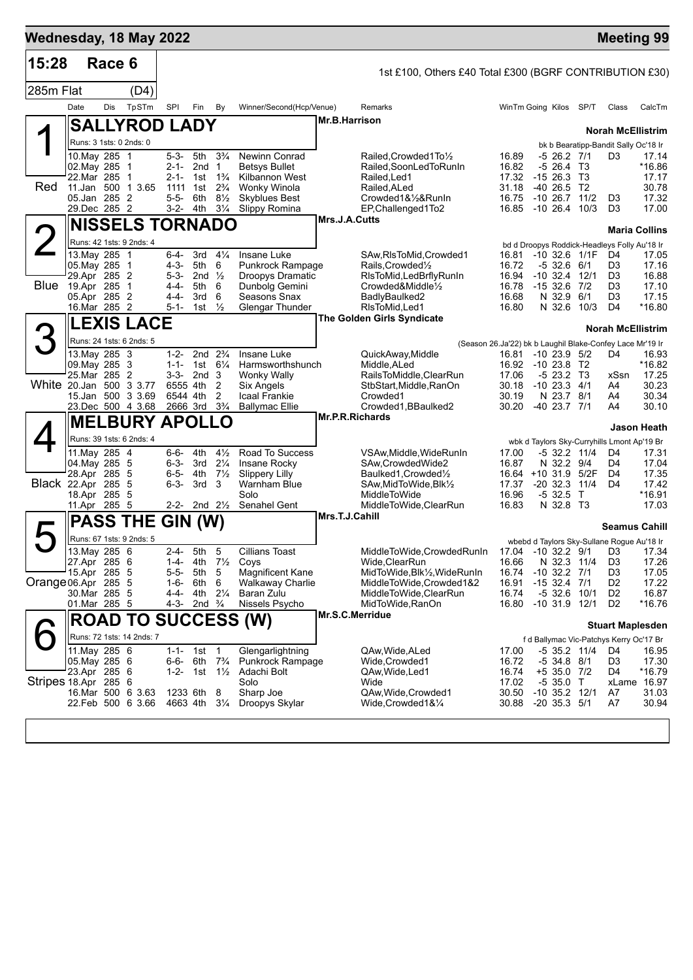|                           |                                                                                              |        |                           |                                                                  |                                                                            |                                                                      |                                                                                                                                      |                 |                                                                                                                                                                    |                                                    |                                                                                                                |                |                                                                                                                | <b>Meeting 99</b>                                     |
|---------------------------|----------------------------------------------------------------------------------------------|--------|---------------------------|------------------------------------------------------------------|----------------------------------------------------------------------------|----------------------------------------------------------------------|--------------------------------------------------------------------------------------------------------------------------------------|-----------------|--------------------------------------------------------------------------------------------------------------------------------------------------------------------|----------------------------------------------------|----------------------------------------------------------------------------------------------------------------|----------------|----------------------------------------------------------------------------------------------------------------|-------------------------------------------------------|
| 15:28                     |                                                                                              | Race 6 |                           |                                                                  |                                                                            |                                                                      |                                                                                                                                      |                 | 1st £100, Others £40 Total £300 (BGRF CONTRIBUTION £30)                                                                                                            |                                                    |                                                                                                                |                |                                                                                                                |                                                       |
| 285m Flat                 |                                                                                              |        | (D4)                      |                                                                  |                                                                            |                                                                      |                                                                                                                                      |                 |                                                                                                                                                                    |                                                    |                                                                                                                |                |                                                                                                                |                                                       |
|                           | Date                                                                                         | Dis    | TpSTm                     | SPI                                                              | Fin                                                                        | By                                                                   | Winner/Second(Hcp/Venue)                                                                                                             |                 | Remarks                                                                                                                                                            |                                                    | WinTm Going Kilos SP/T                                                                                         |                | Class                                                                                                          | CalcTm                                                |
|                           |                                                                                              |        | <b>SALLYROD LADY</b>      |                                                                  |                                                                            |                                                                      |                                                                                                                                      | Mr.B.Harrison   |                                                                                                                                                                    |                                                    |                                                                                                                |                | <b>Norah McEllistrim</b>                                                                                       |                                                       |
|                           | Runs: 3 1sts: 0 2nds: 0                                                                      |        |                           |                                                                  |                                                                            |                                                                      |                                                                                                                                      |                 |                                                                                                                                                                    |                                                    |                                                                                                                |                | bk b Bearatipp-Bandit Sally Oc'18 Ir                                                                           |                                                       |
| Red                       | 10. May 285 1<br>02.May 285 1<br>22.Mar 285 1<br>11. Jan 500 1 3.65<br>05.Jan 285 2          |        |                           | 5-3-<br>2-1-<br>2-1-<br>1111 1st<br>$5 - 5 -$                    | 5th<br>2nd <sub>1</sub><br>1st<br>6th                                      | $3\frac{3}{4}$<br>$1\frac{3}{4}$<br>$2\frac{3}{4}$<br>$8\frac{1}{2}$ | <b>Newinn Conrad</b><br><b>Betsys Bullet</b><br>Kilbannon West<br>Wonky Winola<br><b>Skyblues Best</b>                               |                 | Railed.Crowded1To1/2<br>Railed.SoonLedToRunIn<br>Railed.Led1<br>Railed, ALed<br>Crowded1&½&RunIn                                                                   | 16.89<br>16.82<br>17.32<br>31.18<br>16.75          | $-526.27/1$<br>$-5, 26.4$ T <sub>3</sub><br>$-1526.3$ T3<br>$-40$ 26.5 T2<br>-10 26.7                          | 11/2           | D <sub>3</sub><br>D <sub>3</sub>                                                                               | 17.14<br>*16.86<br>17.17<br>30.78<br>17.32            |
|                           | 29.Dec 285 2                                                                                 |        |                           | 3-2- 4th                                                         |                                                                            | $3\frac{1}{4}$                                                       | Slippy Romina                                                                                                                        |                 | EP, Challenged 1 To 2                                                                                                                                              |                                                    | 16.85 -10 26.4 10/3                                                                                            |                | D <sub>3</sub>                                                                                                 | 17.00                                                 |
|                           |                                                                                              |        | <b>NISSELS TORNADO</b>    |                                                                  |                                                                            |                                                                      |                                                                                                                                      | Mrs.J.A.Cutts   |                                                                                                                                                                    |                                                    |                                                                                                                |                | <b>Maria Collins</b>                                                                                           |                                                       |
| 2                         | Runs: 42 1sts: 9 2nds: 4                                                                     |        |                           |                                                                  |                                                                            |                                                                      |                                                                                                                                      |                 |                                                                                                                                                                    |                                                    | bd d Droopys Roddick-Headleys Folly Au'18 Ir                                                                   |                |                                                                                                                |                                                       |
| <b>Blue</b>               | 13. May 285 1<br>05. May 285 1<br>29.Apr 285 2<br>19.Apr 285<br>05.Apr 285 2<br>16.Mar 285 2 |        | $\overline{1}$            | $6 - 4 -$<br>$4 - 3 -$<br>$5 - 3 -$<br>4-4-<br>$4 - 4 -$<br>5-1- | 3rd $4\frac{1}{4}$<br>5th<br>2nd $\frac{1}{2}$<br>5th<br>3rd<br>1st        | 6<br>6<br>6<br>$\frac{1}{2}$                                         | Insane Luke<br><b>Punkrock Rampage</b><br><b>Droopys Dramatic</b><br>Dunbolg Gemini<br>Seasons Snax<br><b>Glengar Thunder</b>        |                 | SAw, RIsToMid, Crowded1<br>Rails, Crowded <sup>1</sup> / <sub>2</sub><br>RIsToMid, LedBrflyRunIn<br>Crowded&Middle1/2<br>BadlyBaulked2<br>RIsToMid, Led1           | 16.81<br>16.72<br>16.94<br>16.68<br>16.80          | $-10$ 32.6 $1/1F$<br>$-532.661$<br>$-10$ 32.4 $12/1$<br>16.78 -15 32.6 7/2<br>N 32.9 6/1<br>N 32.6 10/3        |                | D4<br>D <sub>3</sub><br>D <sub>3</sub><br>D <sub>3</sub><br>D <sub>3</sub><br>D4                               | 17.05<br>17.16<br>16.88<br>17.10<br>17.15<br>$*16.80$ |
|                           |                                                                                              |        | <b>LEXIS LACE</b>         |                                                                  |                                                                            |                                                                      |                                                                                                                                      |                 | <b>The Golden Girls Syndicate</b>                                                                                                                                  |                                                    |                                                                                                                |                |                                                                                                                |                                                       |
| З                         | Runs: 24 1sts: 6 2nds: 5                                                                     |        |                           |                                                                  |                                                                            |                                                                      |                                                                                                                                      |                 |                                                                                                                                                                    |                                                    |                                                                                                                |                | <b>Norah McEllistrim</b>                                                                                       |                                                       |
|                           | 13. May 285 3                                                                                |        |                           | $1 - 2 -$                                                        | 2nd $2\frac{3}{4}$                                                         |                                                                      | Insane Luke                                                                                                                          |                 | QuickAway, Middle                                                                                                                                                  | 16.81                                              | (Season 26.Ja'22) bk b Laughil Blake-Confey Lace Mr'19 Ir<br>$-10$ 23.9 $5/2$                                  |                | D4                                                                                                             | 16.93                                                 |
| White 20.Jan 500 3 3.77   | 09. May 285 3<br>25.Mar 285 2<br>15.Jan 500 3 3.69<br>23.Dec 500 4 3.68                      |        |                           | $1 - 1 -$<br>6555 4th<br>6544 4th                                | 1st $6\frac{1}{4}$<br>$3-3-2nd3$<br>2666 3rd 3 <sup>3</sup> / <sub>4</sub> | 2<br>2                                                               | Harmsworthshunch<br>Wonky Wally<br>Six Angels<br><b>Icaal Frankie</b><br><b>Ballymac Ellie</b>                                       |                 | Middle, ALed<br>RailsToMiddle, ClearRun<br>StbStart,Middle,RanOn<br>Crowded1<br>Crowded1, BBaulked2                                                                | 16.92<br>17.06<br>30.18<br>30.19<br>30.20          | $-1023.8$ T2<br>$-523.2$ T <sub>3</sub><br>$-10$ 23.3 $4/1$<br>N 23.7 8/1<br>-40 23.7 7/1                      |                | xSsn<br>A4<br>A4<br>A4                                                                                         | *16.82<br>17.25<br>30.23<br>30.34<br>30.10            |
|                           |                                                                                              |        | <b>MELBURY APOLLO</b>     |                                                                  |                                                                            |                                                                      |                                                                                                                                      | Mr.P.R.Richards |                                                                                                                                                                    |                                                    |                                                                                                                |                |                                                                                                                | Jason Heath                                           |
|                           | Runs: 39 1sts: 6 2nds: 4                                                                     |        |                           |                                                                  |                                                                            |                                                                      |                                                                                                                                      |                 |                                                                                                                                                                    |                                                    | wbk d Taylors Sky-Curryhills Lmont Ap'19 Br                                                                    |                |                                                                                                                |                                                       |
| <b>Black 22.Apr 285 5</b> | 11. May 285 4<br>04. May 285 5<br>28.Apr 285 5<br>18.Apr 285 5<br>11.Apr 285 5               |        |                           | 6-6-<br>$6 - 3 -$<br>$6 - 5 -$<br>$6 - 3 -$<br>2-2-              | 4th<br>3rd<br>4th<br>3rd<br>2nd $2\frac{1}{2}$                             | $4\frac{1}{2}$<br>$2\frac{1}{4}$<br>$7\frac{1}{2}$<br>3              | Road To Success<br>Insane Rocky<br><b>Slippery Lilly</b><br>Warnham Blue<br>Solo<br>Senahel Gent                                     | Mrs.T.J.Cahill  | VSAw, Middle, WideRunIn<br>SAw, Crowded Wide 2<br>Baulked1, Crowded <sup>1</sup> / <sub>2</sub><br>SAw, MidToWide, Blk1/2<br>MiddleToWide<br>MiddleToWide,ClearRun | 17.00<br>16.87<br>17.37<br>16.96<br>16.83          | -5 32.2 11/4<br>N 32.2 9/4<br>16.64 +10 31.9 5/2F<br>$-20.32.3$<br>$-5$ 32.5<br>N 32.8 T3                      | 11/4<br>$\top$ | D4<br>D4<br>D4<br>D4                                                                                           | 17.31<br>17.04<br>17.35<br>17.42<br>*16.91<br>17.03   |
| $\blacktriangleright$     | <b>PASS THE</b>                                                                              |        |                           | GIN (W)                                                          |                                                                            |                                                                      |                                                                                                                                      |                 |                                                                                                                                                                    |                                                    |                                                                                                                |                | <b>Seamus Cahill</b>                                                                                           |                                                       |
|                           | Runs: 67 1sts: 9 2nds: 5                                                                     |        |                           |                                                                  |                                                                            |                                                                      |                                                                                                                                      |                 |                                                                                                                                                                    |                                                    | wbebd d Taylors Sky-Sullane Rogue Au'18 Ir                                                                     |                |                                                                                                                |                                                       |
| Orange 06.Apr 285 5       | 13. May 285 6<br>27.Apr 285 6<br>15.Apr 285 5<br>30. Mar 285 5<br>01.Mar 285 5               |        |                           | $2 - 4 -$<br>1-4-<br>$5 - 5 -$<br>$1 - 6 -$<br>4-4-<br>$4 - 3 -$ | 5th 5<br>4th<br>5th<br>6th<br>4th<br>2nd $\frac{3}{4}$                     | 5<br>6<br>$2\frac{1}{4}$                                             | <b>Cillians Toast</b><br>71/ <sub>2</sub> Coys<br><b>Magnificent Kane</b><br><b>Walkaway Charlie</b><br>Baran Zulu<br>Nissels Psycho |                 | MiddleToWide,CrowdedRunIn<br>Wide, ClearRun<br>MidToWide, Blk1/2, WideRunIn<br>MiddleToWide,Crowded1&2<br>MiddleToWide,ClearRun<br>MidToWide, RanOn                | 16.66<br>16.74<br>16.91<br>16.74<br>16.80          | 17.04 -10 32.2 9/1<br>N 32.3 11/4<br>$-10$ 32.2 $7/1$<br>$-15$ 32.4 $7/1$<br>$-5$ 32.6 10/1<br>$-10$ 31.9 12/1 |                | D <sub>3</sub> 17.34<br>D <sub>3</sub><br>D <sub>3</sub><br>D <sub>2</sub><br>D <sub>2</sub><br>D <sub>2</sub> | 17.26<br>17.05<br>17.22<br>16.87<br>*16.76            |
|                           |                                                                                              |        |                           |                                                                  |                                                                            |                                                                      | <b>ROAD TO SUCCESS (W)</b>                                                                                                           | Mr.S.C.Merridue |                                                                                                                                                                    |                                                    |                                                                                                                |                | <b>Stuart Maplesden</b>                                                                                        |                                                       |
|                           |                                                                                              |        | Runs: 72 1sts: 14 2nds: 7 |                                                                  |                                                                            |                                                                      |                                                                                                                                      |                 |                                                                                                                                                                    |                                                    | f d Ballymac Vic-Patchys Kerry Oc'17 Br                                                                        |                |                                                                                                                |                                                       |
| Stripes 18 Apr 285 6      | 11. May 285 6<br>05. May 285 6<br>23.Apr 285 6<br>16.Mar 500 6 3.63<br>22.Feb 500 6 3.66     |        |                           | $1 - 1 -$<br>6-6-<br>$1 - 2 -$<br>1233 6th<br>4663 4th           | 1st<br>6th<br>1st 1½                                                       | -1<br>$7\frac{3}{4}$<br>8<br>$3\frac{1}{4}$                          | Glengarlightning<br>Punkrock Rampage<br>Adachi Bolt<br>Solo<br>Sharp Joe<br>Droopys Skylar                                           |                 | QAw, Wide, ALed<br>Wide, Crowded1<br>QAw, Wide, Led1<br>Wide<br>QAw, Wide, Crowded1<br>Wide,Crowded1&¼                                                             | 17.00<br>16.72<br>16.74<br>17.02<br>30.50<br>30.88 | -5 35.2 11/4<br>$-5$ 34.8 $8/1$<br>+5 35.0 7/2<br>$-535.0$ T<br>$-10$ 35.2 $12/1$<br>$-20$ 35.3 $5/1$          |                | D4<br>D <sub>3</sub><br>D4<br>xLame 16.97<br>A7<br>A7                                                          | 16.95<br>17.30<br>*16.79<br>31.03<br>30.94            |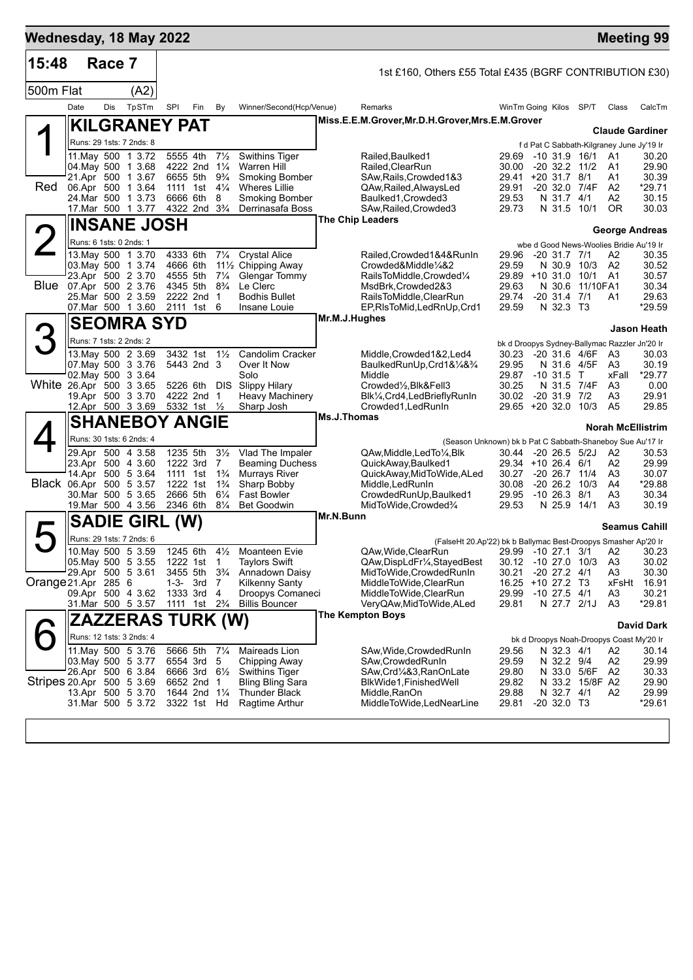| Wednesday, 18 May 2022    |                                              |        |                                                   |           |                                                         |                                  |                                           |           |                                                                                           |                     |                                       |                 | <b>Meeting 99</b>                              |                    |
|---------------------------|----------------------------------------------|--------|---------------------------------------------------|-----------|---------------------------------------------------------|----------------------------------|-------------------------------------------|-----------|-------------------------------------------------------------------------------------------|---------------------|---------------------------------------|-----------------|------------------------------------------------|--------------------|
| 15:48                     |                                              | Race 7 |                                                   |           |                                                         |                                  |                                           |           | 1st £160, Others £55 Total £435 (BGRF CONTRIBUTION £30)                                   |                     |                                       |                 |                                                |                    |
| 500m Flat                 |                                              |        | (A2)                                              |           |                                                         |                                  |                                           |           |                                                                                           |                     |                                       |                 |                                                |                    |
|                           | Date                                         | Dis    | TpSTm                                             | SPI       | Fin                                                     | By                               | Winner/Second(Hcp/Venue)                  |           | Remarks                                                                                   | WinTm Going Kilos   |                                       | SP/T            | Class                                          | CalcTm             |
|                           |                                              |        | <b>KILGRANEY PAT</b>                              |           |                                                         |                                  |                                           |           | Miss.E.E.M.Grover, Mr.D.H.Grover, Mrs.E.M.Grover                                          |                     |                                       |                 | <b>Claude Gardiner</b>                         |                    |
|                           |                                              |        | Runs: 29 1sts: 7 2nds: 8                          |           |                                                         |                                  |                                           |           |                                                                                           |                     |                                       |                 | f d Pat C Sabbath-Kilgraney June Jy'19 Ir      |                    |
|                           |                                              |        | 11. May 500 1 3.72                                |           | 5555 4th                                                | $7\frac{1}{2}$                   | <b>Swithins Tiger</b>                     |           | Railed, Baulked1                                                                          | 29.69               |                                       | -10 31.9 16/1   | A1                                             | 30.20              |
|                           | 04. May 500 1 3.68                           |        | 21.Apr 500 1 3.67                                 |           | 4222 2nd 11/4<br>6655 5th 9 <sup>3</sup> / <sub>4</sub> |                                  | Warren Hill<br><b>Smoking Bomber</b>      |           | Railed, ClearRun<br>SAw, Rails, Crowded 1&3                                               | 30.00<br>29.41      | $-20$ 32.2 11/2<br>$+20$ 31.7 8/1     |                 | A1<br>A1                                       | 29.90<br>30.39     |
| Red                       | 06.Apr 500 1 3.64                            |        |                                                   |           | 1111 1st $4\frac{1}{4}$                                 |                                  | <b>Wheres Lillie</b>                      |           | QAw, Railed, Always Led                                                                   | 29.91               |                                       | -20 32.0 7/4F   | A <sub>2</sub>                                 | *29.71             |
|                           | 24.Mar 500 1 3.73                            |        |                                                   |           | 6666 6th                                                | 8                                | <b>Smoking Bomber</b>                     |           | Baulked1, Crowded3                                                                        | 29.53               | N 31.7 4/1                            |                 | A2                                             | 30.15              |
|                           |                                              |        | 17. Mar 500 1 3.77                                |           | 4322 2nd 3 <sup>3</sup> / <sub>4</sub>                  |                                  | Derrinasafa Boss                          |           | SAw, Railed, Crowded3<br>The Chip Leaders                                                 | 29.73               |                                       | N 31.5 10/1     | OR                                             | 30.03              |
|                           |                                              |        | <b>INSANE JOSH</b>                                |           |                                                         |                                  |                                           |           |                                                                                           |                     |                                       |                 | <b>George Andreas</b>                          |                    |
| $\angle$                  | Runs: 6 1sts: 0 2nds: 1                      |        | 13. May 500 1 3.70                                | 4333 6th  |                                                         | $7\frac{1}{4}$                   | <b>Crystal Alice</b>                      |           | Railed, Crowded 1&4& Run In                                                               | 29.96               | $-20$ 31.7 $7/1$                      |                 | wbe d Good News-Woolies Bridie Au'19 Ir<br>A2  |                    |
|                           | 03. May 500 1 3.74                           |        |                                                   | 4666 6th  |                                                         |                                  | 11½ Chipping Away                         |           | Crowded&Middle1/4&2                                                                       | 29.59               | N 30.9 10/3                           |                 | A2                                             | 30.35<br>30.52     |
|                           | 23.Apr 500 2 3.70                            |        |                                                   | 4555 5th  |                                                         | $7\frac{1}{4}$                   | <b>Glengar Tommy</b>                      |           | RailsToMiddle,Crowded1/4                                                                  | 29.89 +10 31.0 10/1 |                                       |                 | A <sub>1</sub>                                 | 30.57              |
|                           | Blue 07.Apr 500 2 3.76<br>25. Mar 500 2 3.59 |        |                                                   | 4345 5th  | 2222 2nd                                                | $8\frac{3}{4}$<br>$\overline{1}$ | Le Clerc<br><b>Bodhis Bullet</b>          |           | MsdBrk.Crowded2&3<br>RailsToMiddle,ClearRun                                               | 29.63<br>29.74      | $-20$ 31.4 $7/1$                      | N 30.6 11/10FA1 | A1                                             | 30.34<br>29.63     |
|                           | 07. Mar 500 1 3.60                           |        |                                                   |           | 2111 1st                                                | 6                                | Insane Louie                              |           | EP, RIsToMid, Led RnUp, Crd1                                                              | 29.59               | N 32.3 T3                             |                 |                                                | *29.59             |
|                           |                                              |        | <b>SEOMRA SYD</b>                                 |           |                                                         |                                  |                                           |           | Mr.M.J.Hughes                                                                             |                     |                                       |                 |                                                | <b>Jason Heath</b> |
|                           | Runs: 7 1sts: 2 2nds: 2                      |        |                                                   |           |                                                         |                                  |                                           |           |                                                                                           |                     |                                       |                 | bk d Droopys Sydney-Ballymac Razzler Jn'20 Ir  |                    |
|                           |                                              |        | 13. May 500 2 3.69                                |           | 3432 1st                                                | $1\frac{1}{2}$                   | <b>Candolim Cracker</b>                   |           | Middle, Crowded 1&2, Led4                                                                 | 30.23               | -20 31.6 4/6F                         |                 | A3                                             | 30.03              |
|                           | 07 May 500 3 3.76<br>02. May 500 3 3.64      |        |                                                   |           | 5443 2nd 3                                              |                                  | Over It Now<br>Solo                       |           | BaulkedRunUp, Crd1&1/4&3/4<br>Middle                                                      | 29.95<br>29.87      | N 31.6 4/5F<br>$-10$ 31.5 T           |                 | A3<br>xFall                                    | 30.19<br>$*29.77$  |
| White 26.Apr 500 3 3.65   |                                              |        |                                                   |           |                                                         |                                  | 5226 6th DIS Slippy Hilary                |           | Crowded1/2, Blk&Fell3                                                                     | 30.25               | N 31.5 7/4F                           |                 | A3                                             | 0.00               |
|                           |                                              |        | 19.Apr 500 3 3.70                                 |           | 4222 2nd 1                                              |                                  | <b>Heavy Machinery</b>                    |           | Blk1/ <sub>4</sub> , Crd4, LedBriefly RunIn                                               | 30.02               | $-20$ 31.9 $7/2$                      |                 | A3                                             | 29.91              |
|                           |                                              |        | 12.Apr 500 3 3.69                                 |           | 5332 1st 1/2                                            |                                  | Sharp Josh                                |           | Crowded1, Led RunIn<br>Ms.J.Thomas                                                        | 29.65 +20 32.0 10/3 |                                       |                 | A <sub>5</sub>                                 | 29.85              |
|                           |                                              |        | <b>SHANEBOY ANGIE</b><br>Runs: 30 1sts: 6 2nds: 4 |           |                                                         |                                  |                                           |           |                                                                                           |                     |                                       |                 | <b>Norah McEllistrim</b>                       |                    |
|                           |                                              |        | 29.Apr 500 4 3.58                                 |           | 1235 5th                                                | $3\frac{1}{2}$                   | Vlad The Impaler                          |           | (Season Unknown) bk b Pat C Sabbath-Shaneboy Sue Au'17 Ir<br>QAw, Middle, Led To 1/4, Blk | 30.44               | $-20$ 26.5 $5/2J$                     |                 | A2                                             | 30.53              |
|                           | 23.Apr 500 4 3.60                            |        |                                                   |           | 1222 3rd                                                | 7                                | <b>Beaming Duchess</b>                    |           | QuickAway, Baulked1                                                                       | 29.34 +10 26.4 6/1  |                                       |                 | A2                                             | 29.99              |
| Black 06.Apr 500 5 3.57   |                                              |        | 14.Apr 500 5 3.64                                 |           | 1111 1st 1 <sup>3</sup> / <sub>4</sub><br>1222 1st      | $1\frac{3}{4}$                   | <b>Murrays River</b><br>Sharp Bobby       |           | QuickAway, MidToWide, ALed<br>Middle, Led RunIn                                           | 30.27<br>30.08      | $-20$ 26.7 $11/4$<br>-20 26.2         | 10/3            | A <sub>3</sub><br>A4                           | 30.07<br>*29.88    |
|                           |                                              |        | 30.Mar 500 5 3.65                                 | 2666 5th  |                                                         | $6\frac{1}{4}$                   | <b>Fast Bowler</b>                        |           | CrowdedRunUp, Baulked1                                                                    | 29.95               | $-10$ 26.3 8/1                        |                 | A3                                             | 30.34              |
|                           |                                              |        | 19. Mar 500 4 3.56                                | 2346 6th  |                                                         | $8\frac{1}{4}$                   | <b>Bet Goodwin</b>                        |           | MidToWide, Crowded%                                                                       | 29.53               | N 25.9                                | 14/1            | A3                                             | 30.19              |
|                           |                                              |        | <b>SADIE GIRL (W)</b>                             |           |                                                         |                                  |                                           | Mr.N.Bunn |                                                                                           |                     |                                       |                 | <b>Seamus Cahill</b>                           |                    |
|                           |                                              |        | Runs: 29 1sts: 7 2nds: 6                          |           |                                                         |                                  |                                           |           | (FalseHt 20.Ap'22) bk b Ballymac Best-Droopys Smasher Ap'20 Ir                            |                     |                                       |                 |                                                |                    |
|                           |                                              |        | 10. May 500 5 3.59                                |           | 1245 6th                                                | $4\frac{1}{2}$                   | Moanteen Evie                             |           | QAw, Wide, ClearRun                                                                       |                     |                                       |                 | 29.99 -10 27.1 3/1 A2                          | 30.23              |
|                           | 05. May 500 5 3.55<br>29.Apr 500 5 3.61      |        |                                                   |           | 1222 1st<br>3455 5th                                    | $\overline{1}$<br>$3\frac{3}{4}$ | <b>Taylors Swift</b><br>Annadown Daisy    |           | QAw, DispLdFr1/4, Stayed Best<br>MidToWide, Crowded RunIn                                 | 30.12<br>30.21      | $-10$ 27.0 $10/3$<br>$-20$ 27.2 $4/1$ |                 | A <sub>3</sub><br>A <sub>3</sub>               | 30.02<br>30.30     |
| Orange 21.Apr 285 6       |                                              |        |                                                   | $1 - 3 -$ | 3rd                                                     | $\overline{7}$                   | <b>Kilkenny Santy</b>                     |           | MiddleToWide,ClearRun                                                                     | 16.25               | +10 27.2                              | Т3              | xFsHt                                          | 16.91              |
|                           | 09.Apr 500 4 3.62<br>31.Mar 500 5 3.57       |        |                                                   |           | 1333 3rd 4<br>1111 1st 2 <sup>3</sup> / <sub>4</sub>    |                                  | Droopys Comaneci<br><b>Billis Bouncer</b> |           | MiddleToWide,ClearRun<br>VeryQAw,MidToWide,ALed                                           | 29.99<br>29.81      | $-10$ 27.5 $4/1$<br>N 27.7 2/1J       |                 | A3<br>A <sub>3</sub>                           | 30.21<br>*29.81    |
|                           |                                              |        | ZAZZERAS TURK (W)                                 |           |                                                         |                                  |                                           |           | The Kempton Boys                                                                          |                     |                                       |                 |                                                |                    |
|                           |                                              |        | Runs: 12 1sts: 3 2nds: 4                          |           |                                                         |                                  |                                           |           |                                                                                           |                     |                                       |                 |                                                | <b>David Dark</b>  |
|                           |                                              |        | 11. May 500 5 3.76                                |           | 5666 5th                                                | $7\frac{1}{4}$                   | Maireads Lion                             |           | SAw, Wide, Crowded Run In                                                                 | 29.56               | N 32.3 4/1                            |                 | bk d Droopys Noah-Droopys Coast My'20 Ir<br>A2 | 30.14              |
|                           | 03. May 500 5 3.77                           |        |                                                   |           | 6554 3rd                                                | 5                                | Chipping Away                             |           | SAw, Crowded Run In                                                                       | 29.59               | N 32.2 9/4                            |                 | A <sub>2</sub>                                 | 29.99              |
| Stripes 20.Apr 500 5 3.69 | 26.Apr 500 6 3.84                            |        |                                                   |           | 6666 3rd 61/2<br>6652 2nd 1                             |                                  | Swithins Tiger                            |           | SAw,Crd¼&3,RanOnLate                                                                      | 29.80<br>29.82      | N 33.0 5/6F                           | N 33.2 15/8F A2 | A2                                             | 30.33<br>29.90     |
|                           | 13.Apr 500 5 3.70                            |        |                                                   |           | 1644 2nd 11/4                                           |                                  | <b>Bling Bling Sara</b><br>Thunder Black  |           | BlkWide1, FinishedWell<br>Middle, RanOn                                                   | 29.88               | N 32.7 4/1                            |                 | A2                                             | 29.99              |
|                           | 31.Mar 500 5 3.72                            |        |                                                   |           | 3322 1st Hd                                             |                                  | Ragtime Arthur                            |           | MiddleToWide,LedNearLine                                                                  | 29.81               | $-20$ 32.0 T3                         |                 |                                                | $*29.61$           |
|                           |                                              |        |                                                   |           |                                                         |                                  |                                           |           |                                                                                           |                     |                                       |                 |                                                |                    |
|                           |                                              |        |                                                   |           |                                                         |                                  |                                           |           |                                                                                           |                     |                                       |                 |                                                |                    |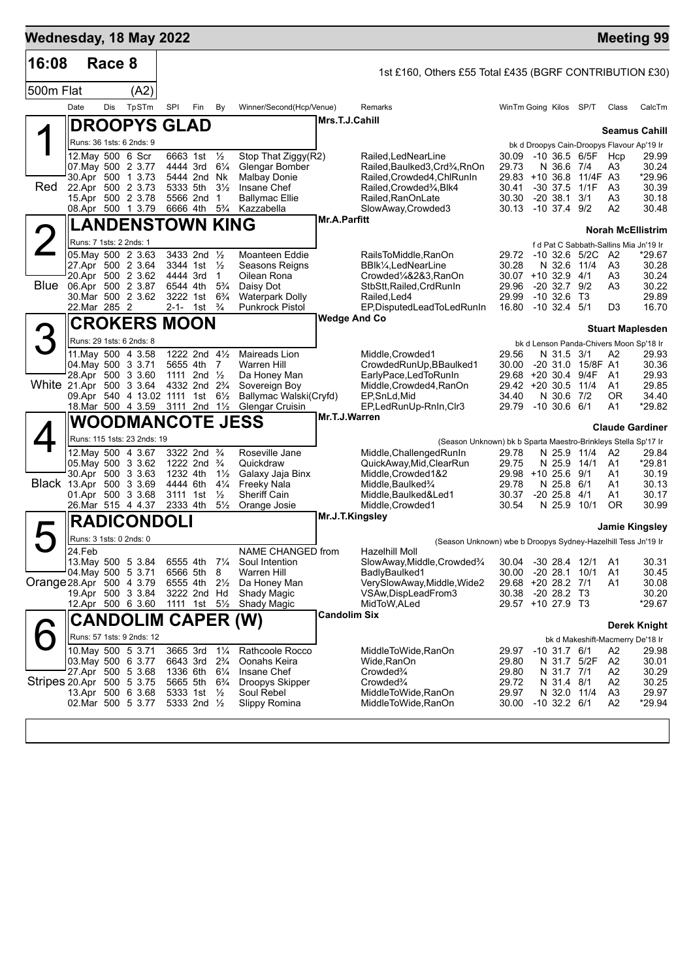| Wednesday, 18 May 2022    |                         |        |                                                             |          |                                        |                                  |                                                  |                     |                                                                                            |                |                                |                          |                                |                      | <b>Meeting 99</b>                          |
|---------------------------|-------------------------|--------|-------------------------------------------------------------|----------|----------------------------------------|----------------------------------|--------------------------------------------------|---------------------|--------------------------------------------------------------------------------------------|----------------|--------------------------------|--------------------------|--------------------------------|----------------------|--------------------------------------------|
| 16:08                     |                         | Race 8 |                                                             |          |                                        |                                  |                                                  |                     | 1st £160, Others £55 Total £435 (BGRF CONTRIBUTION £30)                                    |                |                                |                          |                                |                      |                                            |
| 500m Flat                 |                         |        | (A2)                                                        |          |                                        |                                  |                                                  |                     |                                                                                            |                |                                |                          |                                |                      |                                            |
|                           | Date                    | Dis    | TpSTm                                                       | SPI      | Fin                                    | By                               | Winner/Second(Hcp/Venue)                         |                     | Remarks                                                                                    |                | WinTm Going Kilos SP/T         |                          |                                | Class                | CalcTm                                     |
|                           |                         |        | <b>DROOPYS GLAD</b>                                         |          |                                        |                                  |                                                  | Mrs.T.J.Cahill      |                                                                                            |                |                                |                          |                                |                      | <b>Seamus Cahill</b>                       |
|                           |                         |        | Runs: 36 1sts: 6 2nds: 9                                    |          |                                        |                                  |                                                  |                     |                                                                                            |                |                                |                          |                                |                      | bk d Droopys Cain-Droopys Flavour Ap'19 Ir |
|                           | 12. May 500 6 Scr       |        |                                                             |          | 6663 1st                               | $\frac{1}{2}$                    | Stop That Ziggy(R2)                              |                     | Railed, LedNearLine                                                                        | 30.09          | -10 36.5 6/5F                  |                          |                                | Hcp                  | 29.99                                      |
|                           |                         |        | 07 May 500 2 3.77<br>30.Apr 500 1 3.73                      |          | 4444 3rd<br>5444 2nd Nk                | $6\frac{1}{4}$                   | Glengar Bomber<br><b>Malbay Donie</b>            |                     | Railed, Baulked3, Crd3/4, RnOn<br>Railed.Crowded4.ChlRunIn                                 | 29.73<br>29.83 | $+10.36.8$                     | N 36.6 7/4               | 11/4F A3                       | A3                   | 30.24<br>*29.96                            |
| Red                       |                         |        | 22.Apr 500 2 3.73                                           |          | 5333 5th                               | $3\frac{1}{2}$                   | Insane Chef                                      |                     | Railed, Crowded%, Blk4                                                                     | 30.41          |                                |                          | -30 37.5 1/1F                  | A <sub>3</sub>       | 30.39                                      |
|                           |                         |        | 15.Apr 500 2 3.78                                           |          | 5566 2nd                               | $\overline{1}$                   | <b>Ballymac Ellie</b>                            |                     | Railed, RanOnLate                                                                          | 30.30          | $-20, 38.1$                    |                          | 3/1                            | A3                   | 30.18                                      |
|                           |                         |        | 08.Apr 500 1 3.79                                           |          | 6666 4th 5 <sup>3</sup> / <sub>4</sub> |                                  | Kazzabella                                       | <b>Mr.A.Parfitt</b> | SlowAway, Crowded3                                                                         |                | 30.13 -10 37.4 9/2             |                          |                                | A2                   | 30.48                                      |
|                           |                         |        | <b>LANDENSTOWN KING</b>                                     |          |                                        |                                  |                                                  |                     |                                                                                            |                |                                |                          |                                |                      | <b>Norah McEllistrim</b>                   |
|                           | Runs: 7 1sts: 2 2nds: 1 |        |                                                             |          |                                        |                                  |                                                  |                     |                                                                                            |                |                                |                          |                                |                      | f d Pat C Sabbath-Sallins Mia Jn'19 Ir     |
|                           |                         |        | 05. May 500 2 3.63<br>27.Apr 500 2 3.64                     |          | 3433 2nd 1/2<br>3344 1st               | $\frac{1}{2}$                    | Moanteen Eddie<br>Seasons Reigns                 |                     | RailsToMiddle,RanOn<br>BBlk1/ <sub>4</sub> , LedNearLine                                   | 29.72<br>30.28 |                                |                          | $-10$ 32.6 5/2C<br>N 32.6 11/4 | A2<br>A3             | *29.67<br>30.28                            |
|                           |                         |        | 20.Apr 500 2 3.62                                           | 4444 3rd |                                        | $\mathbf{1}$                     | Oilean Rona                                      |                     | Crowded1/4&2&3,RanOn                                                                       |                | $30.07 + 10.32.9$ 4/1          |                          |                                | A3                   | 30.24                                      |
|                           |                         |        | Blue 06.Apr 500 2 3.87                                      |          | 6544 4th                               | $5\frac{3}{4}$                   | Daisy Dot                                        |                     | StbStt, Railed, CrdRunIn                                                                   | 29.96          | $-20$ 32.7 $9/2$               |                          |                                | A3                   | 30.22                                      |
|                           | 22.Mar 285 2            |        | 30. Mar 500 2 3.62                                          |          | 3222 1st<br>2-1- 1st                   | $6\frac{3}{4}$<br>$\frac{3}{4}$  | <b>Waterpark Dolly</b><br><b>Punkrock Pistol</b> |                     | Railed, Led4<br>EP, Disputed Lead To Led Run In                                            | 29.99<br>16.80 | $-10,32.6$<br>$-10$ 32.4 $5/1$ |                          | Т3                             | D3                   | 29.89<br>16.70                             |
|                           |                         |        |                                                             |          |                                        |                                  |                                                  | Wedge And Co        |                                                                                            |                |                                |                          |                                |                      |                                            |
|                           |                         |        | <b>CROKERS MOON</b>                                         |          |                                        |                                  |                                                  |                     |                                                                                            |                |                                |                          |                                |                      | <b>Stuart Maplesden</b>                    |
|                           |                         |        | Runs: 29 1sts: 6 2nds: 8                                    |          |                                        |                                  |                                                  |                     |                                                                                            |                |                                |                          |                                |                      | bk d Lenson Panda-Chivers Moon Sp'18 Ir    |
|                           |                         |        | 11. May 500 4 3.58<br>04. May 500 3 3.71                    |          | 1222 2nd 41/2<br>5655 4th 7            |                                  | Maireads Lion<br><b>Warren Hill</b>              |                     | Middle, Crowded1<br>CrowdedRunUp, BBaulked1                                                | 29.56<br>30.00 |                                | N 31.5 3/1               | -20 31.0 15/8F A1              | A2                   | 29.93<br>30.36                             |
|                           |                         |        | 28.Apr 500 3 3.60                                           |          | 1111 2nd $\frac{1}{2}$                 |                                  | Da Honey Man                                     |                     | EarlyPace,LedToRunIn                                                                       |                | 29.68 +20 30.4 9/4F            |                          |                                | A1                   | 29.93                                      |
| White 21.Apr 500 3 3.64   |                         |        |                                                             |          | 4332 2nd 2 <sup>3</sup> / <sub>4</sub> |                                  | Sovereign Boy                                    |                     | Middle, Crowded4, RanOn                                                                    | 29.42 +20 30.5 |                                |                          | 11/4                           | A1                   | 29.85                                      |
|                           |                         |        | 09.Apr 540 4 13.02 1111 1st                                 |          |                                        | $6\frac{1}{2}$                   | Ballymac Walski(Cryfd)                           |                     | EP,SnLd,Mid                                                                                | 34.40          |                                | N 30.6 7/2               |                                | ΟR                   | 34.40                                      |
|                           |                         |        | 18. Mar 500 4 3.59 3111 2nd 11/2<br><b>WOODMANCOTE JESS</b> |          |                                        |                                  | <b>Glengar Cruisin</b>                           | Mr.T.J.Warren       | EP,LedRunUp-RnIn,Clr3                                                                      | 29.79          | $-10$ 30.6 6/1                 |                          |                                | A1                   | *29.82                                     |
|                           |                         |        | Runs: 115 1sts: 23 2nds: 19                                 |          |                                        |                                  |                                                  |                     |                                                                                            |                |                                |                          |                                |                      | <b>Claude Gardiner</b>                     |
|                           |                         |        | 12. May 500 4 3.67                                          |          | 3322 2nd <sup>3</sup> / <sub>4</sub>   |                                  | Roseville Jane                                   |                     | (Season Unknown) bk b Sparta Maestro-Brinkleys Stella Sp'17 Ir<br>Middle, Challenged RunIn | 29.78          |                                | N 25.9                   | 11/4                           | A2                   | 29.84                                      |
|                           |                         |        | 05 May 500 3 3.62                                           |          | 1222 2nd $\frac{3}{4}$                 |                                  | Quickdraw                                        |                     | QuickAway, Mid, ClearRun                                                                   | 29.75          |                                | N 25.9                   | 14/1                           | A1                   | *29.81                                     |
|                           |                         |        | 30.Apr 500 3 3.63                                           |          | 1232 4th                               | $1\frac{1}{2}$                   | Galaxy Jaja Binx                                 |                     | Middle, Crowded 1&2                                                                        |                | 29.98 +10 25.6 9/1             |                          |                                | A1                   | 30.19                                      |
| Black 13.Apr 500 3 3.69   |                         |        |                                                             | 4444 6th |                                        | $4\frac{1}{4}$                   | Freeky Nala                                      |                     | Middle, Baulked <sup>3</sup> / <sub>4</sub>                                                | 29.78          |                                | N 25.8 6/1               |                                | A1                   | 30.13                                      |
|                           |                         |        | 01.Apr 500 3 3.68<br>26.Mar 515 4 4.37                      |          | 3111 1st<br>2333 4th                   | $\frac{1}{2}$<br>$5\frac{1}{2}$  | <b>Sheriff Cain</b><br>Orange Josie              |                     | Middle, Baulked&Led1<br>Middle, Crowded1                                                   | 30.37<br>30.54 | $-20\,25.8$                    | N 25.9                   | 4/1<br>10/1                    | A1<br>ΟR             | 30.17<br>30.99                             |
|                           |                         |        | <b>RADICONDOLI</b>                                          |          |                                        |                                  |                                                  | Mr.J.T.Kingsley     |                                                                                            |                |                                |                          |                                |                      |                                            |
|                           |                         |        | Runs: 3 1sts: 0 2nds: 0                                     |          |                                        |                                  |                                                  |                     |                                                                                            |                |                                |                          |                                |                      | Jamie Kingsley                             |
|                           | 24.Feb                  |        |                                                             |          |                                        |                                  | NAME CHANGED from                                |                     | (Season Unknown) wbe b Droopys Sydney-Hazelhill Tess Jn'19 Ir<br>Hazelhill Moll            |                |                                |                          |                                |                      |                                            |
|                           |                         |        | 13. May 500 5 3.84                                          |          | 6555 4th 71/4                          |                                  | Soul Intention                                   |                     | SlowAway, Middle, Crowded <sup>3</sup> /4                                                  | 30.04          | $-30$ 28.4 $12/1$              |                          |                                | A <sub>1</sub>       | 30.31                                      |
|                           |                         |        | 04. May 500 5 3.71                                          |          | 6566 5th                               | 8                                | <b>Warren Hill</b>                               |                     | BadlyBaulked1                                                                              | 30.00          | $-20$ 28.1 10/1                |                          |                                | A1                   | 30.45                                      |
| Orange 28.Apr 500 4 3.79  |                         |        | 19.Apr 500 3 3.84                                           |          | 6555 4th<br>3222 2nd Hd                | $2\frac{1}{2}$                   | Da Honey Man<br>Shady Magic                      |                     | VerySlowAway,Middle,Wide2<br>VSAw, DispLeadFrom3                                           | 29.68<br>30.38 | $+2028.271$<br>$-20$ 28.2 T3   |                          |                                | A1                   | 30.08<br>30.20                             |
|                           |                         |        | 12.Apr 500 6 3.60                                           |          | 1111 1st 5 <sup>1</sup> / <sub>2</sub> |                                  | Shady Magic                                      |                     | MidToW, ALed                                                                               |                | 29.57 +10 27.9 T3              |                          |                                |                      | $*29.67$                                   |
|                           |                         |        | <b>CANDOLIM CAPER (W)</b>                                   |          |                                        |                                  |                                                  | <b>Candolim Six</b> |                                                                                            |                |                                |                          |                                |                      | <b>Derek Knight</b>                        |
|                           |                         |        | Runs: 57 1sts: 9 2nds: 12                                   |          |                                        |                                  |                                                  |                     |                                                                                            |                |                                |                          |                                |                      | bk d Makeshift-Macmerry De'18 Ir           |
|                           |                         |        | 10. May 500 5 3.71                                          |          | 3665 3rd                               | $1\frac{1}{4}$                   | Rathcoole Rocco                                  |                     | MiddleToWide,RanOn                                                                         | 29.97          | $-10$ 31.7 $6/1$               |                          |                                | A2                   | 29.98                                      |
|                           |                         |        | 03. May 500 6 3.77                                          |          | 6643 3rd                               | $2\frac{3}{4}$                   | Oonahs Keira                                     |                     | Wide,RanOn                                                                                 | 29.80          |                                | N 31.7                   | 5/2F                           | A2                   | 30.01                                      |
| Stripes 20.Apr 500 5 3.75 |                         |        | 27.Apr 500 5 3.68                                           | 5665 5th | 1336 6th                               | $6\frac{1}{4}$<br>$6\frac{3}{4}$ | Insane Chef<br>Droopys Skipper                   |                     | Crowded <sup>3</sup> /4<br>Crowded <sup>3</sup> / <sub>4</sub>                             | 29.80<br>29.72 |                                | N 31.7 7/1<br>N 31.4 8/1 |                                | A2<br>A <sub>2</sub> | 30.29<br>30.25                             |
|                           |                         |        | 13.Apr 500 6 3.68                                           |          | 5333 1st                               | $\frac{1}{2}$                    | Soul Rebel                                       |                     | MiddleToWide,RanOn                                                                         | 29.97          |                                |                          | N 32.0 11/4                    | A <sub>3</sub>       | 29.97                                      |
|                           |                         |        | 02.Mar 500 5 3.77                                           |          | 5333 2nd 1/2                           |                                  | Slippy Romina                                    |                     | MiddleToWide,RanOn                                                                         | 30.00          | $-10$ 32.2 $6/1$               |                          |                                | A <sub>2</sub>       | *29.94                                     |
|                           |                         |        |                                                             |          |                                        |                                  |                                                  |                     |                                                                                            |                |                                |                          |                                |                      |                                            |
|                           |                         |        |                                                             |          |                                        |                                  |                                                  |                     |                                                                                            |                |                                |                          |                                |                      |                                            |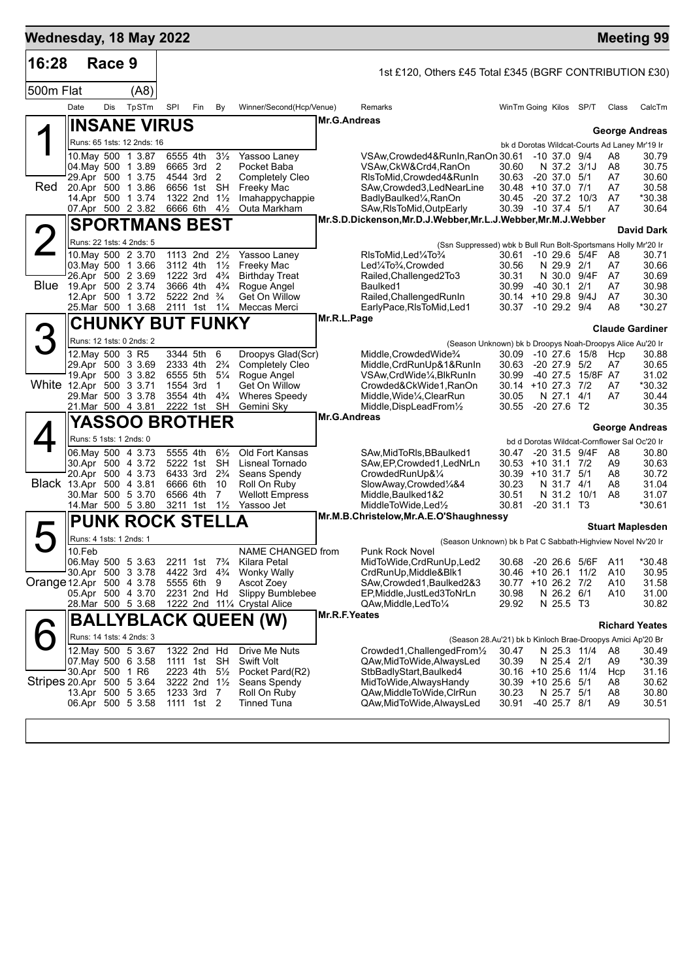| Wednesday, 18 May 2022         |                                        |        |                                        |                      |                                                    |                                  |                                                  |                                                                                    |                                                             |                                 |                          |                      | <b>Meeting 99</b>                                                      |
|--------------------------------|----------------------------------------|--------|----------------------------------------|----------------------|----------------------------------------------------|----------------------------------|--------------------------------------------------|------------------------------------------------------------------------------------|-------------------------------------------------------------|---------------------------------|--------------------------|----------------------|------------------------------------------------------------------------|
| 16:28                          |                                        | Race 9 |                                        |                      |                                                    |                                  |                                                  | 1st £120, Others £45 Total £345 (BGRF CONTRIBUTION £30)                            |                                                             |                                 |                          |                      |                                                                        |
| 500m Flat                      |                                        |        | (A8)                                   |                      |                                                    |                                  |                                                  |                                                                                    |                                                             |                                 |                          |                      |                                                                        |
|                                | Date                                   | Dis    | TpSTm                                  | SPI                  | Fin                                                | By                               | Winner/Second(Hcp/Venue)                         | Remarks                                                                            | WinTm Going Kilos                                           |                                 | SP/T                     | Class                | CalcTm                                                                 |
|                                |                                        |        | <b>INSANE VIRUS</b>                    |                      |                                                    |                                  |                                                  | Mr.G.Andreas                                                                       |                                                             |                                 |                          |                      |                                                                        |
|                                |                                        |        | Runs: 65 1sts: 12 2nds: 16             |                      |                                                    |                                  |                                                  |                                                                                    |                                                             |                                 |                          |                      | <b>George Andreas</b><br>bk d Dorotas Wildcat-Courts Ad Laney Mr'19 Ir |
|                                |                                        |        | 10. May 500 1 3.87                     | 6555 4th             |                                                    | $3\frac{1}{2}$                   | Yassoo Laney                                     | VSAw, Crowded 4& Run In, Ran On 30.61                                              |                                                             | $-10$ 37.0 $9/4$                |                          | A8                   | 30.79                                                                  |
|                                | 04 May 500 1 3.89                      |        | 29.Apr 500 1 3.75                      |                      | 6665 3rd<br>4544 3rd                               | 2<br>2                           | Pocket Baba<br><b>Completely Cleo</b>            | VSAw, CkW&Crd4, RanOn<br>RIsToMid, Crowded4&RunIn                                  | 30.60<br>30.63                                              | N 37.2 3/1J<br>$-20$ 37.0 $5/1$ |                          | A8<br>A7             | 30.75<br>30.60                                                         |
| Red                            |                                        |        | 20.Apr 500 1 3.86                      |                      | 6656 1st                                           | SH                               | Freeky Mac                                       | SAw, Crowded 3, Led NearLine                                                       | 30.48 +10 37.0 7/1                                          |                                 |                          | A7                   | 30.58                                                                  |
|                                | 14.Apr 500 1 3.74                      |        | 07.Apr 500 2 3.82                      |                      | 1322 2nd 11/2<br>6666 6th                          | $4\frac{1}{2}$                   | Imahappychappie<br>Outa Markham                  | BadlyBaulked <sup>1</sup> / <sub>4</sub> ,RanOn<br>SAw, RIsToMid, OutpEarly        | 30.45<br>30.39 -10 37.4 5/1                                 | $-20$ 37.2 10/3                 |                          | A7<br>A7             | *30.38<br>30.64                                                        |
|                                |                                        |        | <b>SPORTMANS BEST</b>                  |                      |                                                    |                                  |                                                  | Mr.S.D.Dickenson, Mr.D.J.Webber, Mr.L.J.Webber, Mr.M.J.Webber                      |                                                             |                                 |                          |                      |                                                                        |
|                                | Runs: 22 1sts: 4 2nds: 5               |        |                                        |                      |                                                    |                                  |                                                  |                                                                                    |                                                             |                                 |                          |                      | <b>David Dark</b>                                                      |
|                                |                                        |        | 10. May 500 2 3.70                     |                      | 1113 2nd 21/ <sub>2</sub>                          |                                  | Yassoo Laney                                     | (Ssn Suppressed) wbk b Bull Run Bolt-Sportsmans Holly Mr'20 Ir<br>RIsToMid,Led¼To¾ | 30.61                                                       |                                 | $-10$ 29.6 5/4F          | A8                   | 30.71                                                                  |
|                                |                                        |        | 03. May 500 1 3.66                     | 3112 4th             |                                                    | $1\frac{1}{2}$                   | Freeky Mac                                       | Led1/4To3/4, Crowded                                                               | 30.56                                                       | N 29.9 2/1                      |                          | A7                   | 30.66                                                                  |
| <b>Blue</b>                    | 26.Apr 500 2 3.69<br>19.Apr 500 2 3.74 |        |                                        | 1222 3rd<br>3666 4th |                                                    | $4\frac{3}{4}$<br>$4\frac{3}{4}$ | <b>Birthday Treat</b><br>Rogue Angel             | Railed, Challenged 2To 3<br>Baulked1                                               | 30.31<br>30.99                                              | N 30.0 9/4F<br>-40 30.1         | 2/1                      | A7<br>A7             | 30.69<br>30.98                                                         |
|                                | 12.Apr 500 1 3.72                      |        |                                        |                      | 5222 2nd                                           | $\frac{3}{4}$                    | Get On Willow                                    | Railed, Challenged RunIn                                                           | 30.14 +10 29.8 9/4J                                         |                                 |                          | A7                   | 30.30                                                                  |
|                                |                                        |        | 25. Mar 500 1 3.68                     |                      | 2111 1st                                           | $1\frac{1}{4}$                   | Meccas Merci                                     | EarlyPace, RIsToMid, Led1<br>Mr.R.L.Page                                           | 30.37                                                       | $-10$ 29.2 $9/4$                |                          | A <sub>8</sub>       | *30.27                                                                 |
| 3                              |                                        |        | <b>CHUNKY BUT FUNKY</b>                |                      |                                                    |                                  |                                                  |                                                                                    |                                                             |                                 |                          |                      | <b>Claude Gardiner</b>                                                 |
|                                |                                        |        | Runs: 12 1sts: 0 2nds: 2               |                      |                                                    |                                  |                                                  |                                                                                    | (Season Unknown) bk b Droopys Noah-Droopys Alice Au'20 Ir   |                                 |                          |                      |                                                                        |
|                                | 12. May 500 3 R5                       |        | 29.Apr 500 3 3.69                      | 3344 5th<br>2333 4th |                                                    | 6<br>$2\frac{3}{4}$              | Droopys Glad(Scr)<br><b>Completely Cleo</b>      | Middle, Crowded Wide <sup>3</sup> /4<br>Middle, CrdRunUp&1&RunIn                   | 30.09<br>30.63                                              | $-20\,27.9$                     | $-10$ 27.6 $15/8$<br>5/2 | Hcp<br>A7            | 30.88<br>30.65                                                         |
|                                |                                        |        | 19.Apr 500 3 3.82                      | 6555 5th             |                                                    | $5\frac{1}{4}$                   | Rogue Angel                                      | VSAw,CrdWide¼,BlkRunIn                                                             | 30.99                                                       |                                 | -40 27.5 15/8F A7        |                      | 31.02                                                                  |
| White 12.Apr 500 3 3.71        | 29. Mar 500 3 3.78                     |        |                                        | 1554 3rd             | 3554 4th                                           | 1<br>$4\frac{3}{4}$              | Get On Willow<br><b>Wheres Speedy</b>            | Crowded&CkWide1,RanOn<br>Middle, Wide <sup>1</sup> / <sub>4</sub> , ClearRun       | 30.14<br>30.05                                              | $+10$ 27.3 7/2<br>N 27.1        | 4/1                      | A7<br>A7             | *30.32<br>30.44                                                        |
|                                |                                        |        | 21.Mar 500 4 3.81                      |                      | 2222 1st                                           | <b>SH</b>                        | Gemini Sky                                       | Middle, DispLeadFrom <sup>1/2</sup>                                                | 30.55                                                       | $-20$ 27.6 T2                   |                          |                      | 30.35                                                                  |
|                                |                                        |        | <b>YASSOO BROTHER</b>                  |                      |                                                    |                                  |                                                  | <b>Mr.G.Andreas</b>                                                                |                                                             |                                 |                          |                      | <b>George Andreas</b>                                                  |
|                                | Runs: 5 1sts: 1 2nds: 0                |        |                                        |                      |                                                    |                                  |                                                  |                                                                                    |                                                             |                                 |                          |                      | bd d Dorotas Wildcat-Cornflower Sal Oc'20 Ir                           |
|                                |                                        |        | 06.May 500 4 3.73<br>30.Apr 500 4 3.72 | 5555 4th             | 5222 1st                                           | $6\frac{1}{2}$<br>SH             | Old Fort Kansas<br>Lisneal Tornado               | SAw, MidToRIs, BBaulked1<br>SAw, EP, Crowded 1, LedNrLn                            | 30.47<br>30.53                                              | -20 31.5 9/4F<br>$+10$ 31.1 7/2 |                          | A8<br>A9             | 30.80<br>30.63                                                         |
|                                |                                        |        | 20.Apr 500 4 3.73                      |                      | 6433 3rd                                           | $2\frac{3}{4}$                   | Seans Spendy                                     | CrowdedRunUp&1/4                                                                   | 30.39 +10 31.7 5/1                                          |                                 |                          | A8                   | 30.72                                                                  |
| <b>Black</b> 13.Apr 500 4 3.81 |                                        |        | 30.Mar 500 5 3.70                      | 6666 6th<br>6566 4th |                                                    | 10<br>7                          | Roll On Ruby<br><b>Wellott Empress</b>           | SlowAway,Crowded1/4&4<br>Middle, Baulked 1&2                                       | 30.23<br>30.51                                              | N 31.7 4/1<br>N 31.2 10/1       |                          | A8<br>A8             | 31.04<br>31.07                                                         |
|                                |                                        |        | 14. Mar 500 5 3.80                     |                      | 3211 1st                                           | $1\frac{1}{2}$                   | Yassoo Jet                                       | MiddleToWide,Led1/2                                                                | 30.81                                                       | $-20, 31.1, 13$                 |                          |                      | *30.61                                                                 |
|                                |                                        |        | <b>PUNK ROCK STELLA</b>                |                      |                                                    |                                  |                                                  | Mr.M.B.Christelow, Mr.A.E.O'Shaughnessy                                            |                                                             |                                 |                          |                      | <b>Stuart Maplesden</b>                                                |
|                                | Runs: 4 1sts: 1 2nds: 1                |        |                                        |                      |                                                    |                                  |                                                  |                                                                                    | (Season Unknown) bk b Pat C Sabbath-Highview Novel Nv'20 Ir |                                 |                          |                      |                                                                        |
|                                | 10.Feb                                 |        |                                        |                      |                                                    |                                  | NAME CHANGED from                                | Punk Rock Novel                                                                    |                                                             |                                 |                          |                      |                                                                        |
|                                | 30.Apr 500 3 3.78                      |        | 06. May 500 5 3.63                     |                      | 2211 1st 7 <sup>3</sup> / <sub>4</sub><br>4422 3rd | $4\frac{3}{4}$                   | Kilara Petal<br><b>Wonky Wally</b>               | MidToWide, CrdRunUp, Led2<br>CrdRunUp, Middle&Blk1                                 | 30.68<br>30.46                                              | -20 26.6 5/6F<br>+10 26.1 11/2  |                          | A11<br>A10           | *30.48<br>30.95                                                        |
| Orange 12.Apr 500 4 3.78       |                                        |        |                                        |                      | 5555 6th                                           | - 9                              | Ascot Zoey                                       | SAw, Crowded 1, Baulked 2&3                                                        | 30.77 +10 26.2 7/2                                          |                                 |                          | A10                  | 31.58                                                                  |
|                                |                                        |        | 05.Apr 500 4 3.70<br>28.Mar 500 5 3.68 |                      | 2231 2nd Hd                                        |                                  | Slippy Bumblebee<br>1222 2nd 111/4 Crystal Alice | EP, Middle, JustLed3ToNrLn<br>QAw, Middle, LedTo 1/4                               | 30.98<br>29.92                                              | N 26.2 6/1<br>N 25.5 T3         |                          | A10                  | 31.00<br>30.82                                                         |
|                                |                                        |        |                                        |                      |                                                    |                                  | <b>BALLYBLACK QUEEN (W)</b>                      | Mr.R.F.Yeates                                                                      |                                                             |                                 |                          |                      |                                                                        |
|                                |                                        |        | Runs: 14 1sts: 4 2nds: 3               |                      |                                                    |                                  |                                                  |                                                                                    | (Season 28.Au'21) bk b Kinloch Brae-Droopys Amici Ap'20 Br  |                                 |                          |                      | <b>Richard Yeates</b>                                                  |
|                                | 12. May 500 5 3.67                     |        |                                        |                      | 1322 2nd Hd                                        |                                  | Drive Me Nuts                                    | Crowded1, Challenged From 1/2                                                      | 30.47                                                       | N 25.3 11/4                     |                          | A8                   | 30.49                                                                  |
|                                | 07 May 500 6 3.58<br>30.Apr 500 1 R6   |        |                                        |                      | 1111 1st SH<br>2223 4th                            | $5\frac{1}{2}$                   | <b>Swift Volt</b><br>Pocket Pard(R2)             | QAw, Mid To Wide, Always Led<br>StbBadlyStart, Baulked4                            | 30.39<br>30.16                                              | N 25.4 2/1<br>+10 25.6 11/4     |                          | A9<br>Hcp            | *30.39<br>31.16                                                        |
| Stripes 20.Apr 500 5 3.64      |                                        |        |                                        |                      | 3222 2nd 11/2                                      |                                  | Seans Spendy                                     | MidToWide, Always Handy                                                            | 30.39 +10 25.6 5/1                                          |                                 |                          | A8                   | 30.62                                                                  |
|                                | 06.Apr 500 5 3.58                      |        | 13.Apr 500 5 3.65                      |                      | 1233 3rd 7<br>1111 1st 2                           |                                  | Roll On Ruby<br><b>Tinned Tuna</b>               | QAw, Middle To Wide, CIrRun<br>QAw, MidToWide, AlwaysLed                           | 30.23<br>30.91                                              | N 25.7 5/1<br>-40 25.7 8/1      |                          | A8<br>A <sub>9</sub> | 30.80<br>30.51                                                         |
|                                |                                        |        |                                        |                      |                                                    |                                  |                                                  |                                                                                    |                                                             |                                 |                          |                      |                                                                        |
|                                |                                        |        |                                        |                      |                                                    |                                  |                                                  |                                                                                    |                                                             |                                 |                          |                      |                                                                        |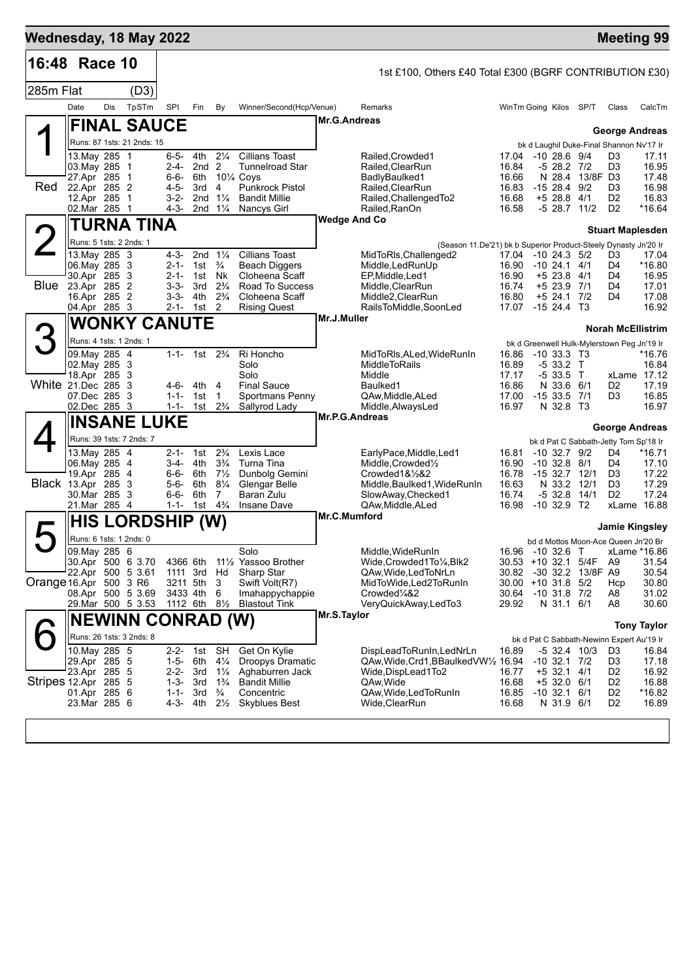| 16:48 Race 10<br>1st £100, Others £40 Total £300 (BGRF CONTRIBUTION £30)                                                                                                                                                                  |                                   |                                             |                       |
|-------------------------------------------------------------------------------------------------------------------------------------------------------------------------------------------------------------------------------------------|-----------------------------------|---------------------------------------------|-----------------------|
|                                                                                                                                                                                                                                           |                                   |                                             |                       |
| 285m Flat<br>(D3)                                                                                                                                                                                                                         |                                   |                                             |                       |
| Date<br>Dis<br>TpSTm<br>SPI<br>Winner/Second(Hcp/Venue)<br>Fin<br>By<br>Remarks<br>WinTm Going Kilos                                                                                                                                      | SP/T                              | Class                                       | CalcTm                |
| Mr.G.Andreas<br><b>FINAL SAUCE</b>                                                                                                                                                                                                        |                                   |                                             | <b>George Andreas</b> |
| Runs: 87 1sts: 21 2nds: 15                                                                                                                                                                                                                |                                   | bk d Laughil Duke-Final Shannon Nv'17 Ir    |                       |
| $2\frac{1}{4}$<br>13. May 285 1<br>6-5-<br>4th<br><b>Cillians Toast</b><br>Railed, Crowded1<br>17.04<br>03. May 285 1<br>2nd <sub>2</sub><br><b>Tunnelroad Star</b><br>Railed, ClearRun<br>16.84<br>2-4-                                  | $-1028.69/4$<br>-5 28.2 7/2       | D3<br>D <sub>3</sub>                        | 17.11<br>16.95        |
| 27.Apr 285 1<br>6-6-<br>6th<br>$10\%$ Coys<br>BadlyBaulked1<br>16.66                                                                                                                                                                      |                                   | N 28.4 13/8F D3                             | 17.48                 |
| Red<br>22.Apr 285 2<br>4-5-<br>3rd<br>$\overline{4}$<br><b>Punkrock Pistol</b><br>Railed, ClearRun<br>16.83<br>12.Apr 285 1<br>$3 - 2 -$<br>2nd<br>$1\frac{1}{4}$<br><b>Bandit Millie</b><br>Railed, Challenged To2<br>16.68<br>$+5$ 28.8 | $-1528.49/2$<br>4/1               | D3<br>D <sub>2</sub>                        | 16.98<br>16.83        |
| 02.Mar 285 1<br>4-3-<br>2nd $1\frac{1}{4}$<br>Railed, RanOn<br>16.58<br>Nancys Girl                                                                                                                                                       | -5 28.7 11/2                      | D <sub>2</sub>                              | *16.64                |
| <b>Wedge And Co</b><br>TURNA TINA                                                                                                                                                                                                         |                                   | <b>Stuart Maplesden</b>                     |                       |
| Runs: 5 1sts: 2 2nds: 1<br>(Season 11.De'21) bk b Superior Product-Steely Dynasty Jn'20 Ir                                                                                                                                                |                                   |                                             |                       |
| 13. May 285 3<br>4-3-<br>2nd $1\frac{1}{4}$<br><b>Cillians Toast</b><br>17.04 -10 24.3 5/2<br>MidToRIs, Challenged 2<br>06. May 285 3<br>$\frac{3}{4}$<br>$2 - 1 -$<br>1st<br><b>Beach Diggers</b><br>Middle, LedRunUp<br>16.90           | $-10$ 24.1 $4/1$                  | D3<br>D4                                    | 17.04<br>*16.80       |
| 30.Apr 285 3<br>Nk<br>$2 - 1 -$<br>1st<br>Cloheena Scaff<br>EP, Middle, Led1<br>16.90<br>$+5$ 23.8                                                                                                                                        | 4/1                               | D4                                          | 16.95                 |
| Blue<br>23.Apr 285 2<br>Road To Success<br>16.74<br>$3 - 3 -$<br>3rd<br>$2\frac{3}{4}$<br>Middle, ClearRun<br>16.Apr 285 2<br>$3 - 3 -$<br>$2\frac{3}{4}$<br>4th<br>Cloheena Scaff<br>Middle2, ClearRun<br>16.80<br>$+5$ 24.1             | $+5$ 23.9 7/1<br>7/2              | D4<br>D4                                    | 17.01<br>17.08        |
| 04.Apr 285 3<br>$2 - 1 -$<br>$1st$ 2<br><b>Rising Quest</b><br>RailsToMiddle,SoonLed<br>17.07                                                                                                                                             | $-1524.4$ T <sub>3</sub>          |                                             | 16.92                 |
| Mr.J.Muller<br><b>WONKY CANUTE</b>                                                                                                                                                                                                        |                                   | Norah McEllistrim                           |                       |
| Runs: 4 1sts: 1 2nds: 1<br>bk d Greenwell Hulk-Mylerstown Peg Jn'19 Ir                                                                                                                                                                    |                                   |                                             |                       |
| 09. May 285 4<br>1-1- 1st $2\frac{3}{4}$<br>Ri Honcho<br>MidToRIs, ALed, WideRunIn<br>16.86                                                                                                                                               | $-10$ 33.3 T <sub>3</sub>         |                                             | *16.76                |
| 02. May 285 3<br>Solo<br>16.89<br>-5 33.2<br>MiddleToRails<br>18.Apr 285 3<br>Solo<br>17.17<br>-5 33.5<br>Middle                                                                                                                          | $\top$<br>$\top$                  |                                             | 16.84<br>xLame 17.12  |
| White 21.Dec 285 3<br><b>Final Sauce</b><br>4-6- 4th<br>16.86<br>4<br>Baulked1                                                                                                                                                            | N 33.6 6/1                        | D <sub>2</sub>                              | 17.19                 |
| 07.Dec 285 3<br>$1 - 1 - 1$ st<br>Sportmans Penny<br>QAw, Middle, ALed<br>17.00<br>$-153.5$<br>$\mathbf{1}$<br>02.Dec 285 3<br>$2\frac{3}{4}$<br>$1 - 1 -$<br>1st<br>Sallyrod Lady<br>16.97<br>N 32.8<br>Middle, AlwaysLed                | - 7/1<br>— ТЗ                     | D3                                          | 16.85<br>16.97        |
| Mr.P.G.Andreas<br><b>INSANE LUKE</b>                                                                                                                                                                                                      |                                   |                                             | <b>George Andreas</b> |
| Runs: 39 1sts: 7 2nds: 7                                                                                                                                                                                                                  |                                   | bk d Pat C Sabbath-Jetty Tom Sp'18 Ir       |                       |
| $2\frac{3}{4}$<br>13. May 285 4<br>Lexis Lace<br>16.81<br>2-1-<br>1st<br>EarlyPace, Middle, Led1                                                                                                                                          | $-10$ 32.7 $9/2$                  | D4                                          | *16.71                |
| 06. May 285 4<br>3-4-<br>4th<br>$3\frac{3}{4}$<br>Turna Tina<br>Middle, Crowded <sup>1</sup> / <sub>2</sub><br>16.90<br>19.Apr 285 4<br>6-6- 6th $7\frac{1}{2}$<br>Dunbolg Gemini<br>$Crowded1&\frac{1}{2}&2$<br>16.78                    | $-10$ 32.8 $8/1$<br>$-1532.712/1$ | D4<br>D3                                    | 17.10<br>17.22        |
| <b>Black 13.Apr 285 3</b><br>$8\frac{1}{4}$<br>Glengar Belle<br>5-6-<br>6th<br>Middle, Baulked 1, Wide Run In<br>16.63                                                                                                                    | N 33.2                            | 12/1<br>D <sub>3</sub>                      | 17.29                 |
| 30.Mar 285 3<br>$6 - 6 -$<br>6th<br>Baran Zulu<br>16.74<br>$-5$ 32.8<br>$\overline{7}$<br>SlowAway, Checked1<br>1st $4\frac{3}{4}$<br>21.Mar 285 4<br>$1 - 1 -$<br>16.98<br><b>Insane Dave</b><br>QAw, Middle, ALed                       | 14/1<br>$-10$ 32.9 T <sub>2</sub> | D <sub>2</sub>                              | 17.24<br>xLame 16.88  |
| Mr.C.Mumford<br><b>HIS LORDSHIP</b><br>(W)                                                                                                                                                                                                |                                   |                                             |                       |
| Runs: 6 1sts: 1 2nds: 0                                                                                                                                                                                                                   |                                   | bd d Mottos Moon-Ace Queen Jn'20 Br         | Jamie Kingsley        |
| 09. May 285 6<br>Solo<br>Middle, WideRunIn<br>16.96 -10 32.6 T                                                                                                                                                                            |                                   |                                             | xLame *16.86          |
| 30.Apr 500 6 3.70<br>4366 6th 111/2 Yassoo Brother<br>Wide, Crowded 1 To 1/4, Blk2<br>$30.53 + 10.32.1$<br>22.Apr 500 5 3.61<br>1111 3rd Hd<br>Sharp Star<br>QAw, Wide, Led ToNrLn<br>30.82                                               |                                   | 5/4F<br>A <sub>9</sub><br>-30 32.2 13/8F A9 | 31.54<br>30.54        |
| Orange 16.Apr 500 3 R6<br>3211 5th<br>Swift Volt(R7)<br>MidToWide,Led2ToRunIn<br>$30.00 + 10.31.8$<br>- 3                                                                                                                                 | 5/2                               | Hcp                                         | 30.80                 |
| 08.Apr 500 5 3.69<br>3433 4th 6<br>Crowded <sup>1</sup> /4&2<br>Imahappychappie<br>30.64<br>29. Mar 500 5 3.53<br>1112 6th 81/ <sub>2</sub><br>29.92<br><b>Blastout Tink</b><br>VeryQuickAway,LedTo3                                      | $-10$ 31.8 $7/2$<br>N 31.1 6/1    | A8<br>A8                                    | 31.02<br>30.60        |
| Mr.S.Taylor<br><b>NEWINN CONRAD (W)</b>                                                                                                                                                                                                   |                                   |                                             |                       |
| Runs: 26 1sts: 3 2nds: 8                                                                                                                                                                                                                  |                                   |                                             | <b>Tony Taylor</b>    |
| bk d Pat C Sabbath-Newinn Expert Au'19 Ir<br>10. May 285 5<br>$2 - 2 -$<br>SH<br>Get On Kylie<br>DispLeadToRunIn, LedNrLn<br>1st<br>16.89                                                                                                 | $-5$ 32.4 10/3                    | D3                                          | 16.84                 |
| 29.Apr 285 5<br>$1 - 5 -$<br>6th<br>$4\frac{1}{4}$<br>Droopys Dramatic<br>QAw, Wide, Crd1, BBaulked VW1/2 16.94<br>$-10$ 32.1<br>23.Apr 285 5<br>2-2- 3rd<br>$1\frac{1}{4}$<br>Aghaburren Jack<br>$+5$ 32.1                               | 7/2                               | D3<br>D <sub>2</sub>                        | 17.18                 |
| Wide, DispLead 1 To 2<br>16.77<br>Stripes 12.Apr 285 5<br>1-3-<br>3rd<br>$1\frac{3}{4}$<br><b>Bandit Millie</b><br>QAw, Wide<br>16.68                                                                                                     | 4/1<br>$+5$ 32.0 6/1              | D <sub>2</sub>                              | 16.92<br>16.88        |
| $\frac{3}{4}$<br>01.Apr 285 6<br>$1 - 1 -$<br>3rd<br>Concentric<br>QAw, Wide, Led To Run In<br>16.85<br>23.Mar 285 6<br>4-3-<br>4th<br>$2\frac{1}{2}$<br><b>Skyblues Best</b><br>16.68<br>Wide,ClearRun                                   | $-10$ 32.1 $6/1$<br>N 31.9 6/1    | D <sub>2</sub><br>D <sub>2</sub>            | *16.82<br>16.89       |
|                                                                                                                                                                                                                                           |                                   |                                             |                       |
|                                                                                                                                                                                                                                           |                                   |                                             |                       |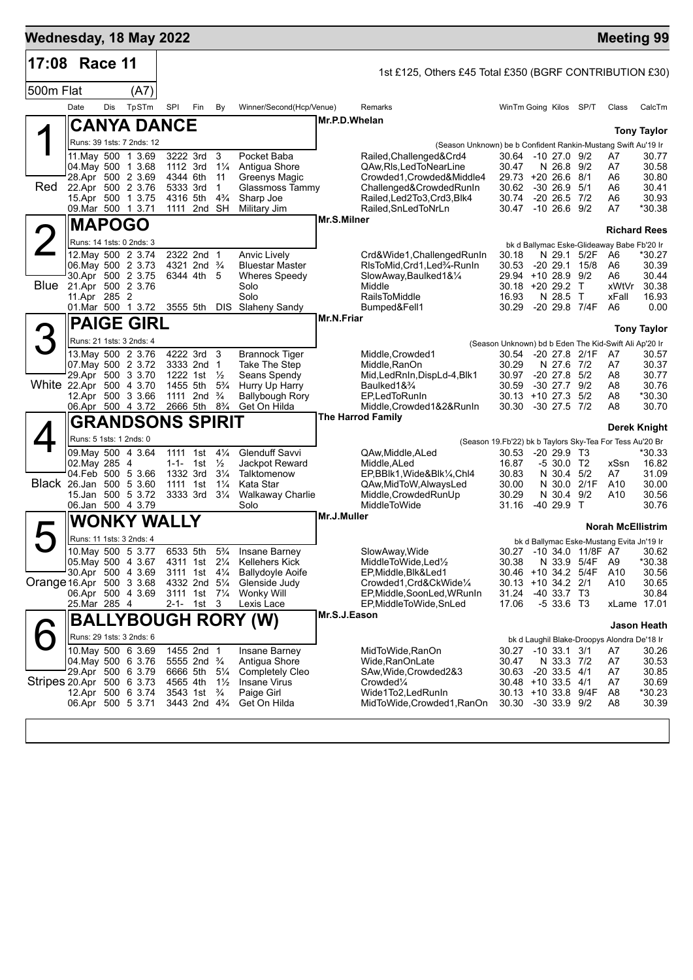| Wednesday, 18 May 2022    |                                         |     |                                                        |                      |                                                                  |                                  |                                        |             |                                                               |                                                                   |                                      |               | <b>Meeting 99</b>                                 |                      |
|---------------------------|-----------------------------------------|-----|--------------------------------------------------------|----------------------|------------------------------------------------------------------|----------------------------------|----------------------------------------|-------------|---------------------------------------------------------------|-------------------------------------------------------------------|--------------------------------------|---------------|---------------------------------------------------|----------------------|
| 17:08                     | Race 11                                 |     |                                                        |                      |                                                                  |                                  |                                        |             | 1st £125, Others £45 Total £350 (BGRF CONTRIBUTION £30)       |                                                                   |                                      |               |                                                   |                      |
| 500m Flat                 |                                         |     | (A7)                                                   |                      |                                                                  |                                  |                                        |             |                                                               |                                                                   |                                      |               |                                                   |                      |
|                           | Date                                    | Dis | TpSTm                                                  | SPI                  | Fin                                                              | By                               | Winner/Second(Hcp/Venue)               |             | Remarks                                                       | WinTm Going Kilos SP/T                                            |                                      |               | Class                                             | CalcTm               |
|                           |                                         |     | <b>CANYA DANCE</b>                                     |                      |                                                                  |                                  |                                        |             | Mr.P.D.Whelan                                                 |                                                                   |                                      |               |                                                   | <b>Tony Taylor</b>   |
|                           |                                         |     | Runs: 39 1sts: 7 2nds: 12                              |                      |                                                                  |                                  |                                        |             | (Season Unknown) be b Confident Rankin-Mustang Swift Au'19 Ir |                                                                   |                                      |               |                                                   |                      |
|                           |                                         |     | 11 May 500 1 3.69                                      | 3222 3rd             |                                                                  | 3                                | Pocket Baba                            |             | Railed, Challenged&Crd4                                       | 30.64 -10 27.0 9/2                                                |                                      |               | A7                                                | 30.77                |
|                           | 04. May 500 1 3.68                      |     | 28.Apr 500 2 3.69                                      | 1112 3rd<br>4344 6th |                                                                  | $1\frac{1}{4}$<br>11             | Antigua Shore<br>Greenys Magic         |             | QAw, RIs, Led To Near Line<br>Crowded1, Crowded&Middle4       | 30.47<br>29.73                                                    | N 26.8 9/2<br>$+20, 26.6, 8/1$       |               | A7<br>A6                                          | 30.58<br>30.80       |
| Red                       |                                         |     | 22.Apr 500 2 3.76                                      | 5333 3rd             |                                                                  | $\mathbf{1}$                     | Glassmoss Tammy                        |             | Challenged&CrowdedRunIn                                       | 30.62                                                             | $-30$ 26.9 $5/1$                     |               | A6                                                | 30.41                |
|                           | 09. Mar 500 1 3.71                      |     | 15.Apr 500 1 3.75                                      | 4316 5th             | 1111 2nd SH                                                      | $4\frac{3}{4}$                   | Sharp Joe<br>Military Jim              |             | Railed, Led 2To 3, Crd 3, Blk4<br>Railed, SnLed ToNrLn        | 30.74<br>30.47                                                    | $-20$ 26.5 $7/2$<br>$-10$ 26.6 $9/2$ |               | A6<br>A7                                          | 30.93<br>*30.38      |
|                           | <b>MAPOGO</b>                           |     |                                                        |                      |                                                                  |                                  |                                        |             | Mr.S.Milner                                                   |                                                                   |                                      |               |                                                   |                      |
|                           |                                         |     | Runs: 14 1sts: 0 2nds: 3                               |                      |                                                                  |                                  |                                        |             |                                                               |                                                                   |                                      |               |                                                   | <b>Richard Rees</b>  |
|                           |                                         |     | 12. May 500 2 3.74                                     |                      | 2322 2nd 1                                                       |                                  | Anvic Lively                           |             | Crd&Wide1, ChallengedRunIn                                    | 30.18                                                             |                                      | N 29.1 5/2F   | bk d Ballymac Eske-Glideaway Babe Fb'20 Ir<br>A6  | *30.27               |
|                           | 06. May 500 2 3.73                      |     |                                                        |                      | 4321 2nd <sup>3</sup> / <sub>4</sub>                             |                                  | <b>Bluestar Master</b>                 |             | RIsToMid, Crd1, Led%-RunIn                                    | 30.53                                                             | $-20$ 29.1 $15/8$                    |               | A6                                                | 30.39                |
|                           | Blue 21.Apr 500 2 3.76                  |     | 30.Apr 500 2 3.75                                      |                      | 6344 4th 5                                                       |                                  | <b>Wheres Speedy</b><br>Solo           |             | SlowAway,Baulked1&1/4<br>Middle                               | 29.94 +10 28.9 9/2<br>30.18 +20 29.2 T                            |                                      |               | A6<br>xWtVr                                       | 30.44<br>30.38       |
|                           | 11.Apr 285 2                            |     |                                                        |                      |                                                                  |                                  | Solo                                   |             | <b>RailsToMiddle</b>                                          | 16.93                                                             | N 28.5                               | $\top$        | xFall                                             | 16.93                |
|                           |                                         |     | 01.Mar 500 1 3.72                                      | 3555 5th             |                                                                  |                                  | DIS Slaheny Sandy                      |             | Bumped&Fell1                                                  | 30.29                                                             |                                      | -20 29.8 7/4F | A6                                                | 0.00                 |
|                           |                                         |     | <b>PAIGE GIRL</b>                                      |                      |                                                                  |                                  |                                        | Mr.N.Friar  |                                                               |                                                                   |                                      |               |                                                   | <b>Tony Taylor</b>   |
|                           |                                         |     | Runs: 21 1sts: 3 2nds: 4                               |                      |                                                                  |                                  |                                        |             |                                                               | (Season Unknown) bd b Eden The Kid-Swift Ali Ap'20 Ir             |                                      |               |                                                   |                      |
|                           |                                         |     | 13. May 500 2 3.76                                     |                      | 4222 3rd 3                                                       |                                  | <b>Brannock Tiger</b>                  |             | Middle, Crowded1                                              | 30.54                                                             |                                      | -20 27.8 2/1F | A7                                                | 30.57                |
|                           | 07. May 500 2 3.72<br>29.Apr 500 3 3.70 |     |                                                        |                      | 3333 2nd 1<br>1222 1st $\frac{1}{2}$                             |                                  | Take The Step<br>Seans Spendy          |             | Middle, RanOn<br>Mid,LedRnIn,DispLd-4,Blk1                    | 30.29<br>30.97                                                    | N 27.6 7/2<br>$-20$ 27.8 $5/2$       |               | A7<br>A8                                          | 30.37<br>30.77       |
| White 22.Apr 500 4 3.70   |                                         |     |                                                        | 1455 5th             |                                                                  | $5\frac{3}{4}$                   | Hurry Up Harry                         |             | Baulked1&3/4                                                  | 30.59                                                             | -30 27.7                             | 9/2           | A8                                                | 30.76                |
|                           |                                         |     | 12.Apr 500 3 3.66<br>06.Apr 500 4 3.72                 |                      | 1111 2nd $\frac{3}{4}$<br>2666 5th 8 <sup>3</sup> / <sub>4</sub> |                                  | <b>Ballybough Rory</b><br>Get On Hilda |             | EP,LedToRunIn<br>Middle,Crowded1&2&RunIn                      | $30.13 + 1027.35$<br>30.30                                        | -30 27.5 7/2                         |               | A8<br>A8                                          | *30.30<br>30.70      |
|                           |                                         |     | <b>GRANDSONS SPIRIT</b>                                |                      |                                                                  |                                  |                                        |             | <b>The Harrod Family</b>                                      |                                                                   |                                      |               |                                                   |                      |
|                           | Runs: 5 1sts: 1 2nds: 0                 |     |                                                        |                      |                                                                  |                                  |                                        |             |                                                               |                                                                   |                                      |               |                                                   | Derek Knight         |
|                           | 09. May 500 4 3.64                      |     |                                                        | 1111 1st             |                                                                  | $4\frac{1}{4}$                   | <b>Glenduff Savvi</b>                  |             | QAw, Middle, ALed                                             | (Season 19.Fb'22) bk b Taylors Sky-Tea For Tess Au'20 Br<br>30.53 | $-20, 29.9, 13$                      |               |                                                   | *30.33               |
|                           | 02. May 285 4                           |     |                                                        | $1 - 1 -$            | 1st                                                              | $\frac{1}{2}$                    | Jackpot Reward                         |             | Middle, ALed                                                  | 16.87                                                             | $-530.0$ T <sub>2</sub>              |               | xSsn                                              | 16.82                |
| Black 26.Jan 500 5 3.60   | 04 Feb 500 5 3.66                       |     |                                                        | 1332 3rd<br>1111 1st |                                                                  | $3\frac{1}{4}$<br>$1\frac{1}{4}$ | Talktomenow<br>Kata Star               |             | EP,BBlk1,Wide&Blk¼,Chl4<br>QAw, MidToW, AlwaysLed             | 30.83<br>30.00                                                    | N 30.4 5/2<br>N 30.0                 | 2/1F          | A7<br>A10                                         | 31.09<br>30.00       |
|                           |                                         |     | 15.Jan 500 5 3.72                                      |                      | 3333 3rd                                                         | $3\frac{1}{4}$                   | <b>Walkaway Charlie</b>                |             | Middle, Crowded RunUp                                         | 30.29                                                             | N 30.4 9/2                           |               | A10                                               | 30.56                |
|                           | 06.Jan 500 4 3.79                       |     |                                                        |                      |                                                                  |                                  | Solo                                   |             | <b>MiddleToWide</b>                                           | 31.16                                                             | -40 29.9 T                           |               |                                                   | 30.76                |
|                           |                                         |     | <b>WONKY WALLY</b>                                     |                      |                                                                  |                                  |                                        | Mr.J.Muller |                                                               |                                                                   |                                      |               | <b>Norah McEllistrim</b>                          |                      |
|                           |                                         |     | Runs: 11 1sts: 3 2nds: 4                               |                      |                                                                  |                                  |                                        |             |                                                               |                                                                   |                                      |               | bk d Ballymac Eske-Mustang Evita Jn'19 Ir         |                      |
|                           |                                         |     | 10. May 500 5 3.77<br>05. May 500 4 3.67 4311 1st 21/4 | 6533 5th             |                                                                  | $5\frac{3}{4}$                   | Insane Barney<br>Kellehers Kick        |             | SlowAway, Wide<br>MiddleToWide,Led½                           | 30.38                                                             | N 33.9 5/4F                          |               | 30.27 -10 34.0 11/8F A7<br>A9                     | 30.62<br>*30.38      |
|                           | 30.Apr 500 4 3.69                       |     |                                                        |                      | 3111 1st 41/ <sub>4</sub>                                        |                                  | <b>Ballydoyle Aoife</b>                |             | EP, Middle, Blk&Led1                                          | 30.46 +10 34.2 5/4F                                               |                                      |               | A10                                               | 30.56                |
| Orange 16.Apr 500 3 3.68  |                                         |     |                                                        |                      | 4332 2nd 51/4                                                    |                                  | Glenside Judy                          |             | Crowded1,Crd&CkWide1/4                                        | 30.13 +10 34.2 2/1                                                |                                      |               | A10                                               | 30.65                |
|                           | 25.Mar 285 4                            |     | 06.Apr 500 4 3.69                                      |                      | 3111 1st 71/4<br>2-1- 1st 3                                      |                                  | Wonky Will<br>Lexis Lace               |             | EP, Middle, SoonLed, WRunIn<br>EP, Middle To Wide, Sn Led     | 31.24<br>17.06                                                    | -40 33.7 T3<br>$-533.6$ T3           |               |                                                   | 30.84<br>xLame 17.01 |
|                           |                                         |     |                                                        |                      |                                                                  |                                  | <b>BALLYBOUGH RORY (W)</b>             |             | Mr.S.J.Eason                                                  |                                                                   |                                      |               |                                                   |                      |
|                           |                                         |     |                                                        |                      |                                                                  |                                  |                                        |             |                                                               |                                                                   |                                      |               |                                                   | Jason Heath          |
|                           |                                         |     | Runs: 29 1sts: 3 2nds: 6<br>10. May 500 6 3.69         |                      | 1455 2nd 1                                                       |                                  | Insane Barney                          |             | MidToWide,RanOn                                               | 30.27                                                             | $-10$ 33.1 3/1                       |               | bk d Laughil Blake-Droopys Alondra De'18 Ir<br>A7 | 30.26                |
|                           | 04 May 500 6 3.76                       |     |                                                        |                      | 5555 2nd <sup>3</sup> / <sub>4</sub>                             |                                  | Antiqua Shore                          |             | Wide, RanOnLate                                               | 30.47                                                             | N 33.3 7/2                           |               | A7                                                | 30.53                |
|                           | 29.Apr 500 6 3.79                       |     |                                                        |                      | 6666 5th 51/4                                                    |                                  | <b>Completely Cleo</b>                 |             | SAw, Wide, Crowded 2&3                                        | 30.63                                                             | $-20$ 33.5 $4/1$                     |               | A7                                                | 30.85                |
| Stripes 20.Apr 500 6 3.73 |                                         |     | 12.Apr 500 6 3.74                                      | 4565 4th             | 3543 1st <sup>3</sup> / <sub>4</sub>                             | $1\frac{1}{2}$                   | Insane Virus<br>Paige Girl             |             | Crowded <sup>1</sup> / <sub>4</sub><br>Wide1To2,LedRunIn      | 30.48 +10 33.5 4/1<br>30.13 +10 33.8 9/4F                         |                                      |               | A7<br>A8                                          | 30.69<br>*30.23      |
|                           | 06.Apr 500 5 3.71                       |     |                                                        |                      | 3443 2nd 4 <sup>3</sup> / <sub>4</sub>                           |                                  | Get On Hilda                           |             | MidToWide,Crowded1,RanOn                                      | 30.30                                                             | $-30$ 33.9 $9/2$                     |               | A8                                                | 30.39                |
|                           |                                         |     |                                                        |                      |                                                                  |                                  |                                        |             |                                                               |                                                                   |                                      |               |                                                   |                      |
|                           |                                         |     |                                                        |                      |                                                                  |                                  |                                        |             |                                                               |                                                                   |                                      |               |                                                   |                      |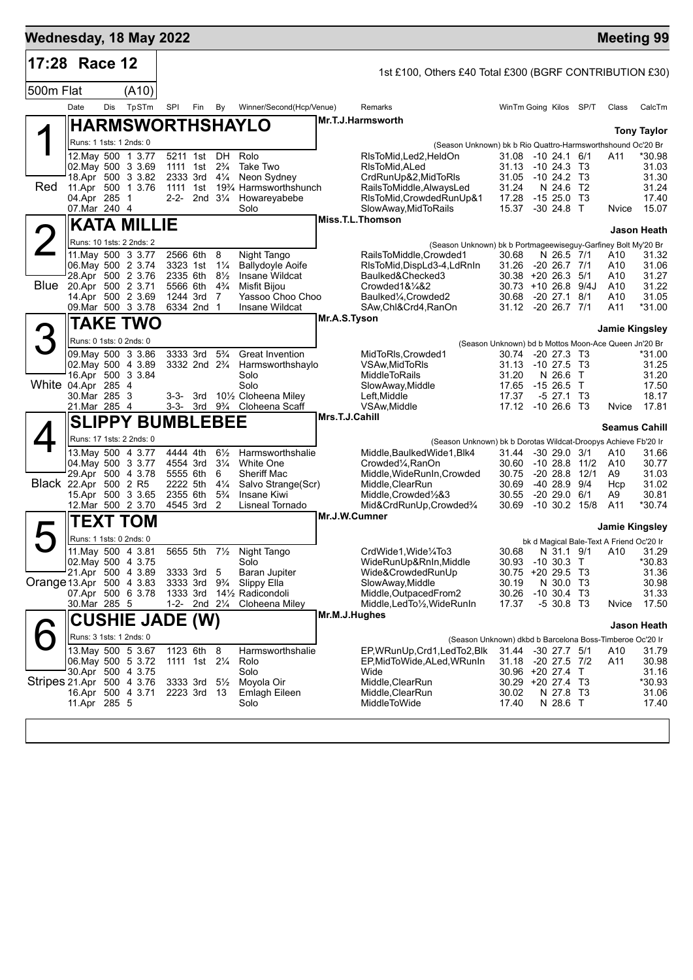|                           | Wednesday, 18 May 2022                                                                                                             |     |                          |                                                                      |                                                           |                                                                                |                                                                                                                       |                |                                                                                                                                                                                                          |                                                                                                     |                                                                            |                                          |                                          | <b>Meeting 99</b>                                     |
|---------------------------|------------------------------------------------------------------------------------------------------------------------------------|-----|--------------------------|----------------------------------------------------------------------|-----------------------------------------------------------|--------------------------------------------------------------------------------|-----------------------------------------------------------------------------------------------------------------------|----------------|----------------------------------------------------------------------------------------------------------------------------------------------------------------------------------------------------------|-----------------------------------------------------------------------------------------------------|----------------------------------------------------------------------------|------------------------------------------|------------------------------------------|-------------------------------------------------------|
|                           | 17:28 Race 12                                                                                                                      |     |                          |                                                                      |                                                           |                                                                                |                                                                                                                       |                | 1st £100, Others £40 Total £300 (BGRF CONTRIBUTION £30)                                                                                                                                                  |                                                                                                     |                                                                            |                                          |                                          |                                                       |
| 500m Flat                 |                                                                                                                                    |     | (A10)                    |                                                                      |                                                           |                                                                                |                                                                                                                       |                |                                                                                                                                                                                                          |                                                                                                     |                                                                            |                                          |                                          |                                                       |
|                           | Date                                                                                                                               | Dis | TpSTm                    | SPI                                                                  | Fin                                                       | By                                                                             | Winner/Second(Hcp/Venue)                                                                                              |                | Remarks                                                                                                                                                                                                  | WinTm Going Kilos SP/T                                                                              |                                                                            |                                          | Class                                    | CalcTm                                                |
|                           |                                                                                                                                    |     |                          |                                                                      |                                                           |                                                                                | <b>HARMSWORTHSHAYLO</b>                                                                                               |                | Mr.T.J.Harmsworth                                                                                                                                                                                        |                                                                                                     |                                                                            |                                          |                                          | <b>Tony Taylor</b>                                    |
|                           | Runs: 1 1sts: 1 2nds: 0                                                                                                            |     |                          |                                                                      |                                                           |                                                                                |                                                                                                                       |                | (Season Unknown) bk b Rio Quattro-Harmsworthshound Oc'20 Br                                                                                                                                              |                                                                                                     |                                                                            |                                          |                                          |                                                       |
| Red                       | 12. May 500 1 3.77<br>02. May 500 3 3.69<br>18.Apr 500 3 3.82<br>11.Apr 500 1 3.76<br>04.Apr 285 1                                 |     |                          | 1111 1st 2 <sup>3</sup> / <sub>4</sub><br>2333 3rd<br>1111 1st       | 5211 1st DH                                               | $4\frac{1}{4}$<br>2-2- 2nd $3\frac{1}{4}$                                      | Rolo<br>Take Two<br>Neon Sydney<br>19% Harmsworthshunch<br>Howareyabebe                                               |                | RIsToMid, Led2, HeldOn<br>RIsToMid, ALed<br>CrdRunUp&2, MidToRIs<br>RailsToMiddle, AlwaysLed<br>RIsToMid, Crowded RunUp&1                                                                                | 31.08 -10 24.1 6/1<br>31.13<br>31.05<br>31.24<br>17.28                                              | $-1024.3$ T3<br>$-1024.2$ T3<br>N 24.6 T2<br>-15 25.0                      | Т3                                       | A11                                      | *30.98<br>31.03<br>31.30<br>31.24<br>17.40            |
|                           | 07.Mar 240 4                                                                                                                       |     |                          |                                                                      |                                                           |                                                                                | Solo                                                                                                                  |                | SlowAway, MidToRails<br>Miss.T.L.Thomson                                                                                                                                                                 | 15.37                                                                                               | -30 24.8 T                                                                 |                                          | Nvice                                    | 15.07                                                 |
|                           |                                                                                                                                    |     | <b>KATA MILLIE</b>       |                                                                      |                                                           |                                                                                |                                                                                                                       |                |                                                                                                                                                                                                          |                                                                                                     |                                                                            |                                          |                                          | Jason Heath                                           |
|                           | Runs: 10 1sts: 2 2nds: 2                                                                                                           |     |                          |                                                                      |                                                           |                                                                                |                                                                                                                       |                | (Season Unknown) bk b Portmageewiseguy-Garfiney Bolt My'20 Br                                                                                                                                            |                                                                                                     |                                                                            |                                          |                                          |                                                       |
|                           | 11. May 500 3 3.77<br>06. May 500 2 3.74<br>28.Apr 500 2 3.76<br>Blue 20.Apr 500 2 3.71<br>14.Apr 500 2 3.69<br>09. Mar 500 3 3.78 |     |                          | 2566 6th<br>3323 1st<br>2335 6th<br>5566 6th<br>1244 3rd             | 6334 2nd 1                                                | 8<br>$1\frac{1}{4}$<br>$8\frac{1}{2}$<br>$4\frac{3}{4}$<br>7                   | Night Tango<br><b>Ballydoyle Aoife</b><br>Insane Wildcat<br><b>Misfit Biiou</b><br>Yassoo Choo Choo<br>Insane Wildcat |                | RailsToMiddle,Crowded1<br>RIsToMid, DispLd3-4, LdRnIn<br>Baulked&Checked3<br>Crowded1&1/4&2<br>Baulked <sup>1</sup> / <sub>4</sub> , Crowded <sup>2</sup><br>SAw,Chl&Crd4,RanOn                          | 30.68<br>31.26<br>$30.38 + 20.26.3$ 5/1<br>$30.73 + 1026.89/4J$<br>30.68<br>31.12 -20 26.7 7/1      | N 26.5 7/1<br>$-20$ 26.7 $7/1$<br>$-2027.1$                                | 8/1                                      | A10<br>A10<br>A10<br>A10<br>A10<br>A11   | 31.32<br>31.06<br>31.27<br>31.22<br>31.05<br>*31.00   |
|                           |                                                                                                                                    |     | <b>TAKE TWO</b>          |                                                                      |                                                           |                                                                                |                                                                                                                       | Mr.A.S.Tyson   |                                                                                                                                                                                                          |                                                                                                     |                                                                            |                                          |                                          |                                                       |
|                           | Runs: 0 1sts: 0 2nds: 0                                                                                                            |     |                          |                                                                      |                                                           |                                                                                |                                                                                                                       |                |                                                                                                                                                                                                          |                                                                                                     |                                                                            |                                          | <b>Jamie Kingsley</b>                    |                                                       |
|                           | 09 May 500 3 3.86<br>02. May 500 4 3.89<br>16.Apr 500 3 3.84<br>White 04.Apr 285 4                                                 |     |                          |                                                                      | 3333 3rd<br>3332 2nd 2 <sup>3</sup> / <sub>4</sub>        | $5\frac{3}{4}$                                                                 | <b>Great Invention</b><br>Harmsworthshaylo<br>Solo<br>Solo<br>101/2 Cloheena Miley                                    |                | MidToRIs, Crowded1<br><b>VSAw.MidToRIs</b><br>MiddleToRails<br>SlowAway,Middle                                                                                                                           | (Season Unknown) bd b Mottos Moon-Ace Queen Jn'20 Br<br>30.74<br>31.13<br>31.20<br>17.65            | -20 27.3 T3<br>$-1027.5$<br>N 26.6<br>$-1526.5$                            | - ТЗ<br>$\top$<br>T                      |                                          | *31.00<br>31.25<br>31.20<br>17.50                     |
|                           | 30.Mar 285 3<br>21.Mar 285 4                                                                                                       |     |                          |                                                                      | 3-3- 3rd                                                  |                                                                                | 3-3- 3rd 9 <sup>3</sup> / <sub>4</sub> Cloheena Scaff                                                                 |                | Left,Middle<br>VSAw, Middle                                                                                                                                                                              | 17.37<br>17.12 -10 26.6 T3                                                                          | $-5$ 27.1                                                                  | ТЗ                                       | Nvice                                    | 18.17<br>17.81                                        |
|                           |                                                                                                                                    |     | <b>SLIPPY BUMBLEBEE</b>  |                                                                      |                                                           |                                                                                |                                                                                                                       | Mrs.T.J.Cahill |                                                                                                                                                                                                          |                                                                                                     |                                                                            |                                          | <b>Seamus Cahill</b>                     |                                                       |
|                           |                                                                                                                                    |     | Runs: 17 1sts: 2 2nds: 0 |                                                                      |                                                           |                                                                                |                                                                                                                       |                | (Season Unknown) bk b Dorotas Wildcat-Droopys Achieve Fb'20 Ir                                                                                                                                           |                                                                                                     |                                                                            |                                          |                                          |                                                       |
|                           | 13. May 500 4 3.77<br>04 May 500 3 3.77<br>29.Apr 500 4 3.78<br>Black 22.Apr 500 2 R5<br>15.Apr 500 3 3.65<br>12.Mar 500 2 3.70    |     |                          | 4444 4th<br>4554 3rd<br>5555 6th<br>2222 5th<br>2355 6th<br>4545 3rd |                                                           | $6\frac{1}{2}$<br>$3\frac{1}{4}$<br>6<br>$4\frac{1}{4}$<br>$5\frac{3}{4}$<br>2 | Harmsworthshalie<br>White One<br><b>Sheriff Mac</b><br>Salvo Strange(Scr)<br>Insane Kiwi<br>Lisneal Tornado           |                | Middle, Baulked Wide 1, Blk4<br>Crowded <sup>1</sup> / <sub>4</sub> , RanOn<br>Middle, WideRunIn, Crowded<br>Middle, ClearRun<br>Middle, Crowded <sup>1</sup> / <sub>2</sub> &3<br>Mid&CrdRunUp,Crowded% | 31.44<br>30.60<br>30.75<br>30.69<br>30.55<br>30.69                                                  | $-30$ 29.0 $3/1$<br>$-1028.8$<br>$-2028.8$<br>-40 28.9<br>$-20$ 29.0 $6/1$ | 11/2<br>12/1<br>9/4<br>$-10$ 30.2 $15/8$ | A10<br>A10<br>A9<br>Hcp<br>A9<br>A11     | 31.66<br>30.77<br>31.03<br>31.02<br>30.81<br>$*30.74$ |
|                           |                                                                                                                                    |     | TEXT TOM                 |                                                                      |                                                           |                                                                                |                                                                                                                       | Mr.J.W.Cumner  |                                                                                                                                                                                                          |                                                                                                     |                                                                            |                                          | Jamie Kingsley                           |                                                       |
|                           | Runs: 1 1sts: 0 2nds: 0                                                                                                            |     |                          |                                                                      |                                                           |                                                                                |                                                                                                                       |                |                                                                                                                                                                                                          |                                                                                                     |                                                                            |                                          | bk d Magical Bale-Text A Friend Oc'20 Ir |                                                       |
| Orange 13.Apr 500 4 3.83  | 11. May 500 4 3.81<br>02. May 500 4 3.75<br>21.Apr 500 4 3.89<br>07.Apr 500 6 3.78<br>30.Mar 285 5                                 |     |                          | 3333 3rd<br>3333 3rd<br>1333 3rd                                     | 5655 5th                                                  | $7\frac{1}{2}$<br>-5<br>$9\frac{3}{4}$<br>1-2- 2nd $2\frac{1}{4}$              | Night Tango<br>Solo<br>Baran Jupiter<br>Slippy Ella<br>14½ Radicondoli<br>Cloheena Miley                              |                | CrdWide1.Wide1/4To3<br>WideRunUp&RnIn, Middle<br>Wide&CrowdedRunUp<br>SlowAway,Middle<br>Middle, Outpaced From 2<br>Middle, LedTo1/2, WideRunIn                                                          | 30.68<br>30.93 -10 30.3 T<br>30.75 +20 29.5 T3<br>30.19<br>30.26<br>17.37                           | N 30.0 T3<br>$-10$ 30.4 T3<br>$-530.8$ T <sub>3</sub>                      |                                          | N 31.1 9/1 A10 31.29<br>Nvice            | *30.83<br>31.36<br>30.98<br>31.33<br>17.50            |
|                           |                                                                                                                                    |     | <b>CUSHIE JADE (W)</b>   |                                                                      |                                                           |                                                                                |                                                                                                                       | Mr.M.J.Hughes  |                                                                                                                                                                                                          |                                                                                                     |                                                                            |                                          |                                          | <b>Jason Heath</b>                                    |
|                           | Runs: 3 1sts: 1 2nds: 0                                                                                                            |     |                          |                                                                      |                                                           |                                                                                |                                                                                                                       |                | (Season Unknown) dkbd b Barcelona Boss-Timberoe Oc'20 Ir                                                                                                                                                 |                                                                                                     |                                                                            |                                          |                                          |                                                       |
| Stripes 21.Apr 500 4 3.76 | 13 May 500 5 3.67<br>06. May 500 5 3.72<br>30.Apr 500 4 3.75<br>16.Apr 500 4 3.71<br>11.Apr 285 5                                  |     |                          | 1123 6th                                                             | 1111 1st 21/ <sub>4</sub><br>3333 3rd 51/2<br>2223 3rd 13 | - 8                                                                            | Harmsworthshalie<br>Rolo<br>Solo<br>Moyola Oir<br><b>Emlagh Eileen</b><br>Solo                                        |                | EP, WRunUp, Crd1, Led To2, Blk<br>EP.MidToWide,ALed,WRunIn<br>Wide<br>Middle, ClearRun<br>Middle, ClearRun<br>MiddleToWide                                                                               | 31.44 -30 27.7 5/1<br>31.18 -20 27.5 7/2<br>30.96 +20 27.4 T<br>30.29 +20 27.4 T3<br>30.02<br>17.40 | N 27.8 T3<br>N 28.6 T                                                      |                                          | A10<br>A11                               | 31.79<br>30.98<br>31.16<br>*30.93<br>31.06<br>17.40   |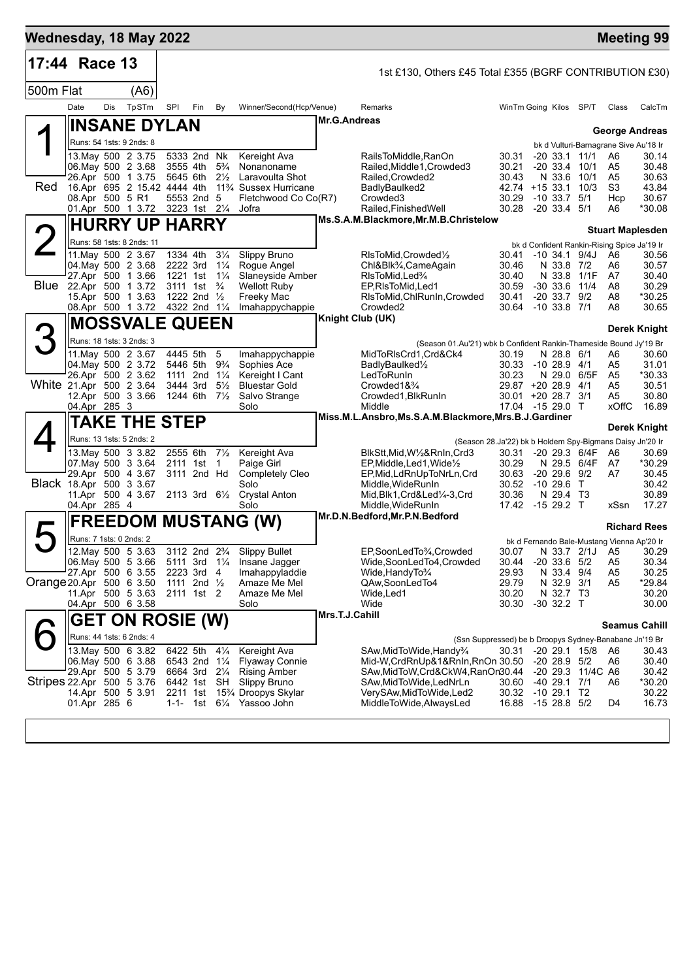| Wednesday, 18 May 2022                                                          |                         |            |                                                  |                           |                                     |                                  |                                                                       |                     |                                                                                                 |                                        |                                     |                   |                                             | <b>Meeting 99</b>       |
|---------------------------------------------------------------------------------|-------------------------|------------|--------------------------------------------------|---------------------------|-------------------------------------|----------------------------------|-----------------------------------------------------------------------|---------------------|-------------------------------------------------------------------------------------------------|----------------------------------------|-------------------------------------|-------------------|---------------------------------------------|-------------------------|
| 17:44 Race 13                                                                   |                         |            |                                                  |                           |                                     |                                  |                                                                       |                     | 1st £130, Others £45 Total £355 (BGRF CONTRIBUTION £30)                                         |                                        |                                     |                   |                                             |                         |
| 500m Flat                                                                       |                         |            | (A6)                                             |                           |                                     |                                  |                                                                       |                     |                                                                                                 |                                        |                                     |                   |                                             |                         |
|                                                                                 | Date                    | <b>Dis</b> | TpSTm                                            | SPI                       | Fin                                 | By                               | Winner/Second(Hcp/Venue)                                              |                     | Remarks                                                                                         | WinTm Going Kilos SP/T                 |                                     |                   | Class                                       | CalcTm                  |
|                                                                                 |                         |            | <b>INSANE DYLAN</b>                              |                           |                                     |                                  |                                                                       | <b>Mr.G.Andreas</b> |                                                                                                 |                                        |                                     |                   |                                             |                         |
|                                                                                 |                         |            | Runs: 54 1sts: 9 2nds: 8                         |                           |                                     |                                  |                                                                       |                     |                                                                                                 |                                        |                                     |                   |                                             | <b>George Andreas</b>   |
|                                                                                 |                         |            | 13. May 500 2 3.75                               |                           | 5333 2nd Nk                         |                                  | Kereight Ava                                                          |                     | RailsToMiddle, RanOn                                                                            | 30.31                                  | $-20$ 33.1 11/1                     |                   | bk d Vulturi-Barnagrane Sive Au'18 Ir<br>A6 | 30.14                   |
|                                                                                 |                         |            | 06. May 500 2 3.68                               |                           | 3555 4th                            | $5\frac{3}{4}$                   | Nonanoname                                                            |                     | Railed, Middle1, Crowded3                                                                       | 30.21                                  | $-20$ 33.4 $10/1$                   |                   | A <sub>5</sub>                              | 30.48                   |
| Red                                                                             |                         |            | 26.Apr 500 1 3.75<br>16.Apr 695 2 15.42 4444 4th | 5645 6th                  |                                     | $2\frac{1}{2}$                   | Laravoulta Shot<br>11 <sup>3</sup> / <sub>4</sub> Sussex Hurricane    |                     | Railed.Crowded2<br>BadlyBaulked2                                                                | 30.43<br>42.74 +15 33.1 10/3           | N 33.6 10/1                         |                   | A <sub>5</sub><br>S3                        | 30.63<br>43.84          |
|                                                                                 | 08.Apr 500 5 R1         |            |                                                  |                           | 5553 2nd 5                          |                                  | Fletchwood Co Co(R7)                                                  |                     | Crowded <sub>3</sub>                                                                            | 30.29                                  | $-10.33.7$                          | 5/1               | Hcp                                         | 30.67                   |
|                                                                                 |                         |            | 01.Apr 500 1 3.72                                |                           | 3223 1st 21/4                       |                                  | Jofra                                                                 |                     | Railed, Finished Well<br>Ms.S.A.M.Blackmore, Mr.M.B.Christelow                                  | 30.28                                  | $-20$ 33.4 $5/1$                    |                   | A6                                          | *30.08                  |
|                                                                                 |                         |            | <b>HURRY UP HARRY</b>                            |                           |                                     |                                  |                                                                       |                     |                                                                                                 |                                        |                                     |                   |                                             | <b>Stuart Maplesden</b> |
| $\mathsf{2}% \left( \mathsf{2}\right) \times\mathsf{2}\left( \mathsf{2}\right)$ |                         |            | Runs: 58 1sts: 8 2nds: 11                        |                           |                                     |                                  |                                                                       |                     |                                                                                                 |                                        |                                     |                   | bk d Confident Rankin-Rising Spice Ja'19 Ir |                         |
|                                                                                 |                         |            | 11. May 500 2 3.67<br>04. May 500 2 3.68         | 1334 4th<br>2222 3rd      |                                     | $3\frac{1}{4}$<br>$1\frac{1}{4}$ | Slippy Bruno<br>Rogue Angel                                           |                     | RIsToMid, Crowded <sup>1</sup> / <sub>2</sub><br>Chl&Blk <sup>3</sup> / <sub>4</sub> ,CameAgain | 30.41<br>30.46                         | N 33.8 7/2                          | $-10, 34.1, 9/4J$ | A6<br>A6                                    | 30.56<br>30.57          |
|                                                                                 |                         |            | 27.Apr 500 1 3.66                                | 1221 1st                  |                                     | $1\frac{1}{4}$                   | Slaneyside Amber                                                      |                     | RIsToMid.Led%                                                                                   | 30.40                                  | N 33.8 1/1F                         |                   | A7                                          | 30.40                   |
| Blue                                                                            | 22.Apr 500 1 3.72       |            | 15.Apr 500 1 3.63                                |                           | 3111 1st<br>1222 2nd 1/2            | $\frac{3}{4}$                    | <b>Wellott Ruby</b><br>Freeky Mac                                     |                     | EP, RIsToMid, Led1<br>RIsToMid, ChlRunIn, Crowded                                               | 30.59<br>30.41                         | $-30$ 33.6 11/4<br>$-20$ 33.7 $9/2$ |                   | A8<br>A8                                    | 30.29<br>*30.25         |
|                                                                                 |                         |            | 08.Apr 500 1 3.72                                |                           | 4322 2nd 11/4                       |                                  | Imahappychappie                                                       |                     | Crowded <sub>2</sub>                                                                            | 30.64                                  | $-10$ 33.8 $7/1$                    |                   | A8                                          | 30.65                   |
|                                                                                 |                         |            | <b>MOSSVALE QUEEN</b>                            |                           |                                     |                                  |                                                                       |                     | <b>Knight Club (UK)</b>                                                                         |                                        |                                     |                   |                                             | Derek Knight            |
| 3                                                                               |                         |            | Runs: 18 1sts: 3 2nds: 3                         |                           |                                     |                                  |                                                                       |                     | (Season 01.Au'21) wbk b Confident Rankin-Thameside Bound Jy'19 Br                               |                                        |                                     |                   |                                             |                         |
|                                                                                 |                         |            | 11. May 500 2 3.67                               | 4445 5th                  |                                     | 5                                | Imahappychappie                                                       |                     | MidToRIsCrd1,Crd&Ck4                                                                            | 30.19                                  | N 28.8 6/1                          |                   | A6                                          | 30.60                   |
|                                                                                 |                         |            | 04. May 500 2 3.72<br>26.Apr 500 2 3.62          |                           | 5446 5th<br>1111 2nd $1\frac{1}{4}$ | $9\frac{3}{4}$                   | Sophies Ace<br>Kereight I Cant                                        |                     | BadlyBaulked <sup>1</sup> / <sub>2</sub><br>LedToRunIn                                          | 30.33 -10 28.9 4/1<br>30.23            |                                     | N 29.0 6/5F       | A5<br>A5                                    | 31.01<br>*30.33         |
|                                                                                 | White 21.Apr 500 2 3.64 |            |                                                  |                           | 3444 3rd                            | $5\frac{1}{2}$                   | <b>Bluestar Gold</b>                                                  |                     | Crowded1& <sup>3</sup> / <sub>4</sub>                                                           | 29.87 +20 28.9 4/1                     |                                     |                   | A5                                          | 30.51                   |
|                                                                                 | 04.Apr 285 3            |            | 12.Apr 500 3 3.66                                |                           | 1244 6th 71/ <sub>2</sub>           |                                  | Salvo Strange<br>Solo                                                 |                     | Crowded1, BlkRunIn<br>Middle                                                                    | 30.01 +20 28.7 3/1<br>17.04 -15 29.0 T |                                     |                   | A5<br><b>xOffC</b>                          | 30.80<br>16.89          |
|                                                                                 |                         |            | TAKE THE STEP                                    |                           |                                     |                                  |                                                                       |                     | Miss.M.L.Ansbro,Ms.S.A.M.Blackmore,Mrs.B.J.Gardiner                                             |                                        |                                     |                   |                                             |                         |
|                                                                                 |                         |            | Runs: 13 1sts: 5 2nds: 2                         |                           |                                     |                                  |                                                                       |                     |                                                                                                 |                                        |                                     |                   |                                             | <b>Derek Knight</b>     |
|                                                                                 |                         |            | 13. May 500 3 3.82                               |                           | 2555 6th                            | $7\frac{1}{2}$                   | Kereight Ava                                                          |                     | (Season 28.Ja'22) bk b Holdem Spy-Bigmans Daisy Jn'20 Ir<br>BlkStt,Mid,W½&RnIn,Crd3             | 30.31                                  |                                     | -20 29.3 6/4F     | A6                                          | 30.69                   |
|                                                                                 |                         |            | 07. May 500 3 3.64                               | 2111 1st                  |                                     | $\overline{1}$                   | Paige Girl                                                            |                     | EP, Middle, Led 1, Wide 1/2                                                                     | 30.29                                  |                                     | N 29.5 6/4F       | A7                                          | *30.29                  |
|                                                                                 | Black 18.Apr 500 3 3.67 |            | 29.Apr 500 4 3.67                                |                           | 3111 2nd Hd                         |                                  | <b>Completely Cleo</b><br>Solo                                        |                     | EP, Mid, LdRnUpToNrLn, Crd<br>Middle, WideRunIn                                                 | 30.63<br>30.52                         | $-20$ 29.6 $9/2$<br>$-10, 29.6$     | $\top$            | A7                                          | 30.45<br>30.42          |
|                                                                                 |                         |            | 11.Apr 500 4 3.67                                |                           |                                     |                                  | 2113 3rd 61/ <sub>2</sub> Crystal Anton                               |                     | Mid, Blk1, Crd&Led1/4-3, Crd                                                                    | 30.36                                  | N 29.4 T3                           |                   |                                             | 30.89                   |
|                                                                                 | 04.Apr 285 4            |            |                                                  |                           |                                     |                                  | Solo                                                                  |                     | Middle, WideRunIn<br>Mr.D.N.Bedford, Mr.P.N.Bedford                                             | 17.42 -15 29.2 T                       |                                     |                   | xSsn                                        | 17.27                   |
|                                                                                 |                         |            |                                                  |                           |                                     |                                  | <b>FREEDOM MUSTANG (W)</b>                                            |                     |                                                                                                 |                                        |                                     |                   |                                             | <b>Richard Rees</b>     |
|                                                                                 | Runs: 7 1sts: 0 2nds: 2 |            |                                                  |                           |                                     |                                  |                                                                       |                     |                                                                                                 |                                        |                                     |                   | bk d Fernando Bale-Mustang Vienna Ap'20 Ir  |                         |
|                                                                                 |                         |            | 12. May 500 5 3.63<br>06. May 500 5 3.66         | 5111 3rd 11/ <sub>4</sub> |                                     |                                  | 3112 2nd 2 <sup>3</sup> / <sub>4</sub> Slippy Bullet<br>Insane Jagger |                     | EP,SoonLedTo3/4,Crowded<br>Wide,SoonLedTo4,Crowded                                              | 30.07<br>30.44                         | $-20$ 33.6 $5/2$                    | N 33.7 2/1J A5    | A5                                          | 30.29<br>30.34          |
|                                                                                 | 27.Apr 500 6 3.55       |            |                                                  | 2223 3rd                  |                                     | 4                                | Imahappyladdie                                                        |                     | Wide, Handy To 3/4                                                                              | 29.93                                  | N 33.4 9/4                          |                   | A5                                          | 30.25                   |
| Orange 20 Apr 500 6 3.50                                                        |                         |            | 11.Apr 500 5 3.63                                |                           | 1111 2nd 1/2<br>2111 1st 2          |                                  | Amaze Me Mel<br>Amaze Me Mel                                          |                     | QAw,SoonLedTo4<br>Wide, Led 1                                                                   | 29.79<br>30.20                         | N 32.9 3/1<br>N 32.7 T3             |                   | A5                                          | $*29.84$<br>30.20       |
|                                                                                 | 04.Apr 500 6 3.58       |            |                                                  |                           |                                     |                                  | Solo                                                                  |                     | Wide                                                                                            | 30.30                                  | $-30$ 32.2 T                        |                   |                                             | 30.00                   |
|                                                                                 |                         |            | <b>GET ON ROSIE (W)</b>                          |                           |                                     |                                  |                                                                       | Mrs.T.J.Cahill      |                                                                                                 |                                        |                                     |                   |                                             | <b>Seamus Cahill</b>    |
|                                                                                 |                         |            | Runs: 44 1sts: 6 2nds: 4                         |                           |                                     |                                  |                                                                       |                     | (Ssn Suppressed) be b Droopys Sydney-Banabane Jn'19 Br                                          |                                        |                                     |                   |                                             |                         |
|                                                                                 |                         |            | 13. May 500 6 3.82                               | 6422 5th                  |                                     | $4\frac{1}{4}$                   | Kereight Ava                                                          |                     | SAw, Mid To Wide, Handy 3/4                                                                     | 30.31                                  |                                     | -20 29.1 15/8     | A6                                          | 30.43                   |
|                                                                                 |                         |            | 06. May 500 6 3.88<br>29.Apr 500 5 3.79          |                           | 6543 2nd 11/4<br>6664 3rd 21/4      |                                  | <b>Flyaway Connie</b><br><b>Rising Amber</b>                          |                     | Mid-W,CrdRnUp&1&RnIn,RnOn 30.50<br>SAw,MidToW,Crd&CkW4,RanOn30.44                               |                                        | $-20$ 28.9 $5/2$                    | -20 29.3 11/4C A6 | A6                                          | 30.40<br>30.42          |
| Stripes 22.Apr 500 5 3.76                                                       |                         |            |                                                  |                           | 6442 1st SH                         |                                  | <b>Slippy Bruno</b>                                                   |                     | SAw,MidToWide,LedNrLn                                                                           | 30.60                                  | $-40$ 29.1 $7/1$                    |                   | A6                                          | *30.20                  |
|                                                                                 |                         |            | 14.Apr 500 5 3.91                                |                           |                                     |                                  | 2211 1st 15 <sup>3</sup> / <sub>4</sub> Droopys Skylar                |                     | VerySAw,MidToWide,Led2                                                                          | 30.32                                  | $-1029.1$ T2                        |                   |                                             | 30.22                   |
|                                                                                 | 01.Apr 285 6            |            |                                                  |                           |                                     |                                  | 1-1- 1st 6 <sup>1</sup> / <sub>4</sub> Yassoo John                    |                     | MiddleToWide, AlwaysLed                                                                         | 16.88                                  | -15 28.8 5/2                        |                   | D4                                          | 16.73                   |
|                                                                                 |                         |            |                                                  |                           |                                     |                                  |                                                                       |                     |                                                                                                 |                                        |                                     |                   |                                             |                         |
|                                                                                 |                         |            |                                                  |                           |                                     |                                  |                                                                       |                     |                                                                                                 |                                        |                                     |                   |                                             |                         |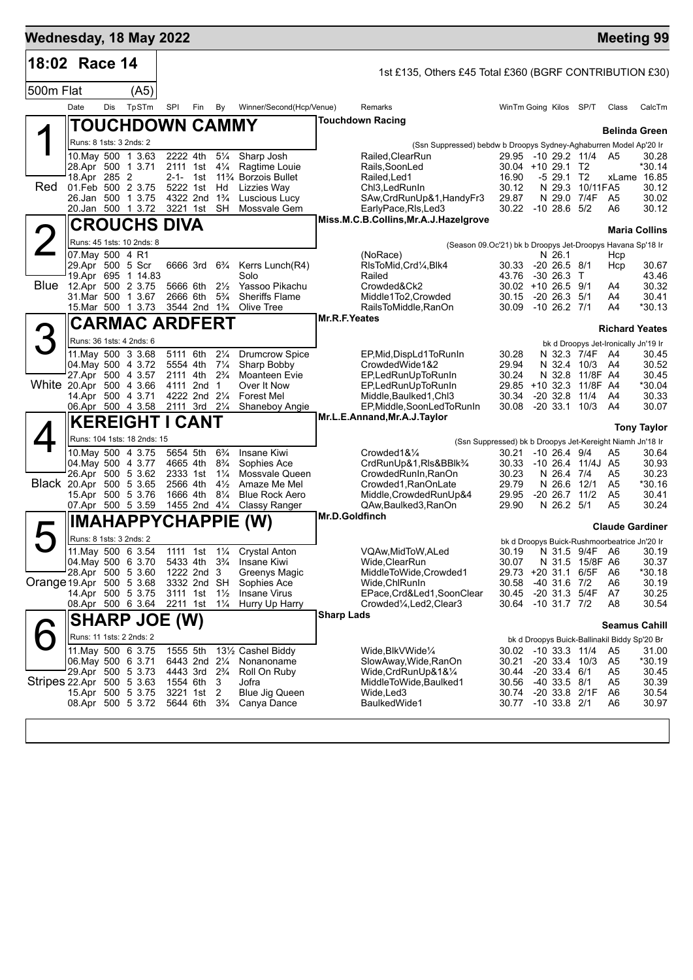| Wednesday, 18 May 2022    |                                                                                 |                             |       |                                                         |                                        |                                  |                                                              |                                                                                                                               |          | <b>Meeting 99</b>      |                      |
|---------------------------|---------------------------------------------------------------------------------|-----------------------------|-------|---------------------------------------------------------|----------------------------------------|----------------------------------|--------------------------------------------------------------|-------------------------------------------------------------------------------------------------------------------------------|----------|------------------------|----------------------|
| 18:02 Race 14             |                                                                                 |                             |       |                                                         |                                        |                                  |                                                              | 1st £135, Others £45 Total £360 (BGRF CONTRIBUTION £30)                                                                       |          |                        |                      |
| 500m Flat                 |                                                                                 |                             | (A5)  |                                                         |                                        |                                  |                                                              |                                                                                                                               |          |                        |                      |
|                           | Date                                                                            | Dis                         | TpSTm | SPI                                                     | Fin                                    | By                               | Winner/Second(Hcp/Venue)                                     | Remarks<br>WinTm Going Kilos                                                                                                  | SP/T     | Class                  | CalcTm               |
|                           |                                                                                 | <b>TOUCHDOWN CAMMY</b>      |       |                                                         |                                        |                                  |                                                              | <b>Touchdown Racing</b>                                                                                                       |          | <b>Belinda Green</b>   |                      |
|                           |                                                                                 | Runs: 8 1sts: 3 2nds: 2     |       |                                                         |                                        |                                  |                                                              | (Ssn Suppressed) bebdw b Droopys Sydney-Aghaburren Model Ap'20 Ir                                                             |          |                        |                      |
|                           |                                                                                 | 10. May 500 1 3.63          |       | 2222 4th 51/4                                           |                                        |                                  | Sharp Josh                                                   | 29.95 -10 29.2 11/4 A5<br>Railed.ClearRun                                                                                     |          |                        | 30.28                |
|                           | 28.Apr 500 1 3.71                                                               |                             |       | 2111 1st $4\frac{1}{4}$                                 |                                        |                                  | Ragtime Louie                                                | Rails, SoonLed<br>30.04 +10 29.1 T2                                                                                           |          |                        | *30.14               |
| Red                       | 01.Feb 500 2 3.75                                                               | 18.Apr 285 2                |       | 2-1- 1st<br>5222 1st Hd                                 |                                        |                                  | 11 <sup>3</sup> / <sub>4</sub> Borzois Bullet<br>Lizzies Way | 16.90<br>Railed, Led1<br>$-5$ 29.1 T2<br>N 29.3 10/11FA5<br>Chl3, Led RunIn<br>30.12                                          |          | xLame 16.85            | 30.12                |
|                           |                                                                                 | 26.Jan 500 1 3.75           |       | 4322 2nd 1 <sup>3</sup> / <sub>4</sub>                  |                                        |                                  | Luscious Lucy                                                | SAw, CrdRunUp&1, HandyFr3<br>29.87<br>N 29.0 7/4F                                                                             |          | A5                     | 30.02                |
|                           | 20.Jan 500 1 3.72                                                               |                             |       | 3221 1st SH                                             |                                        |                                  | Mossvale Gem                                                 | 30.22 -10 28.6 5/2<br>EarlyPace, RIs, Led3                                                                                    |          | A6                     | 30.12                |
|                           |                                                                                 | <b>CROUCHS DIVA</b>         |       |                                                         |                                        |                                  |                                                              | Miss.M.C.B.Collins, Mr.A.J.Hazelgrove                                                                                         |          |                        | <b>Maria Collins</b> |
|                           |                                                                                 | Runs: 45 1sts: 10 2nds: 8   |       |                                                         |                                        |                                  |                                                              | (Season 09.Oc'21) bk b Droopys Jet-Droopys Havana Sp'18 Ir                                                                    |          |                        |                      |
|                           | 07. May 500 4 R1                                                                |                             |       |                                                         |                                        |                                  |                                                              | N 26.1<br>(NoRace)                                                                                                            |          | Hcp                    |                      |
|                           | 29.Apr 500 5 Scr                                                                | 19.Apr 695 1 14.83          |       |                                                         | 6666 3rd 6 <sup>3</sup> / <sub>4</sub> |                                  | Kerrs Lunch(R4)<br>Solo                                      | RIsToMid, Crd1/4, Blk4<br>$-20$ 26.5 $8/1$<br>30.33<br>Railed<br>43.76<br>$-30$ 26.3 T                                        |          | Hcp                    | 30.67<br>43.46       |
|                           | Blue 12.Apr 500 2 3.75                                                          |                             |       |                                                         | 5666 6th 21/ <sub>2</sub>              |                                  | Yassoo Pikachu                                               | Crowded&Ck2<br>30.02 +10 26.5 9/1                                                                                             |          | A4                     | 30.32                |
|                           |                                                                                 | 31. Mar 500 1 3.67          |       | 2666 6th                                                |                                        | $5\frac{3}{4}$                   | <b>Sheriffs Flame</b>                                        | Middle1To2,Crowded<br>30.15<br>$-20$ 26.3 $5/1$                                                                               |          | A4                     | 30.41                |
|                           |                                                                                 | 15. Mar 500 1 3.73          |       | 3544 2nd 1 <sup>3</sup> / <sub>4</sub>                  |                                        |                                  | Olive Tree                                                   | $-10$ 26.2 $7/1$<br>RailsToMiddle, RanOn<br>30.09                                                                             |          | A4                     | *30.13               |
|                           |                                                                                 | <b>CARMAC ARDFERT</b>       |       |                                                         |                                        |                                  |                                                              | Mr.R.F.Yeates                                                                                                                 |          | <b>Richard Yeates</b>  |                      |
|                           |                                                                                 | Runs: 36 1sts: 4 2nds: 6    |       |                                                         |                                        |                                  |                                                              | bk d Droopys Jet-Ironically Jn'19 Ir                                                                                          |          |                        |                      |
|                           | 11. May 500 3 3.68                                                              |                             |       | 5111 6th                                                |                                        | $2\frac{1}{4}$                   | <b>Drumcrow Spice</b>                                        | N 32.3 7/4F<br>EP, Mid, DispLd1To Run In<br>30.28                                                                             |          | - A4                   | 30.45                |
|                           | 04. May 500 4 3.72<br>27.Apr 500 4 3.57                                         |                             |       | 2111 4th 2 <sup>3</sup> / <sub>4</sub>                  | 5554 4th 71/4                          |                                  | Sharp Bobby<br>Moanteen Evie                                 | 29.94<br>N 32.4 10/3<br>CrowdedWide1&2<br>30.24<br>N 32.8 11/8F A4<br>EP, Led Run Up To Run In                                |          | A4                     | 30.52<br>30.45       |
|                           | White 20 Apr 500 4 3.66                                                         |                             |       | 4111 2nd 1                                              |                                        |                                  | Over It Now                                                  | EP,LedRunUpToRunIn<br>$29.85 + 10.32.3$                                                                                       | 11/8F A4 |                        | *30.04               |
|                           | 14.Apr 500 4 3.71                                                               |                             |       |                                                         | 4222 2nd 21/4                          |                                  | <b>Forest Mel</b>                                            | 30.34<br>$-20$ 32.8 11/4<br>Middle,Baulked1,Chl3                                                                              |          | A4                     | 30.33                |
|                           | 06.Apr 500 4 3.58                                                               |                             |       | 2111 3rd 21/ <sub>4</sub>                               |                                        |                                  | Shaneboy Angie                                               | EP, Middle, SoonLedToRunIn<br>30.08<br>$-20$ 33.1 10/3<br>Mr.L.E.Annand, Mr.A.J.Taylor                                        |          | A4                     | 30.07                |
|                           |                                                                                 | <b>KEREIGHT I CANT</b>      |       |                                                         |                                        |                                  |                                                              |                                                                                                                               |          |                        | <b>Tony Taylor</b>   |
|                           |                                                                                 | Runs: 104 1sts: 18 2nds: 15 |       |                                                         |                                        |                                  |                                                              | (Ssn Suppressed) bk b Droopys Jet-Kereight Niamh Jn'18 Ir                                                                     |          |                        |                      |
|                           |                                                                                 | 10. May 500 4 3.75          |       | 5654 5th                                                |                                        | $6\frac{3}{4}$                   | Insane Kiwi                                                  | Crowded1&1/4<br>30.21<br>$-10$ 26.4 $9/4$                                                                                     |          | A5                     | 30.64                |
|                           | 04. May 500 4 3.77<br>26.Apr 500 5 3.62                                         |                             |       | 4665 4th<br>2333 1st                                    |                                        | $8\frac{3}{4}$<br>$1\frac{1}{4}$ | Sophies Ace<br>Mossvale Queen                                | CrdRunUp&1,RIs&BBlk <sup>3</sup> /4<br>30.33<br>-10 26.4 11/4J A5<br>CrowdedRunIn, RanOn<br>30.23<br>N 26.4 7/4               |          | A5                     | 30.93<br>30.23       |
|                           | Black 20.Apr 500 5 3.65                                                         |                             |       | 2566 4th                                                |                                        | $4\frac{1}{2}$                   | Amaze Me Mel                                                 | 29.79<br>Crowded1, RanOnLate<br>N 26.6 12/1                                                                                   |          | A <sub>5</sub>         | *30.16               |
|                           | 15.Apr 500 5 3.76                                                               |                             |       |                                                         | 1666 4th 81/4                          |                                  | <b>Blue Rock Aero</b>                                        | Middle, Crowded RunUp&4<br>29.95<br>$-20$ 26.7 $11/2$                                                                         |          | A5                     | 30.41                |
|                           | 07.Apr 500 5 3.59                                                               |                             |       | 1455 2nd 41/4                                           |                                        |                                  | <b>Classy Ranger</b>                                         | QAw, Baulked 3, RanOn<br>29.90<br>N 26.2 5/1<br>Mr.D.Goldfinch                                                                |          | A <sub>5</sub>         | 30.24                |
|                           |                                                                                 |                             |       |                                                         |                                        |                                  | IMAHAPPYCHAPPIE (W)                                          |                                                                                                                               |          | <b>Claude Gardiner</b> |                      |
|                           |                                                                                 | Runs: 8 1sts: 3 2nds: 2     |       |                                                         |                                        |                                  |                                                              | bk d Droopys Buick-Rushmoorbeatrice Jn'20 Ir                                                                                  |          |                        |                      |
|                           | 11. May 500 6 3.54<br>04. May 500 6 3.70 5433 4th 3 <sup>3</sup> / <sub>4</sub> |                             |       |                                                         | 1111 1st 11/4                          |                                  | <b>Crystal Anton</b>                                         | VQAw,MidToW,ALed<br>30.19 N 31.5 9/4F A6<br>Wide, ClearRun<br>N 31.5 15/8F A6                                                 |          |                        | 30.19<br>30.37       |
|                           | 28.Apr 500 5 3.60                                                               |                             |       | 1222 2nd 3                                              |                                        |                                  | Insane Kiwi<br>Greenys Magic                                 | 30.07<br>MiddleToWide,Crowded1<br>29.73<br>+20 31.1 6/5F                                                                      |          | A6                     | *30.18               |
| Orange 19.Apr 500 5 3.68  |                                                                                 |                             |       | 3332 2nd SH                                             |                                        |                                  | Sophies Ace                                                  | $-40$ 31.6 $7/2$<br>Wide,ChlRunIn<br>30.58                                                                                    |          | A6                     | 30.19                |
|                           | 14.Apr 500 5 3.75                                                               |                             |       | 3111 1st 11/2                                           |                                        |                                  | <b>Insane Virus</b>                                          | -20 31.3 5/4F<br>EPace, Crd&Led1, Soon Clear<br>30.45                                                                         |          | A7                     | 30.25                |
|                           | 08.Apr 500 6 3.64                                                               |                             |       | 2211 1st 11/4                                           |                                        |                                  | Hurry Up Harry                                               | $-10$ 31.7 $7/2$<br>Crowded <sup>1</sup> / <sub>4</sub> , Led <sub>2</sub> , Clear <sub>3</sub><br>30.64<br><b>Sharp Lads</b> |          | A8                     | 30.54                |
|                           |                                                                                 | <b>SHARP JOE (W)</b>        |       |                                                         |                                        |                                  |                                                              |                                                                                                                               |          | <b>Seamus Cahill</b>   |                      |
|                           |                                                                                 | Runs: 11 1sts: 2 2nds: 2    |       |                                                         |                                        |                                  |                                                              | bk d Droopys Buick-Ballinakil Biddy Sp'20 Br                                                                                  |          |                        |                      |
|                           | 11 May 500 6 3.75<br>06. May 500 6 3.71                                         |                             |       | 1555 5th                                                |                                        |                                  | 131/2 Cashel Biddy                                           | Wide, BlkVWide1/4<br>$-10$ 33.3 $11/4$<br>30.02<br>$-20$ 33.4 $10/3$                                                          |          | A5                     | 31.00                |
|                           | 29.Apr 500 5 3.73                                                               |                             |       | 6443 2nd 21/4<br>4443 3rd 2 <sup>3</sup> / <sub>4</sub> |                                        |                                  | Nonanoname<br>Roll On Ruby                                   | SlowAway, Wide, RanOn<br>30.21<br>$-20$ 33.4 $6/1$<br>Wide,CrdRunUp&1&¼<br>30.44                                              |          | A5<br>A5               | *30.19<br>30.45      |
| Stripes 22.Apr 500 5 3.63 |                                                                                 |                             |       | 1554 6th                                                |                                        | -3                               | Jofra                                                        | MiddleToWide, Baulked1<br>30.56<br>$-40$ 33.5 $8/1$                                                                           |          | A5                     | 30.39                |
|                           | 15.Apr 500 5 3.75                                                               |                             |       | 3221 1st                                                |                                        | $\overline{2}$                   | <b>Blue Jig Queen</b>                                        | -20 33.8 2/1F<br>Wide, Led 3<br>30.74                                                                                         |          | A6                     | 30.54                |
|                           | 08.Apr 500 5 3.72                                                               |                             |       |                                                         | 5644 6th 3 <sup>3</sup> / <sub>4</sub> |                                  | Canya Dance                                                  | BaulkedWide1<br>30.77<br>$-10$ 33.8 $2/1$                                                                                     |          | A6                     | 30.97                |
|                           |                                                                                 |                             |       |                                                         |                                        |                                  |                                                              |                                                                                                                               |          |                        |                      |
|                           |                                                                                 |                             |       |                                                         |                                        |                                  |                                                              |                                                                                                                               |          |                        |                      |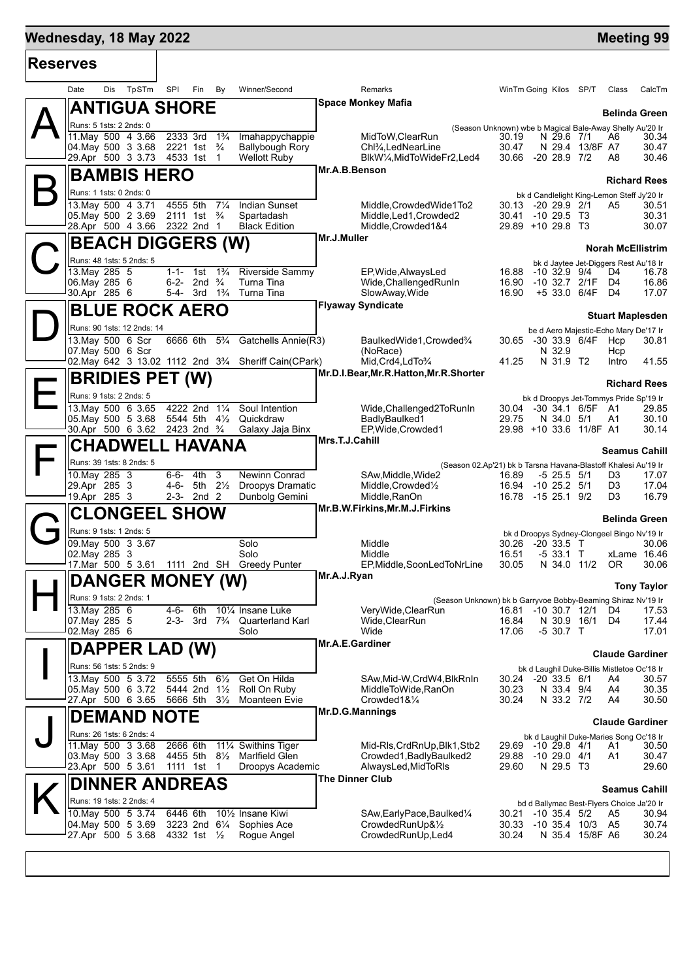# **Mednesday, 18 May 2022 Meeting 99**

т

г

| <b>Reserves</b> |                                                               |                                                                  |                                                    |                                                                              |                                                                                            |                            |
|-----------------|---------------------------------------------------------------|------------------------------------------------------------------|----------------------------------------------------|------------------------------------------------------------------------------|--------------------------------------------------------------------------------------------|----------------------------|
|                 | TpSTm<br>Date<br>Dis                                          | SPI<br>Fin<br>By                                                 | Winner/Second                                      | Remarks                                                                      | WinTm Going Kilos SP/T                                                                     | CalcTm<br>Class            |
|                 | <b>ANTIGUA SHORE</b>                                          |                                                                  |                                                    | <b>Space Monkey Mafia</b>                                                    |                                                                                            | <b>Belinda Green</b>       |
|                 | Runs: 5 1sts: 2 2nds: 0                                       |                                                                  |                                                    |                                                                              | (Season Unknown) wbe b Magical Bale-Away Shelly Au'20 Ir                                   |                            |
|                 | 11. May 500 4 3.66                                            | 2333 3rd<br>$1\frac{3}{4}$                                       | Imahappychappie                                    | MidToW,ClearRun                                                              | 30.19<br>N 29.6 7/1                                                                        | A6<br>30.34                |
|                 | 04 May 500 3 3.68<br>29.Apr 500 3 3.73                        | 2221 1st<br>$\frac{3}{4}$<br>4533 1st 1                          | <b>Ballybough Rory</b><br><b>Wellott Ruby</b>      | Chl <sup>3</sup> / <sub>4</sub> , LedNearLine<br>BlkW1/4, MidToWideFr2, Led4 | 30.47<br>N 29.4 13/8F A7<br>$-2028.97/2$<br>30.66                                          | 30.47<br>30.46<br>A8       |
|                 | <b>BAMBIS HERO</b>                                            |                                                                  |                                                    | Mr.A.B.Benson                                                                |                                                                                            |                            |
|                 |                                                               |                                                                  |                                                    |                                                                              |                                                                                            | <b>Richard Rees</b>        |
|                 | Runs: 1 1sts: 0 2nds: 0<br>13. May 500 4 3.71                 | 4555 5th<br>$7\frac{1}{4}$                                       | Indian Sunset                                      | Middle, Crowded Wide 1 To 2                                                  | bk d Candlelight King-Lemon Steff Jy'20 Ir<br>30.13 -20 29.9 2/1                           | A5<br>30.51                |
|                 | 05. May 500 2 3.69                                            | 2111 1st $\frac{3}{4}$                                           | Spartadash                                         | Middle, Led1, Crowded2                                                       | 30.41 -10 29.5 T3                                                                          | 30.31                      |
|                 | 28.Apr 500 4 3.66                                             | 2322 2nd 1                                                       | <b>Black Edition</b>                               | Middle, Crowded 1&4                                                          | 29.89 +10 29.8 T3                                                                          | 30.07                      |
|                 | <b>BEACH DIGGERS (W)</b>                                      |                                                                  |                                                    | Mr.J.Muller                                                                  |                                                                                            | <b>Norah McEllistrim</b>   |
|                 | Runs: 48 1sts: 5 2nds: 5                                      |                                                                  |                                                    |                                                                              | bk d Jaytee Jet-Diggers Rest Au'18 Ir                                                      |                            |
|                 | 13. May 285 5                                                 | $1\frac{3}{4}$<br>1-1- 1st                                       | Riverside Sammy                                    | EP, Wide, Always Led                                                         | 16.88<br>$-10$ 32.9 $9/4$                                                                  | D4<br>16.78                |
|                 | 06. May 285 6<br>30.Apr 285 6                                 | 6-2- 2nd $\frac{3}{4}$<br>5-4- 3rd 1 <sup>3</sup> / <sub>4</sub> | Turna Tina<br>Turna Tina                           | Wide, Challenged RunIn<br>SlowAway, Wide                                     | 16.90<br>-10 32.7 2/1F<br>16.90<br>+5 33.0 6/4F                                            | D4<br>16.86<br>D4<br>17.07 |
|                 | <b>BLUE ROCK AERO</b>                                         |                                                                  |                                                    | <b>Flyaway Syndicate</b>                                                     |                                                                                            |                            |
|                 |                                                               |                                                                  |                                                    |                                                                              |                                                                                            | <b>Stuart Maplesden</b>    |
|                 | Runs: 90 1sts: 12 2nds: 14<br>13. May 500 6 Scr               | 6666 6th<br>$5\frac{3}{4}$                                       | Gatchells Annie(R3)                                | BaulkedWide1, Crowded3/4                                                     | be d Aero Majestic-Echo Mary De'17 Ir<br>30.65 -30 33.9 6/4F                               | 30.81<br>Hcp               |
|                 | 07. May 500 6 Scr                                             |                                                                  |                                                    | (NoRace)                                                                     | N 32.9                                                                                     | Hcp                        |
|                 | 02. May 642 3 13.02 1112 2nd 33/4 Sheriff Cain(CPark)         |                                                                  |                                                    | Mid.Crd4,LdTo3/4                                                             | N 31.9 T2<br>41.25                                                                         | 41.55<br>Intro             |
|                 | <b>BRIDIES PET (W)</b>                                        |                                                                  |                                                    | Mr.D.I.Bear, Mr.R.Hatton, Mr.R.Shorter                                       |                                                                                            | <b>Richard Rees</b>        |
|                 | Runs: 9 1sts: 2 2nds: 5                                       |                                                                  |                                                    |                                                                              | bk d Droopys Jet-Tommys Pride Sp'19 Ir                                                     |                            |
|                 | 13. May 500 6 3.65                                            | 4222 2nd 11/4                                                    | Soul Intention                                     | Wide, Challenged 2To RunIn                                                   | -30 34.1 6/5F A1<br>30.04                                                                  | 29.85                      |
|                 | 05. May 500 5 3.68<br>30.Apr 500 6 3.62 2423 2nd 3/4          | 5544 5th<br>$4\frac{1}{2}$                                       | Quickdraw<br>Galaxy Jaja Binx                      | BadlyBaulked1<br>EP, Wide, Crowded1                                          | 29.75<br>N 34.0 5/1<br>29.98 +10 33.6 11/8F A1                                             | 30.10<br>A1<br>30.14       |
|                 | <b>CHADWELL HAVANA</b>                                        |                                                                  |                                                    | Mrs.T.J.Cahill                                                               |                                                                                            |                            |
|                 |                                                               |                                                                  |                                                    |                                                                              |                                                                                            | <b>Seamus Cahill</b>       |
|                 | Runs: 39 1sts: 8 2nds: 5<br>10. May 285 3                     | 3<br>$6 - 6 -$<br>4th                                            | Newinn Conrad                                      | SAw, Middle, Wide 2                                                          | (Season 02.Ap'21) bk b Tarsna Havana-Blastoff Khalesi Au'19 Ir<br>$-5$ 25.5 $5/1$<br>16.89 | 17.07<br>D3                |
|                 | 29.Apr 285 3                                                  | 4-6-<br>5th 2½                                                   | Droopys Dramatic                                   | Middle, Crowded <sup>1</sup> / <sub>2</sub>                                  | 16.94 -10 25.2 5/1                                                                         | D <sub>3</sub><br>17.04    |
|                 | 19.Apr 285 3                                                  | 2-3- 2nd 2                                                       | Dunbolg Gemini                                     | Middle, RanOn                                                                | 16.78 -15 25.1 9/2                                                                         | 16.79<br>D <sub>3</sub>    |
|                 | Cl                                                            | <b>LONGEEL SHOW</b>                                              |                                                    | Mr.B.W.Firkins, Mr.M.J.Firkins                                               |                                                                                            | <b>Belinda Green</b>       |
|                 | Runs: 9 1sts: 1 2nds: 5                                       |                                                                  |                                                    |                                                                              | bk d Droopys Sydney-Clongeel Bingo Nv'19 Ir                                                |                            |
|                 | 09. May 500 3 3.67                                            |                                                                  | Solo<br>Solo                                       | Middle<br>Middle                                                             | 30.26<br>$-2033.5$ T<br>16.51<br>$-533.1$ T                                                | 30.06<br>xLame 16.46       |
|                 | 02. May 285 3<br>17. Mar 500 5 3.61 1111 2nd SH Greedy Punter |                                                                  |                                                    | EP, Middle, Soon Led To Nr Line                                              | 30.05<br>N 34.0 11/2                                                                       | OR.<br>30.06               |
|                 | <b>DANGER MONEY (W)</b>                                       |                                                                  |                                                    | Mr.A.J.Ryan                                                                  |                                                                                            |                            |
|                 | Runs: 9 1sts: 2 2nds: 1                                       |                                                                  |                                                    |                                                                              |                                                                                            | <b>Tony Taylor</b>         |
|                 | 13. May 285 6                                                 | 4-6- 6th                                                         | 101/4 Insane Luke                                  | VeryWide, ClearRun                                                           | (Season Unknown) bk b Garryvoe Bobby-Beaming Shiraz Nv'19 Ir<br>16.81<br>$-10$ 30.7 $12/1$ | D4<br>17.53                |
|                 | 07. May 285 5                                                 | 2-3-                                                             | 3rd 7 <sup>3</sup> / <sub>4</sub> Quarterland Karl | Wide, ClearRun                                                               | 16.84<br>N 30.9 16/1                                                                       | 17.44<br>D4                |
|                 | 02.May 285 6                                                  |                                                                  | Solo                                               | Wide<br>Mr.A.E.Gardiner                                                      | 17.06<br>$-530.7$ T                                                                        | 17.01                      |
|                 | DAPPER LAD (W)                                                |                                                                  |                                                    |                                                                              |                                                                                            | <b>Claude Gardiner</b>     |
|                 | Runs: 56 1sts: 5 2nds: 9                                      |                                                                  |                                                    |                                                                              | bk d Laughil Duke-Billis Mistletoe Oc'18 Ir                                                |                            |
|                 | 13. May 500 5 3.72<br>05. May 500 6 3.72                      | 5555 5th<br>$6\frac{1}{2}$<br>5444 2nd 11/2                      | Get On Hilda<br>Roll On Ruby                       | SAw, Mid-W, CrdW4, BlkRnIn<br>MiddleToWide.RanOn                             | $-20, 33.5, 6/1$<br>30.24<br>30.23<br>N 33.4 9/4                                           | A4<br>30.57<br>A4<br>30.35 |
|                 | 27.Apr 500 6 3.65                                             | 5666 5th 3½                                                      | Moanteen Evie                                      | Crowded1&1/4                                                                 | 30.24<br>N 33.2 7/2                                                                        | 30.50<br>A4                |
|                 | <b>DEMAND NOTE</b>                                            |                                                                  |                                                    | Mr.D.G.Mannings                                                              |                                                                                            | <b>Claude Gardiner</b>     |
|                 | Runs: 26 1sts: 6 2nds: 4                                      |                                                                  |                                                    |                                                                              | bk d Laughil Duke-Maries Song Oc'18 Ir                                                     |                            |
|                 | 11. May 500 3 3.68                                            | 2666 6th                                                         | 111⁄4 Swithins Tiger                               | Mid-RIs, CrdRnUp, Blk1, Stb2                                                 | 29.69<br>-10 29.8 4/1                                                                      | A1<br>30.50                |
|                 | 03. May 500 3 3.68                                            | 4455 5th 8½                                                      | Marlfield Glen                                     | Crowded1, Badly Baulked2                                                     | $-1029.04/1$<br>29.88                                                                      | A1<br>30.47                |
|                 | 23.Apr 500 5 3.61                                             | 1111 1st<br>$\overline{1}$                                       | Droopys Academic                                   | AlwaysLed, MidToRIs<br>The Dinner Club                                       | 29.60<br>N 29.5 T3                                                                         | 29.60                      |
|                 | <b>DINNER ANDREAS</b>                                         |                                                                  |                                                    |                                                                              |                                                                                            | <b>Seamus Cahill</b>       |
|                 | Runs: 19 1sts: 2 2nds: 4                                      |                                                                  |                                                    |                                                                              | bd d Ballymac Best-Flyers Choice Ja'20 Ir                                                  |                            |
|                 | 10. May 500 5 3.74<br>04. May 500 5 3.69                      | 6446 6th<br>3223 2nd 61/4 Sophies Ace                            | 10 <sup>1</sup> / <sub>2</sub> Insane Kiwi         | SAw, Early Pace, Baulked 1/4<br>CrowdedRunUp&1/2                             | $-10$ 35.4 $5/2$<br>30.21<br>30.33<br>$-10, 35.4, 10/3$                                    | A5<br>30.94<br>A5<br>30.74 |
|                 | 27.Apr 500 5 3.68                                             | 4332 1st 1/2                                                     | Rogue Angel                                        | CrowdedRunUp, Led4                                                           | 30.24<br>N 35.4 15/8F A6                                                                   | 30.24                      |
|                 |                                                               |                                                                  |                                                    |                                                                              |                                                                                            |                            |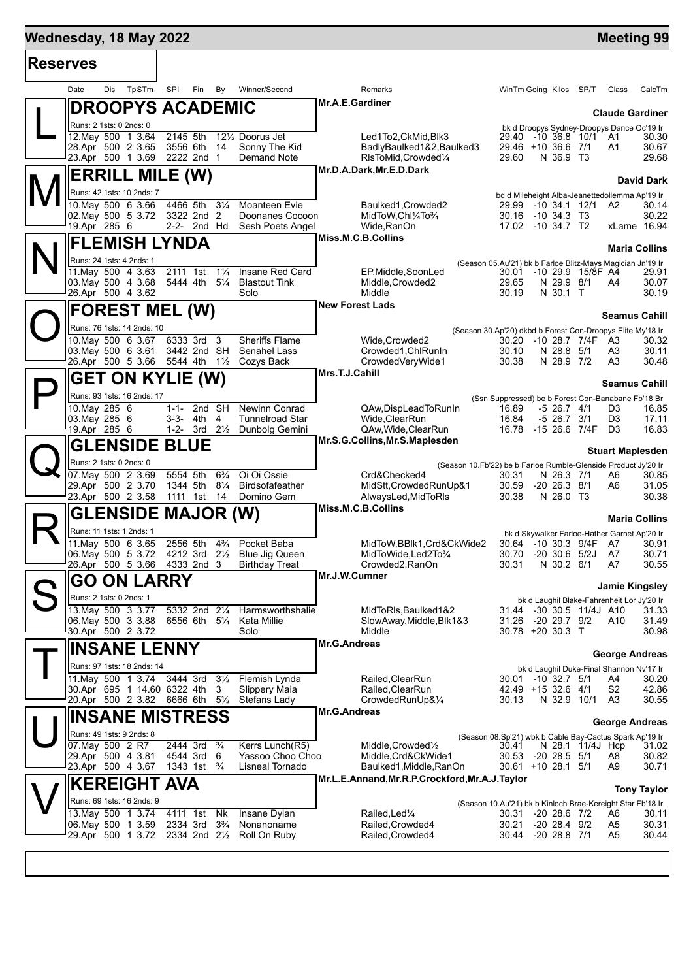# **Mednesday, 18 May 2022 Meeting 99**

| <b>Reserves</b> |                    |                                                     |       |                           |                                        |                |                                               |                        |                                                                |                                                                     |                                 |                   |                                                |                         |
|-----------------|--------------------|-----------------------------------------------------|-------|---------------------------|----------------------------------------|----------------|-----------------------------------------------|------------------------|----------------------------------------------------------------|---------------------------------------------------------------------|---------------------------------|-------------------|------------------------------------------------|-------------------------|
|                 | Date               | Dis                                                 | TpSTm | SPI                       | Fin                                    | By             | Winner/Second                                 |                        | Remarks                                                        | WinTm Going Kilos SP/T                                              |                                 |                   | Class                                          | CalcTm                  |
|                 |                    | <b>DROOPYS ACADEMIC</b>                             |       |                           |                                        |                |                                               | Mr.A.E.Gardiner        |                                                                |                                                                     |                                 |                   |                                                | <b>Claude Gardiner</b>  |
|                 |                    | Runs: 2 1sts: 0 2nds: 0                             |       |                           |                                        |                |                                               |                        |                                                                |                                                                     |                                 |                   | bk d Droopys Sydney-Droopys Dance Oc'19 Ir     |                         |
|                 | 28.Apr 500 2 3.65  | 12. May 500 1 3.64                                  |       | 2145 5th<br>3556 6th      |                                        | - 14           | 121/ <sub>2</sub> Doorus Jet<br>Sonny The Kid |                        | Led1To2.CkMid.Blk3<br>BadlyBaulked1&2,Baulked3                 | 29.40<br>29.46 +10 36.6 7/1                                         |                                 | -10 36.8 10/1 A1  | A1                                             | 30.30<br>30.67          |
|                 |                    | 23.Apr 500 1 3.69                                   |       | 2222 2nd 1                |                                        |                | Demand Note                                   |                        | RIsToMid, Crowded <sup>1</sup> / <sub>4</sub>                  | 29.60                                                               | N 36.9 T3                       |                   |                                                | 29.68                   |
|                 |                    | <b>ERRILL MILE (W)</b>                              |       |                           |                                        |                |                                               |                        | Mr.D.A.Dark, Mr.E.D.Dark                                       |                                                                     |                                 |                   |                                                | <b>David Dark</b>       |
|                 |                    | Runs: 42 1sts: 10 2nds: 7                           |       |                           |                                        |                |                                               |                        |                                                                |                                                                     |                                 |                   | bd d Mileheight Alba-Jeanettedollemma Ap'19 Ir |                         |
|                 |                    | 10. May 500 6 3.66                                  |       | 4466 5th                  |                                        | $3\frac{1}{4}$ | Moanteen Evie                                 |                        | Baulked1, Crowded2                                             | 29.99 -10 34.1 12/1 A2                                              |                                 |                   |                                                | 30.14                   |
|                 | 19.Apr 285 6       | 02. May 500 5 3.72                                  |       | 3322 2nd 2                | 2-2- 2nd Hd                            |                | Doonanes Cocoon<br>Sesh Poets Angel           |                        | MidToW,Chl¼To¼<br>Wide, RanOn                                  | 30.16 -10 34.3 T3<br>17.02 -10 34.7 T2                              |                                 |                   |                                                | 30.22<br>xLame 16.94    |
|                 |                    |                                                     |       |                           |                                        |                |                                               |                        | Miss.M.C.B.Collins                                             |                                                                     |                                 |                   |                                                |                         |
|                 |                    | <b>FLEMISH LYNDA</b>                                |       |                           |                                        |                |                                               |                        |                                                                |                                                                     |                                 |                   |                                                | <b>Maria Collins</b>    |
|                 |                    | Runs: 24 1sts: 4 2nds: 1<br>11. May 500 4 3.63      |       | 2111 1st                  |                                        | $1\frac{1}{4}$ | Insane Red Card                               |                        | EP, Middle, SoonLed                                            | (Season 05.Au'21) bk b Farloe Blitz-Mays Magician Jn'19 Ir<br>30.01 |                                 | -10 29.9 15/8F A4 |                                                | 29.91                   |
|                 | 03. May 500 4 3.68 |                                                     |       | 5444 4th 51/4             |                                        |                | <b>Blastout Tink</b>                          |                        | Middle, Crowded2                                               | 29.65                                                               | N 29.9 8/1                      |                   | A4                                             | 30.07                   |
|                 |                    | 26.Apr 500 4 3.62                                   |       |                           |                                        |                | Solo                                          |                        | Middle                                                         | 30.19                                                               | N 30.1 T                        |                   |                                                | 30.19                   |
|                 |                    | <b>FOREST MEL (W)</b>                               |       |                           |                                        |                |                                               | <b>New Forest Lads</b> |                                                                |                                                                     |                                 |                   |                                                | <b>Seamus Cahill</b>    |
|                 |                    | Runs: 76 1sts: 14 2nds: 10                          |       |                           |                                        |                |                                               |                        |                                                                | (Season 30.Ap'20) dkbd b Forest Con-Droopys Elite My'18 Ir          |                                 |                   |                                                |                         |
|                 |                    | 10. May 500 6 3.67 6333 3rd 3                       |       |                           |                                        |                | <b>Sheriffs Flame</b>                         |                        | Wide, Crowded 2                                                | 30.20 -10 28.7 7/4F A3                                              |                                 |                   |                                                | 30.32                   |
|                 | 03. May 500 6 3.61 | 26.Apr 500 5 3.66 5544 4th                          |       |                           | 3442 2nd SH                            | $1\frac{1}{2}$ | Senahel Lass<br>Cozys Back                    |                        | Crowded1, ChlRunIn<br>CrowdedVeryWide1                         | 30.10<br>30.38                                                      | N 28.8 5/1<br>N 28.9 7/2        |                   | A3<br>A3                                       | 30.11<br>30.48          |
|                 |                    | <b>GET ON KYLIE (W)</b>                             |       |                           |                                        |                |                                               | Mrs.T.J.Cahill         |                                                                |                                                                     |                                 |                   |                                                |                         |
|                 |                    |                                                     |       |                           |                                        |                |                                               |                        |                                                                |                                                                     |                                 |                   | <b>Seamus Cahill</b>                           |                         |
|                 | 10. May 285 6      | Runs: 93 1sts: 16 2nds: 17                          |       | $1 - 1 -$                 | 2nd SH                                 |                | <b>Newinn Conrad</b>                          |                        | QAw,DispLeadToRunIn                                            | (Ssn Suppressed) be b Forest Con-Banabane Fb'18 Br<br>16.89         | $-5$ 26.7 $4/1$                 |                   | D3                                             | 16.85                   |
|                 | 03. May 285 6      |                                                     |       | 3-3- 4th                  |                                        | 4              | <b>Tunnelroad Star</b>                        |                        | Wide, ClearRun                                                 | 16.84                                                               | $-5$ 26.7 $3/1$                 |                   | D3                                             | 17.11                   |
|                 | 19.Apr 285 6       |                                                     |       |                           | 1-2- $3rd$ $2\frac{1}{2}$              |                | Dunbolg Gemini                                |                        | QAw, Wide, ClearRun<br>Mr.S.G.Collins, Mr.S.Maplesden          | 16.78 -15 26.6 7/4F                                                 |                                 |                   | D <sub>3</sub>                                 | 16.83                   |
|                 |                    | <b>GLENSIDE BLUE</b>                                |       |                           |                                        |                |                                               |                        |                                                                |                                                                     |                                 |                   |                                                | <b>Stuart Maplesden</b> |
|                 |                    | Runs: 2 1sts: 0 2nds: 0                             |       |                           |                                        |                |                                               |                        | (Season 10.Fb'22) be b Farloe Rumble-Glenside Product Jy'20 Ir |                                                                     |                                 |                   |                                                |                         |
|                 |                    | 07. May 500 2 3.69<br>29.Apr 500 2 3.70             |       | 5554 5th                  | 1344 5th 81/4                          | $6\frac{3}{4}$ | Oi Oi Ossie<br>Birdsofafeather                |                        | Crd&Checked4<br>MidStt,CrowdedRunUp&1                          | 30.31<br>30.59                                                      | N 26.3 7/1<br>$-20$ 26.3 $8/1$  |                   | A6<br>A6                                       | 30.85<br>31.05          |
|                 |                    | 23.Apr 500 2 3.58                                   |       |                           | 1111 1st 14                            |                | Domino Gem                                    |                        | AlwaysLed, MidToRIs                                            | 30.38                                                               | N 26.0 T3                       |                   |                                                | 30.38                   |
|                 |                    | <b>GLENSIDE MAJOR (W)</b>                           |       |                           |                                        |                |                                               |                        | Miss.M.C.B.Collins                                             |                                                                     |                                 |                   |                                                | <b>Maria Collins</b>    |
|                 |                    | Runs: 11 1sts: 1 2nds: 1                            |       |                           |                                        |                |                                               |                        |                                                                |                                                                     |                                 |                   | bk d Skywalker Farloe-Hather Garnet Ap'20 Ir   |                         |
|                 |                    | 11. May 500 6 3.65                                  |       | 2556 5th                  |                                        | $4\frac{3}{4}$ | Pocket Baba                                   |                        | MidToW, BBlk1, Crd&CkWide2                                     | 30.64 -10 30.3 9/4F                                                 |                                 |                   | A7                                             | 30.91                   |
|                 | 06. May 500 5 3.72 | 26.Apr 500 5 3.66                                   |       | 4212 3rd 2½<br>4333 2nd 3 |                                        |                | Blue Jig Queen<br><b>Birthday Treat</b>       |                        | MidToWide,Led2To%<br>Crowded2, RanOn                           | 30.70<br>30.31                                                      | $-20$ 30.6 $5/2J$<br>N 30.2 6/1 |                   | A7<br>A7                                       | 30.71<br>30.55          |
|                 |                    | <b>GO ON LARRY</b>                                  |       |                           |                                        |                |                                               | Mr.J.W.Cumner          |                                                                |                                                                     |                                 |                   |                                                |                         |
|                 |                    | Runs: 2 1sts: 0 2nds: 1                             |       |                           |                                        |                |                                               |                        |                                                                |                                                                     |                                 |                   |                                                | <b>Jamie Kingsley</b>   |
|                 |                    | 13. May 500 3 3.77                                  |       |                           | 5332 2nd 21/4                          |                | Harmsworthshalie                              |                        | MidToRIs, Baulked 1&2                                          | 31.44 -30 30.5 11/4J A10                                            |                                 |                   | bk d Laughil Blake-Fahrenheit Lor Jy'20 Ir     | 31.33                   |
|                 | 06. May 500 3 3.88 |                                                     |       |                           | 6556 6th 51/4                          |                | Kata Millie                                   |                        | SlowAway,Middle,Blk1&3                                         | 31.26                                                               | -20 29.7 9/2                    |                   | A <sub>10</sub>                                | 31.49                   |
|                 | 30.Apr 500 2 3.72  |                                                     |       |                           |                                        |                | Solo                                          | Mr.G.Andreas           | Middle                                                         | 30.78 +20 30.3 T                                                    |                                 |                   |                                                | 30.98                   |
|                 |                    | <b>INSANE LENNY</b>                                 |       |                           |                                        |                |                                               |                        |                                                                |                                                                     |                                 |                   |                                                | <b>George Andreas</b>   |
|                 |                    | Runs: 97 1sts: 18 2nds: 14                          |       |                           |                                        |                |                                               |                        |                                                                |                                                                     |                                 |                   | bk d Laughil Duke-Final Shannon Nv'17 Ir       |                         |
|                 |                    | 11. May 500 1 3.74<br>30.Apr 695 1 14.60 6322 4th 3 |       |                           |                                        |                | 3444 3rd 31/2 Flemish Lynda<br>Slippery Maia  |                        | Railed.ClearRun<br>Railed, ClearRun                            | 30.01 -10 32.7 5/1<br>42.49 +15 32.6 4/1                            |                                 |                   | A4<br>S2                                       | 30.20<br>42.86          |
|                 |                    | 20.Apr 500 2 3.82 6666 6th 51/2                     |       |                           |                                        |                | Stefans Lady                                  |                        | CrowdedRunUp&1/4                                               | 30.13                                                               |                                 | N 32.9 10/1 A3    |                                                | 30.55                   |
|                 |                    | <b>INSANE MISTRESS</b>                              |       |                           |                                        |                |                                               | Mr.G.Andreas           |                                                                |                                                                     |                                 |                   |                                                | <b>George Andreas</b>   |
|                 |                    | Runs: 49 1sts: 9 2nds: 8                            |       |                           |                                        |                |                                               |                        |                                                                | (Season 08.Sp'21) wbk b Cable Bay-Cactus Spark Ap'19 Ir             |                                 |                   |                                                |                         |
|                 |                    | 07. May 500 2 R7                                    |       |                           | 2444 3rd <sup>3</sup> / <sub>4</sub>   |                | Kerrs Lunch(R5)                               |                        | Middle, Crowded <sup>1</sup> / <sub>2</sub>                    | 30.41                                                               |                                 | N 28.1 11/4J Hcp  |                                                | 31.02                   |
|                 |                    | 29.Apr 500 4 3.81<br>23.Apr 500 4 3.67              |       |                           | 4544 3rd 6<br>1343 1st $\frac{3}{4}$   |                | Yassoo Choo Choo<br>Lisneal Tornado           |                        | Middle, Crd&CkWide1<br>Baulked1, Middle, RanOn                 | 30.53 -20 28.5 5/1<br>30.61 +10 28.1 5/1                            |                                 |                   | A8<br>A9                                       | 30.82<br>30.71          |
|                 |                    |                                                     |       |                           |                                        |                |                                               |                        | Mr.L.E.Annand, Mr.R.P.Crockford, Mr.A.J.Taylor                 |                                                                     |                                 |                   |                                                |                         |
|                 |                    | <b>KEREIGHT AVA</b>                                 |       |                           |                                        |                |                                               |                        |                                                                |                                                                     |                                 |                   |                                                | <b>Tony Taylor</b>      |
|                 |                    | Runs: 69 1sts: 16 2nds: 9<br>13. May 500 1 3.74     |       | 4111 1st                  |                                        | Nk             | Insane Dylan                                  |                        | Railed, Led <sup>1/4</sup>                                     | (Season 10.Au'21) bk b Kinloch Brae-Kereight Star Fb'18 Ir          |                                 |                   | A6                                             |                         |
|                 | 06. May 500 1 3.59 |                                                     |       |                           | 2334 3rd 3 <sup>3</sup> / <sub>4</sub> |                | Nonanoname                                    |                        | Railed, Crowded4                                               | 30.31 -20 28.6 7/2<br>30.21                                         | $-20$ 28.4 $9/2$                |                   | A5                                             | 30.11<br>30.31          |
|                 |                    | 29.Apr 500 1 3.72                                   |       |                           |                                        |                | 2334 2nd 21/2 Roll On Ruby                    |                        | Railed, Crowded4                                               | 30.44 -20 28.8 7/1                                                  |                                 |                   | A5                                             | 30.44                   |
|                 |                    |                                                     |       |                           |                                        |                |                                               |                        |                                                                |                                                                     |                                 |                   |                                                |                         |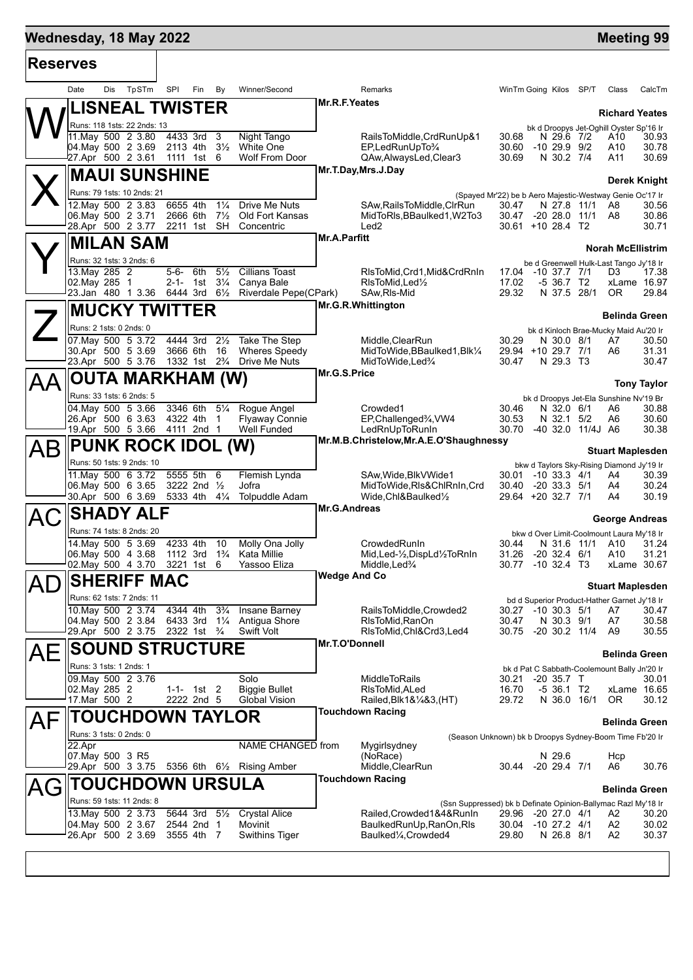# **Mednesday, 18 May 2022 Meeting 99**

 $\top$ 

| <b>Reserves</b> |                                                        |                                           |                                      |                                                                    |                                                                                     |                                             |                      |
|-----------------|--------------------------------------------------------|-------------------------------------------|--------------------------------------|--------------------------------------------------------------------|-------------------------------------------------------------------------------------|---------------------------------------------|----------------------|
|                 | Dis<br>TpSTm<br>Date                                   | SPI<br>Fin<br>By                          | Winner/Second                        | Remarks                                                            | WinTm Going Kilos SP/T                                                              | Class                                       | CalcTm               |
|                 | <b>ISNEAL TWISTER</b>                                  |                                           |                                      | Mr.R.F.Yeates                                                      |                                                                                     | <b>Richard Yeates</b>                       |                      |
|                 | Runs: 118 1sts: 22 2nds: 13                            |                                           |                                      |                                                                    |                                                                                     | bk d Droopys Jet-Oghill Oyster Sp'16 Ir     |                      |
|                 | 11. May 500 2 3.80<br>04. May 500 2 3.69               | 4433 3rd 3<br>2113 4th 31/2               | Night Tango<br><b>White One</b>      | RailsToMiddle,CrdRunUp&1<br>EP,LedRunUpTo%                         | 30.68<br>N 29.6 7/2<br>30.60<br>-10 29.9 9/2                                        | A10<br>A10                                  | 30.93<br>30.78       |
|                 | 27.Apr 500 2 3.61                                      | 1111 1st 6                                | Wolf From Door                       | QAw,AlwaysLed,Clear3                                               | 30.69<br>N 30.2 7/4                                                                 | A11                                         | 30.69                |
|                 | <b>MAUI SUNSHINE</b>                                   |                                           |                                      | Mr.T.Day, Mrs.J.Day                                                |                                                                                     |                                             | Derek Knight         |
|                 | Runs: 79 1sts: 10 2nds: 21                             |                                           |                                      |                                                                    | (Spayed Mr'22) be b Aero Majestic-Westway Genie Oc'17 Ir                            |                                             |                      |
|                 | 12. May 500 2 3.83                                     | 6655 4th<br>$1\frac{1}{4}$                | Drive Me Nuts                        | SAw, Rails To Middle, ClrRun                                       | 30.47<br>N 27.8 11/1                                                                | A8                                          | 30.56                |
|                 | 06. May 500 2 3.71<br>28.Apr 500 2 3.77                | $7\frac{1}{2}$<br>2666 6th<br>2211 1st SH | Old Fort Kansas<br>Concentric        | MidToRIs, BBaulked1, W2To3<br>Led <sub>2</sub>                     | 30.47 -20 28.0 11/1 A8<br>$30.61 + 10.28.4$ T <sub>2</sub>                          |                                             | 30.86<br>30.71       |
|                 | <b>MILAN SAM</b>                                       |                                           |                                      | <b>Mr.A.Parfitt</b>                                                |                                                                                     |                                             |                      |
|                 | Runs: 32 1sts: 3 2nds: 6                               |                                           |                                      |                                                                    |                                                                                     | <b>Norah McEllistrim</b>                    |                      |
|                 | 13. May 285 2                                          | $5 - 6 -$<br>6th<br>$5\frac{1}{2}$        | <b>Cillians Toast</b>                | RIsToMid, Crd1, Mid&CrdRnIn                                        | be d Greenwell Hulk-Last Tango Jy'18 Ir<br>17.04 -10 37.7 7/1                       | D3                                          | 17.38                |
|                 | 02. May 285 1                                          | 1st $3\frac{1}{4}$<br>2-1-                | Canya Bale                           | RIsToMid, Led <sup>1</sup> / <sub>2</sub>                          | 17.02<br>-5 36.7 T2                                                                 |                                             | xLame 16.97          |
|                 | 23. Jan 480 1 3.36 6444 3rd 61/2 Riverdale Pepe(CPark) |                                           |                                      | SAw, RIs-Mid<br>Mr.G.R.Whittington                                 | 29.32<br>N 37.5 28/1                                                                | OR.                                         | 29.84                |
|                 | <b>MUCKY TWITTER</b>                                   |                                           |                                      |                                                                    |                                                                                     | <b>Belinda Green</b>                        |                      |
|                 | Runs: 2 1sts: 0 2nds: 0<br>07. May 500 5 3.72          | 4444 3rd<br>$2\frac{1}{2}$                | Take The Step                        | Middle, ClearRun                                                   | 30.29<br>N 30.0 8/1                                                                 | bk d Kinloch Brae-Mucky Maid Au'20 Ir<br>A7 | 30.50                |
|                 | 30.Apr 500 5 3.69                                      | 3666 6th<br>16                            | <b>Wheres Speedy</b>                 | MidToWide, BBaulked1, Blk1/4                                       | 29.94 +10 29.7 7/1                                                                  | A6                                          | 31.31                |
|                 | 23.Apr 500 5 3.76                                      | 1332 1st 2 <sup>3</sup> / <sub>4</sub>    | Drive Me Nuts                        | MidToWide, Led%                                                    | N 29.3 T3<br>30.47                                                                  |                                             | 30.47                |
| AА              | OUTA MARKHAM (W)                                       |                                           |                                      | Mr.G.S.Price                                                       |                                                                                     |                                             | <b>Tony Taylor</b>   |
|                 | Runs: 33 1sts: 6 2nds: 5                               |                                           |                                      |                                                                    | bk d Droopys Jet-Ela Sunshine Nv'19 Br                                              |                                             |                      |
|                 | 04. May 500 5 3.66                                     | 3346 6th<br>$5\frac{1}{4}$                | Rogue Angel                          | Crowded1                                                           | N 32.0 6/1<br>30.46                                                                 | A6                                          | 30.88                |
|                 | 26.Apr 500 6 3.63<br>19.Apr 500 5 3.66 4111 2nd 1      | 4322 4th<br>$\overline{1}$                | <b>Flyaway Connie</b><br>Well Funded | EP, Challenged <sup>3</sup> / <sub>4</sub> , VW4<br>LedRnUpToRunIn | 30.53<br>N 32.1 5/2<br>30.70<br>-40 32.0 11/4J A6                                   | A6                                          | 30.60<br>30.38       |
| AВ              | <b>PUNK ROCK IDOL (W)</b>                              |                                           |                                      | Mr.M.B.Christelow, Mr.A.E.O'Shaughnessy                            |                                                                                     |                                             |                      |
|                 | Runs: 50 1sts: 9 2nds: 10                              |                                           |                                      |                                                                    | bkw d Taylors Sky-Rising Diamond Jy'19 Ir                                           | <b>Stuart Maplesden</b>                     |                      |
|                 | 11. May 500 6 3.72                                     | 5555 5th<br>6                             | Flemish Lynda                        | SAw, Wide, BlkV Wide 1                                             | 30.01 -10 33.3 4/1                                                                  | A4                                          | 30.39                |
|                 | 06. May 500 6 3.65<br>30.Apr 500 6 3.69 5333 4th 41/4  | 3222 2nd $\frac{1}{2}$                    | Jofra<br>Tolpuddle Adam              | MidToWide, RIs&ChlRnIn, Crd<br>Wide, Chl&Baulked <sup>1/2</sup>    | 30.40 -20 33.3 5/1<br>29.64 +20 32.7 7/1                                            | A4<br>A4                                    | 30.24<br>30.19       |
|                 | <b>SHADY ALF</b>                                       |                                           |                                      | Mr.G.Andreas                                                       |                                                                                     |                                             |                      |
| AC              | Runs: 74 1sts: 8 2nds: 20                              |                                           |                                      |                                                                    |                                                                                     | George Andreas                              |                      |
|                 | 14. May 500 5 3.69                                     | 4233 4th<br>10                            | Molly Ona Jolly                      | CrowdedRunIn                                                       | bkw d Over Limit-Coolmount Laura My'18 Ir<br>30.44                                  | N 31.6 11/1 A10                             | 31.24                |
|                 | 06. May 500 4 3.68                                     | 1112 3rd<br>$1\frac{3}{4}$                | Kata Millie                          | Mid, Led-1/2, DispLd1/2ToRnIn                                      | 31.26<br>$-20$ 32.4 $6/1$                                                           | A10                                         | 31.21                |
| $\blacksquare$  | 02. May 500 4 3.70                                     | 3221 1st<br>- 6                           | Yassoo Eliza                         | Middle.Led $\frac{3}{4}$<br><b>Wedge And Co</b>                    | 30.77 -10 32.4 T3                                                                   |                                             | xLame 30.67          |
| Al              | SHERIFF MAC                                            |                                           |                                      |                                                                    |                                                                                     | <b>Stuart Maplesden</b>                     |                      |
|                 | Runs: 62 1sts: 7 2nds: 11<br>10. May 500 2 3.74        | 4344 4th<br>$3\frac{3}{4}$                | Insane Barney                        | RailsToMiddle, Crowded2                                            | bd d Superior Product-Hather Garnet Jy'18 Ir<br>30.27 -10 30.3 5/1                  | A7                                          | 30.47                |
|                 | 04. May 500 2 3.84                                     | 6433 3rd 11/4                             | Antiqua Shore                        | RIsToMid, RanOn                                                    | N 30.3 9/1<br>30.47                                                                 | A7                                          | 30.58                |
|                 | 29.Apr 500 2 3.75                                      | 2322 1st $\frac{3}{4}$                    | Swift Volt                           | RIsToMid, Chl&Crd3, Led4                                           | 30.75 -20 30.2 11/4                                                                 | A9                                          | 30.55                |
| AE              | <b>SOUND STRUCTURE</b>                                 |                                           |                                      | Mr.T.O'Donnell                                                     |                                                                                     | <b>Belinda Green</b>                        |                      |
|                 | Runs: 3 1sts: 1 2nds: 1                                |                                           |                                      |                                                                    | bk d Pat C Sabbath-Coolemount Bally Jn'20 Ir                                        |                                             |                      |
|                 | 09. May 500 2 3.76<br>02. May 285 2                    | $1 - 1 - 1$ st 2                          | Solo<br><b>Biggie Bullet</b>         | <b>MiddleToRails</b><br>RIsToMid,ALed                              | 30.21<br>-20 35.7 T<br>16.70<br>$-536.1$ T2                                         |                                             | 30.01<br>xLame 16.65 |
|                 | 17.Mar 500 2                                           | 2222 2nd 5                                | Global Vision                        | Railed, Blk1& 1/4& 3, (HT)                                         | 29.72<br>N 36.0 16/1                                                                | 0R                                          | 30.12                |
| AF              | <b>TOUCHDOWN TAYLOR</b>                                |                                           |                                      | <b>Touchdown Racing</b>                                            |                                                                                     |                                             |                      |
|                 | Runs: 3 1sts: 0 2nds: 0                                |                                           |                                      |                                                                    | (Season Unknown) bk b Droopys Sydney-Boom Time Fb'20 Ir                             | <b>Belinda Green</b>                        |                      |
|                 | 22.Apr                                                 |                                           | NAME CHANGED from                    | Mygirlsydney                                                       |                                                                                     |                                             |                      |
|                 | 07. May 500 3 R5<br>29.Apr 500 3 3.75                  | 5356 6th 61/ <sub>2</sub> Rising Amber    |                                      | (NoRace)<br>Middle, ClearRun                                       | N 29.6<br>$-20$ 29.4 $7/1$<br>30.44                                                 | Hcp<br>A6                                   | 30.76                |
|                 | TOUCHDOWN URSULA                                       |                                           |                                      | <b>Touchdown Racing</b>                                            |                                                                                     |                                             |                      |
|                 |                                                        |                                           |                                      |                                                                    |                                                                                     | <b>Belinda Green</b>                        |                      |
|                 | Runs: 59 1sts: 11 2nds: 8<br>13. May 500 2 3.73        | 5644 3rd 51/2                             | <b>Crystal Alice</b>                 | Railed,Crowded1&4&RunIn                                            | (Ssn Suppressed) bk b Definate Opinion-Ballymac Razl My'18 Ir<br>29.96 -20 27.0 4/1 | A2                                          | 30.20                |
|                 | 04. May 500 2 3.67                                     | 2544 2nd 1                                | Movinit                              | BaulkedRunUp, RanOn, RIs                                           | 30.04 -10 27.2 4/1                                                                  | A2                                          | 30.02                |
|                 | 26.Apr 500 2 3.69                                      | 3555 4th 7                                | <b>Swithins Tiger</b>                | Baulked <sup>1</sup> / <sub>4</sub> , Crowded4                     | 29.80<br>N 26.8 8/1                                                                 | A2                                          | 30.37                |